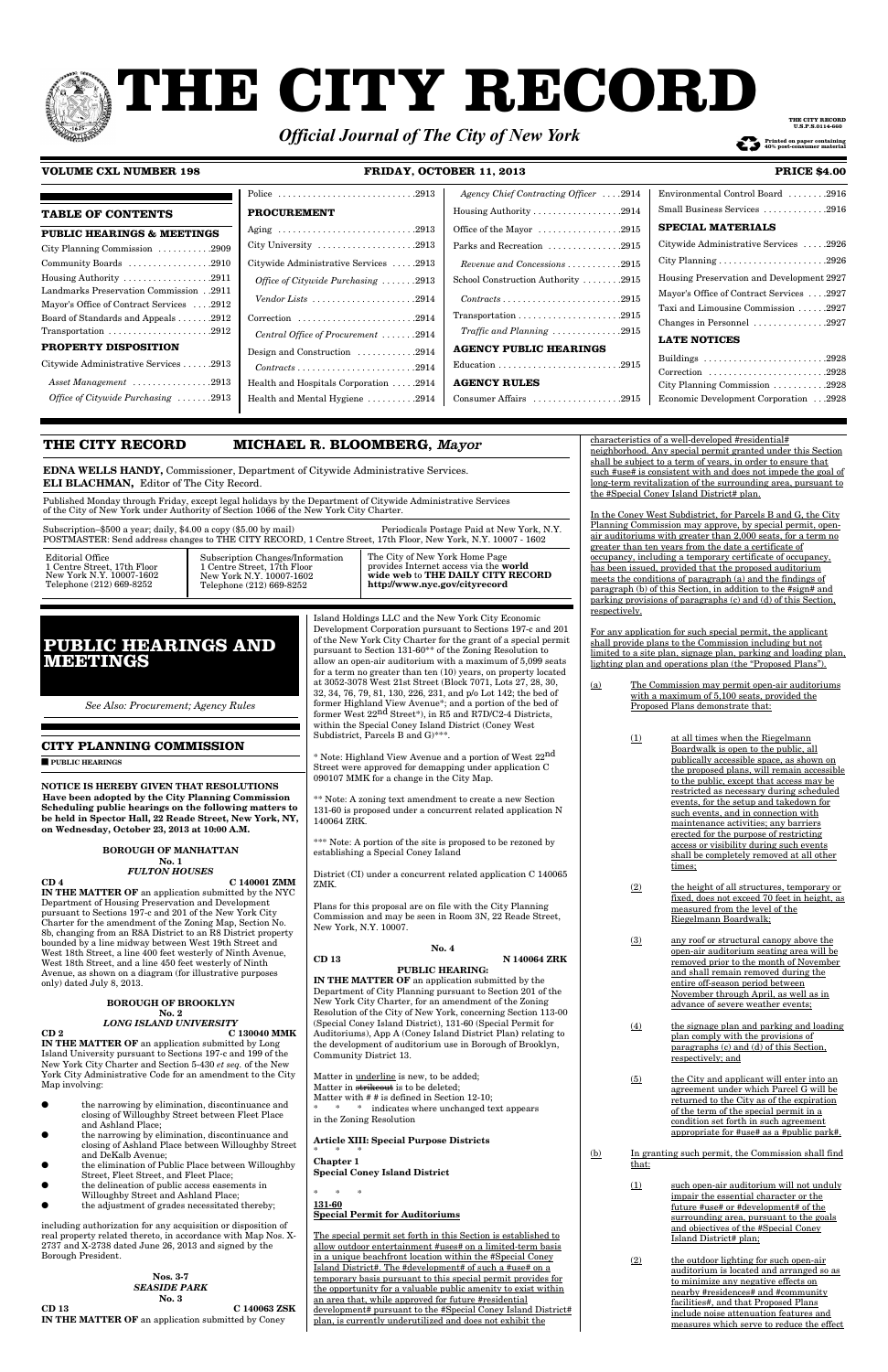# **THE CITY RECORD**

|                                                                                                | Police $\ldots \ldots \ldots \ldots \ldots \ldots \ldots \ldots \ldots$ . 2913  | Agency Chief Contracting Officer  .2914                                         | Environmental Control Board 2916                                               |
|------------------------------------------------------------------------------------------------|---------------------------------------------------------------------------------|---------------------------------------------------------------------------------|--------------------------------------------------------------------------------|
| <b>TABLE OF CONTENTS</b>                                                                       | <b>PROCUREMENT</b>                                                              |                                                                                 | Small Business Services 2916                                                   |
| <b>PUBLIC HEARINGS &amp; MEETINGS</b>                                                          |                                                                                 | Office of the Mayor 2915                                                        | <b>SPECIAL MATERIALS</b>                                                       |
| City Planning Commission $\dots \dots \dots \dots 2909$                                        | City University $\dots \dots \dots \dots \dots \dots \dots 2913$                | Parks and Recreation 2915                                                       | Citywide Administrative Services 2926                                          |
| Community Boards 2910                                                                          | Citywide Administrative Services 2913                                           | $Revenue$ and Concessions $\ldots \ldots \ldots 2915$                           |                                                                                |
| Housing Authority $\dots \dots \dots \dots \dots \dots 2911$                                   | Office of Citywide Purchasing $\ldots \ldots$ .2913                             | School Construction Authority 2915                                              | Housing Preservation and Development 2927                                      |
| Landmarks Preservation Commission2911<br>Mayor's Office of Contract Services<br>$\ldots$ .2912 | Vendor Lists $\dots\dots\dots\dots\dots\dots\dots$ . 2914                       | $Contracts \ldots \ldots \ldots \ldots \ldots \ldots \ldots \ldots \ldots 2915$ | Mayor's Office of Contract Services 2927<br>Taxi and Limousine Commission 2927 |
| Board of Standards and Appeals 2912                                                            |                                                                                 |                                                                                 | Changes in Personnel 2927                                                      |
| Transportation $\ldots \ldots \ldots \ldots \ldots \ldots \ldots 2912$                         | Central Office of Procurement 2914                                              | Traffic and Planning $\ldots \ldots \ldots \ldots 2915$                         | <b>LATE NOTICES</b>                                                            |
| PROPERTY DISPOSITION                                                                           | Design and Construction 2914                                                    | <b>AGENCY PUBLIC HEARINGS</b>                                                   |                                                                                |
| Citywide Administrative Services 2913                                                          | $Contracts \ldots \ldots \ldots \ldots \ldots \ldots \ldots \ldots \ldots 2914$ |                                                                                 | Buildings 2928<br>Correction 2928                                              |
| Asset Management 2913                                                                          | Health and Hospitals Corporation  .2914                                         | <b>AGENCY RULES</b>                                                             | City Planning Commission $\ldots \ldots \ldots \ldots$ 2928                    |
| <i>Office of Citywide Purchasing </i> 2913                                                     | Health and Mental Hygiene 2914                                                  | Consumer Affairs 2915                                                           | Economic Development Corporation<br>$\ldots$ .2928                             |
|                                                                                                |                                                                                 |                                                                                 |                                                                                |

# **VOLUME CXL NUMBER 198 FRIDAY, OCTOBER 11, 2013 PRICE \$4.00**

### **CITY PLANNING COMMISSION**

■ **PUBLIC HEARINGS**

\*\*\* Note: A portion of the site is proposed to be rezoned by establishing a Special Coney Island

**NOTICE IS HEREBY GIVEN THAT RESOLUTIONS Have been adopted by the City Planning Commission Scheduling public hearings on the following matters to be held in Spector Hall, 22 Reade Street, New York, NY, on Wednesday, October 23, 2013 at 10:00 A.M.**

### **BOROUGH OF MANHATTAN No. 1**

# *FULTON HOUSES*

**Article XIII: Special Purpose Districts**  $*$ 

**CD 4 C 140001 ZMM IN THE MATTER OF** an application submitted by the NYC Department of Housing Preservation and Development pursuant to Sections 197-c and 201 of the New York City Charter for the amendment of the Zoning Map, Section No. 8b, changing from an R8A District to an R8 District property bounded by a line midway between West 19th Street and West 18th Street, a line 400 feet westerly of Ninth Avenue, West 18th Street, and a line 450 feet westerly of Ninth Avenue, as shown on a diagram (for illustrative purposes only) dated July 8, 2013.

#### **BOROUGH OF BROOKLYN**

characteristics of a well-developed #residential# neighborhood. Any special permit granted under this Section shall be subject to a term of years, in order to ensure that such #use# is consistent with and does not impede the goal of long-term revitalization of the surrounding area, pursuant to the #Special Coney Island District# plan.

#### **No. 2** *LONG ISLAND UNIVERSITY*

**CD 2 C 130040 MMK IN THE MATTER OF** an application submitted by Long Island University pursuant to Sections 197-c and 199 of the New York City Charter and Section 5-430 *et seq.* of the New York City Administrative Code for an amendment to the City Map involving:

- the narrowing by elimination, discontinuance and closing of Willoughby Street between Fleet Place and Ashland Place;
- the narrowing by elimination, discontinuance and closing of Ashland Place between Willoughby Street and DeKalb Avenue;
- the elimination of Public Place between Willoughby Street, Fleet Street, and Fleet Place;
- the delineation of public access easements in Willoughby Street and Ashland Place;
- the adjustment of grades necessitated thereby;

including authorization for any acquisition or disposition of real property related thereto, in accordance with Map Nos. X-2737 and X-2738 dated June 26, 2013 and signed by the Borough President.

**Nos. 3-7** *SEASIDE PARK* **No. 3 CD 13 C 140063 ZSK IN THE MATTER OF** an application submitted by Coney

Island Holdings LLC and the New York City Economic Development Corporation pursuant to Sections 197-c and 201 of the New York City Charter for the grant of a special permit pursuant to Section 131-60\*\* of the Zoning Resolution to allow an open-air auditorium with a maximum of 5,099 seats for a term no greater than ten (10) years, on property located at 3052-3078 West 21st Street (Block 7071, Lots 27, 28, 30, 32, 34, 76, 79, 81, 130, 226, 231, and p/o Lot 142; the bed of former Highland View Avenue\*; and a portion of the bed of former West 22nd Street\*), in R5 and R7D/C2-4 Districts, within the Special Coney Island District (Coney West Subdistrict, Parcels B and G)\*\*\*.

\* Note: Highland View Avenue and a portion of West 22nd Street were approved for demapping under application C 090107 MMK for a change in the City Map.

\*\* Note: A zoning text amendment to create a new Section 131-60 is proposed under a concurrent related application N 140064 ZRK.

Ity of New York Home provides Internet access via the **world wide web** to **THE DAILY CITY RECORD http://www.nyc.gov/cityrecord**

**THE CITY RECORD U.S. P.S. AND 02** 

**40% post-consumer material** <br>40% post-consumer material

District (CI) under a concurrent related application C 140065 ZMK.

Plans for this proposal are on file with the City Planning Commission and may be seen in Room 3N, 22 Reade Street, New York, N.Y. 10007.

#### **No. 4 CD 13 N 140064 ZRK**

### **PUBLIC HEARING:**

**IN THE MATTER OF** an application submitted by the Department of City Planning pursuant to Section 201 of the New York City Charter, for an amendment of the Zoning Resolution of the City of New York, concerning Section 113-00 (Special Coney Island District), 131-60 (Special Permit for Auditoriums), App A (Coney Island District Plan**)** relating to the development of auditorium use in Borough of Brooklyn, Community District 13.

Matter in underline is new, to be added; Matter in strikeout is to be deleted; Matter with # # is defined in Section 12-10; \* \* \* indicates where unchanged text appears in the Zoning Resolution

**Chapter 1 Special Coney Island District**

 $*$ 

#### **131-60 Special Permit for Auditoriums**

The special permit set forth in this Section is established to allow outdoor entertainment #uses# on a limited-term basis in a unique beachfront location within the #Special Coney Island District#. The #development# of such a #use# on a temporary basis pursuant to this special permit provides for the opportunity for a valuable public amenity to exist within an area that, while approved for future #residential development# pursuant to the #Special Coney Island District# plan, is currently underutilized and does not exhibit the

In the Coney West Subdistrict, for Parcels B and G, the City Planning Commission may approve, by special permit, openair auditoriums with greater than 2,000 seats, for a term no greater than ten years from the date a certificate of occupancy, including a temporary certificate of occupancy, has been issued, provided that the proposed auditorium meets the conditions of paragraph (a) and the findings of paragraph (b) of this Section, in addition to the #sign# and parking provisions of paragraphs (c) and (d) of this Section, respectively.

For any application for such special permit, the applicant shall provide plans to the Commission including but not limited to a site plan, signage plan, parking and loading plan, lighting plan and operations plan (the "Proposed Plans").

(a) The Commission may permit open-air auditoriums with a maximum of 5,100 seats, provided the Proposed Plans demonstrate that:

> (1) at all times when the Riegelmann Boardwalk is open to the public, all publically accessible space, as shown on the proposed plans, will remain accessible to the public, except that access may be restricted as necessary during scheduled events, for the setup and takedown for such events, and in connection with maintenance activities; any barriers erected for the purpose of restricting access or visibility during such events shall be completely removed at all other times;

> (2) the height of all structures, temporary or fixed, does not exceed 70 feet in height, as measured from the level of the Riegelmann Boardwalk;

(3) any roof or structural canopy above the open-air auditorium seating area will be removed prior to the month of November and shall remain removed during the entire off-season period between November through April, as well as in advance of severe weather events;

- (4) the signage plan and parking and loading plan comply with the provisions of paragraphs (c) and (d) of this Section, respectively; and
- (5) the City and applicant will enter into an agreement under which Parcel G will be returned to the City as of the expiration of the term of the special permit in a condition set forth in such agreement appropriate for #use# as a #public park#.
- (b) In granting such permit, the Commission shall find that:
	- (1) such open-air auditorium will not unduly impair the essential character or the future #use# or #development# of the surrounding area, pursuant to the goals and objectives of the #Special Coney Island District# plan;

(2) the outdoor lighting for such open-air auditorium is located and arranged so as to minimize any negative effects on nearby #residences# and #community facilities#, and that Proposed Plans include noise attenuation features and measures which serve to reduce the effect

# **THE CITY RECORD MICHAEL R. BLOOMBERG,** Mayor

**EDNA WELLS HANDY,** Commissioner, Department of Citywide Administrative Services. **ELI BLACHMAN,** Editor of The City Record.

Published Monday through Friday, except legal holidays by the Department of Citywide Administrative Services of the City of New York under Authority of Section 1066 of the New York City Charter.

| Subscription-\$500 a year; daily, \$4.00 a copy $(\$5.00$ by mail)<br>POSTMASTER: Send address changes to THE CITY RECORD, 1 Centre Street, 17th Floor, New York, N.Y. 10007 - 1602 |                                  | Periodicals Postage Paid at New York, N.Y. |
|-------------------------------------------------------------------------------------------------------------------------------------------------------------------------------------|----------------------------------|--------------------------------------------|
| $F_{\text{d}+{\text{cm}}\text{ol}} \cap \text{ff}_{\text{loc}}$                                                                                                                     | Cuboquintion Changes Information | $\Gamma$ The City of New York Hame Page    |

Editorial Office 1 Centre Street, 17th Floor New York N.Y. 10007-1602 Telephone (212) 669-8252

Subscription Changes/Information 1 Centre Street, 17th Floor New York N.Y. 10007-1602 Telephone (212) 669-8252

# **PUBLIC HEARINGS AND MEETINGS**

*See Also: Procurement; Agency Rules*

# *Official Journal of The City of New York*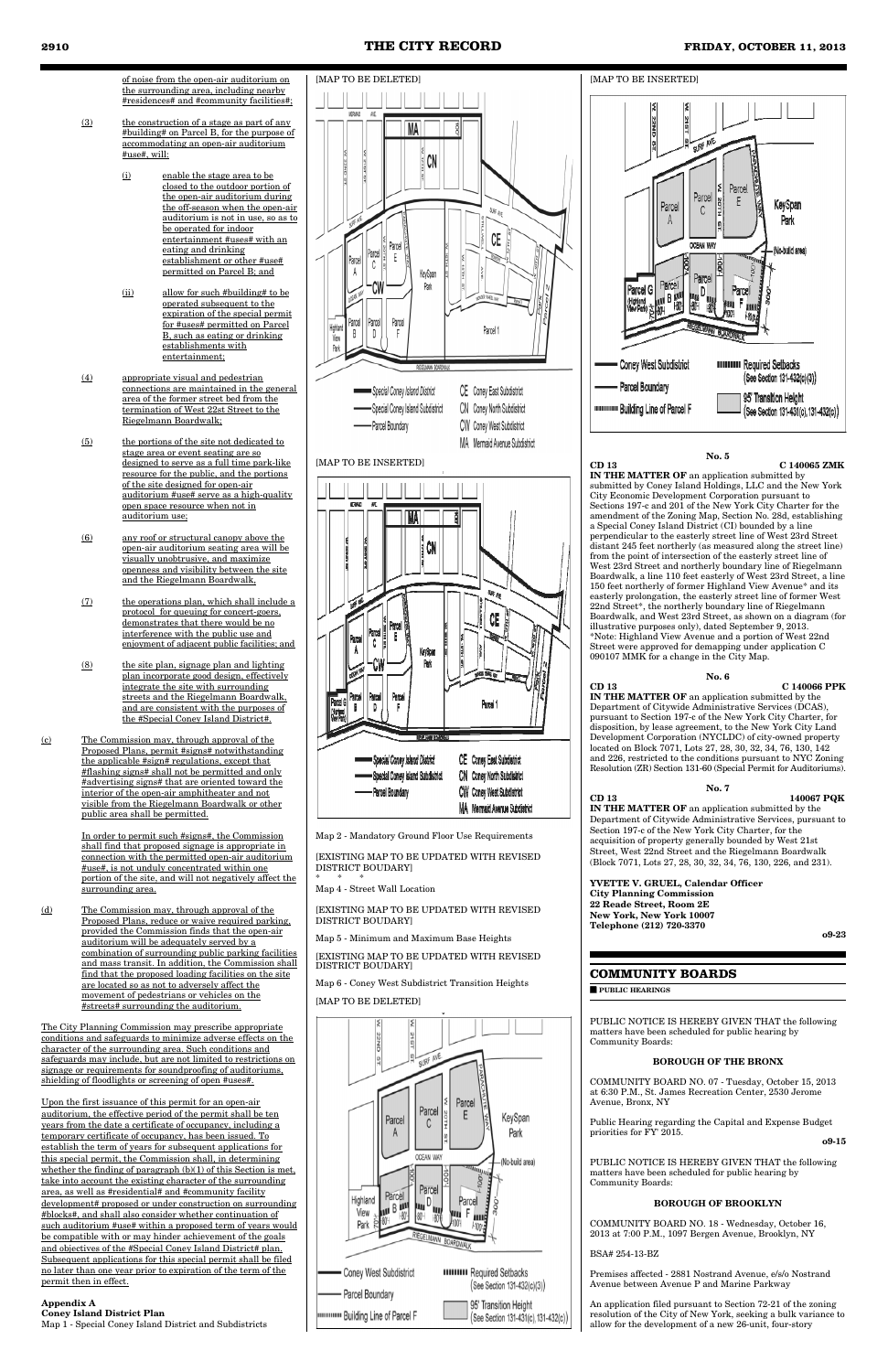of noise from the open-air auditorium on the surrounding area, including nearby #residences# and #community facilities#;

- (3) the construction of a stage as part of any #building# on Parcel B, for the purpose of accommodating an open-air auditorium #use#, will:
	- (i) enable the stage area to be closed to the outdoor portion of the open-air auditorium during the off-season when the open-air auditorium is not in use, so as to be operated for indoor entertainment #uses# with an eating and drinking establishment or other #use# permitted on Parcel B; and
	- (ii) allow for such #building# to be operated subsequent to the expiration of the special permit for #uses# permitted on Parcel B, such as eating or drinking establishments with entertainment;
- (4) appropriate visual and pedestrian connections are maintained in the general area of the former street bed from the termination of West 22st Street to the Riegelmann Boardwalk;
- (5) the portions of the site not dedicated to stage area or event seating are so designed to serve as a full time park-like resource for the public, and the portions of the site designed for open-air auditorium #use# serve as a high-quality open space resource when not in auditorium use;
- (6) any roof or structural canopy above the open-air auditorium seating area will be visually unobtrusive, and maximize openness and visibility between the site and the Riegelmann Boardwalk,
- (7) the operations plan, which shall include a protocol for queuing for concert-goers, demonstrates that there would be no interference with the public use and enjoyment of adjacent public facilities; and
- (8) the site plan, signage plan and lighting plan incorporate good design, effectively integrate the site with surrounding streets and the Riegelmann Boardwalk, and are consistent with the purposes of the #Special Coney Island District#.
- (c) The Commission may, through approval of the Proposed Plans, permit #signs# notwithstanding the applicable #sign# regulations, except that #flashing signs# shall not be permitted and only #advertising signs# that are oriented toward the interior of the open-air amphitheater and not visible from the Riegelmann Boardwalk or other public area shall be permitted.

[EXISTING MAP TO BE UPDATED WITH REVISED DISTRICT BOUDARY

In order to permit such #signs#, the Commission shall find that proposed signage is appropriate in connection with the permitted open-air auditorium #use#, is not unduly concentrated within one portion of the site, and will not negatively affect the surrounding area.

(d) The Commission may, through approval of the Proposed Plans, reduce or waive required parking, provided the Commission finds that the open-air auditorium will be adequately served by a combination of surrounding public parking facilities and mass transit. In addition, the Commission shall find that the proposed loading facilities on the site are located so as not to adversely affect the movement of pedestrians or vehicles on the #streets# surrounding the auditorium.

**IN THE MATTER OF** an application submitted by submitted by Coney Island Holdings, LLC and the New York City Economic Development Corporation pursuant to Sections 197-c and 201 of the New York City Charter for the amendment of the Zoning Map, Section No. 28d, establishing a Special Coney Island District (CI) bounded by a line perpendicular to the easterly street line of West 23rd Street distant 245 feet northerly (as measured along the street line) from the point of intersection of the easterly street line of West 23rd Street and northerly boundary line of Riegelmann Boardwalk, a line 110 feet easterly of West 23rd Street, a line 150 feet northerly of former Highland View Avenue\* and its easterly prolongation, the easterly street line of former West 22nd Street\*, the northerly boundary line of Riegelmann Boardwalk, and West 23rd Street, as shown on a diagram (for illustrative purposes only), dated September 9, 2013. \*Note: Highland View Avenue and a portion of West 22nd Street were approved for demapping under application C 090107 MMK for a change in the City Map.

The City Planning Commission may prescribe appropriate conditions and safeguards to minimize adverse effects on the character of the surrounding area. Such conditions and safeguards may include, but are not limited to restrictions on signage or requirements for soundproofing of auditoriums, shielding of floodlights or screening of open #uses#.

Department of Section 197-c of the New York City Charter, for the acquisition of property generally bounded by West 21st Street, West 22nd Street and the Riegelmann Boardwalk (Block 7071, Lots 27, 28, 30, 32, 34, 76, 130, 226, and 231).

**YVETTE V. GRUEL, Calendar Officer City Planning Commission 22 Reade Street, Room 2E New York, New York 10007 Telephone (212) 720-3370 o9-23** 

Public Hearing regarding the Capital and Expense Budget priorities for FY' 2015. **o9-15** 

Upon the first issuance of this permit for an open-air auditorium, the effective period of the permit shall be ten years from the date a certificate of occupancy, including a temporary certificate of occupancy, has been issued. To establish the term of years for subsequent applications for this special permit, the Commission shall, in determining whether the finding of paragraph  $(b)(1)$  of this Section is met, take into account the existing character of the surrounding area, as well as #residential# and #community facility development# proposed or under construction on surrounding #blocks#, and shall also consider whether continuation of such auditorium #use# within a proposed term of years would be compatible with or may hinder achievement of the goals and objectives of the #Special Coney Island District# plan. Subsequent applications for this special permit shall be filed no later than one year prior to expiration of the term of the permit then in effect.

#### **Appendix A Coney Island District Plan** Map 1 - Special Coney Island District and Subdistricts





#### [MAP TO BE INSERTED]



Map 2 - Mandatory Ground Floor Use Requirements

[EXISTING MAP TO BE UPDATED WITH REVISED DISTRICT BOUDARY] \* \* \*

Map 4 - Street Wall Location

[EXISTING MAP TO BE UPDATED WITH REVISED DISTRICT BOUDARY]

Map 5 - Minimum and Maximum Base Heights

Map 6 - Coney West Subdistrict Transition Heights [MAP TO BE DELETED]



#### **No. 5**

**CD 13 C 140065 ZMK**

**No. 6 CD 13 C 140066 PPK IN THE MATTER OF** an application submitted by the Department of Citywide Administrative Services (DCAS), pursuant to Section 197-c of the New York City Charter, for disposition, by lease agreement, to the New York City Land Development Corporation (NYCLDC) of city-owned property located on Block 7071, Lots 27, 28, 30, 32, 34, 76, 130, 142 and 226, restricted to the conditions pursuant to NYC Zoning Resolution (ZR) Section 131-60 (Special Permit for Auditoriums).

|       | <b>No. 7</b>                                                |
|-------|-------------------------------------------------------------|
| CD 13 | 140067 PQK                                                  |
|       | <b>IN THE MATTER OF</b> an application submitted by the     |
|       | Department of Citywide Administrative Services, pursuant to |

### **COMMUNITY BOARDS**

■ **PUBLIC HEARINGS**

PUBLIC NOTICE IS HEREBY GIVEN THAT the following matters have been scheduled for public hearing by Community Boards:

#### **BOROUGH OF THE BRONX**

COMMUNITY BOARD NO. 07 - Tuesday, October 15, 2013 at 6:30 P.M., St. James Recreation Center, 2530 Jerome Avenue, Bronx, NY

PUBLIC NOTICE IS HEREBY GIVEN THAT the following matters have been scheduled for public hearing by Community Boards:

#### **BOROUGH OF BROOKLYN**

COMMUNITY BOARD NO. 18 - Wednesday, October 16, 2013 at 7:00 P.M., 1097 Bergen Avenue, Brooklyn, NY

BSA# 254-13-BZ

Premises affected - 2881 Nostrand Avenue, e/s/o Nostrand Avenue between Avenue P and Marine Parkway

An application filed pursuant to Section 72-21 of the zoning resolution of the City of New York, seeking a bulk variance to allow for the development of a new 26-unit, four-story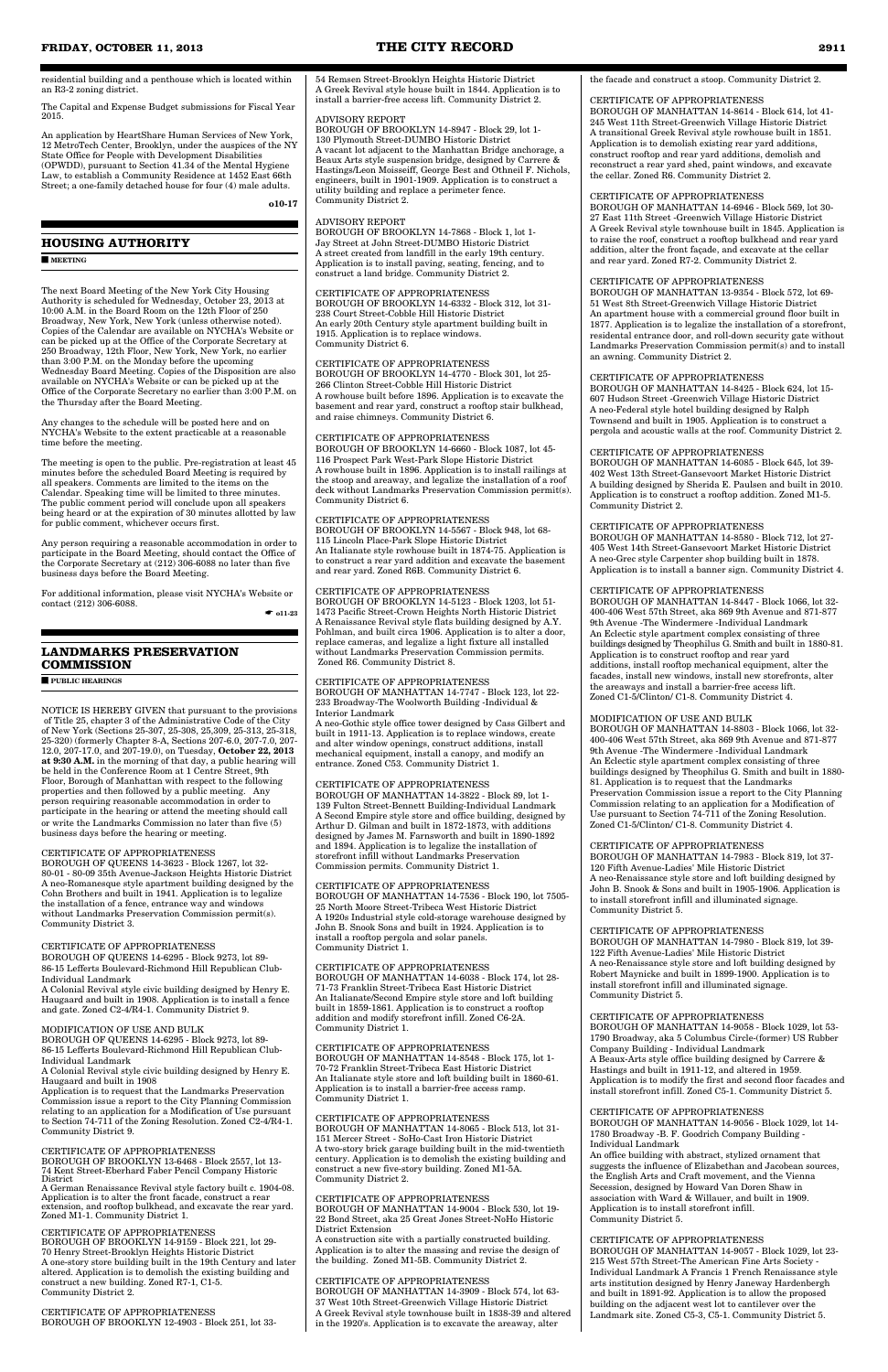residential building and a penthouse which is located within an R3-2 zoning district.

The Capital and Expense Budget submissions for Fiscal Year 2015.

An application by HeartShare Human Services of New York, 12 MetroTech Center, Brooklyn, under the auspices of the NY State Office for People with Development Disabilities (OPWDD), pursuant to Section 41.34 of the Mental Hygiene Law, to establish a Community Residence at 1452 East 66th Street; a one-family detached house for four (4) male adults.

**o10-17** 

### **HOUSING AUTHORITY**

■ **MEETING**

The next Board Meeting of the New York City Housing Authority is scheduled for Wednesday, October 23, 2013 at 10:00 A.M. in the Board Room on the 12th Floor of 250 Broadway, New York, New York (unless otherwise noted). Copies of the Calendar are available on NYCHA's Website or can be picked up at the Office of the Corporate Secretary at 250 Broadway, 12th Floor, New York, New York, no earlier than 3:00 P.M. on the Monday before the upcoming Wednesday Board Meeting. Copies of the Disposition are also available on NYCHA's Website or can be picked up at the Office of the Corporate Secretary no earlier than 3:00 P.M. on the Thursday after the Board Meeting.

For additional information, please visit NYCHA's Website or contact (212) 306-6088.  $\bullet$  011-23

Any changes to the schedule will be posted here and on NYCHA's Website to the extent practicable at a reasonable time before the meeting.

The meeting is open to the public. Pre-registration at least 45 minutes before the scheduled Board Meeting is required by all speakers. Comments are limited to the items on the Calendar. Speaking time will be limited to three minutes. The public comment period will conclude upon all speakers being heard or at the expiration of 30 minutes allotted by law for public comment, whichever occurs first.

Any person requiring a reasonable accommodation in order to participate in the Board Meeting, should contact the Office of the Corporate Secretary at (212) 306-6088 no later than five business days before the Board Meeting.

# **LANDMARKS PRESERVATION COMMISSION**

■ **PUBLIC HEARINGS**

NOTICE IS HEREBY GIVEN that pursuant to the provisions of Title 25, chapter 3 of the Administrative Code of the City of New York (Sections 25-307, 25-308, 25,309, 25-313, 25-318, 25-320) (formerly Chapter 8-A, Sections 207-6.0, 207-7.0, 207- 12.0, 207-17.0, and 207-19.0), on Tuesday, **October 22, 2013 at 9:30 A.M.** in the morning of that day, a public hearing will be held in the Conference Room at 1 Centre Street, 9th Floor, Borough of Manhattan with respect to the following properties and then followed by a public meeting. Any person requiring reasonable accommodation in order to participate in the hearing or attend the meeting should call or write the Landmarks Commission no later than five (5) business days before the hearing or meeting.

#### CERTIFICATE OF APPROPRIATENESS

BOROUGH OF QUEENS 14-3623 - Block 1267, lot 32- 80-01 - 80-09 35th Avenue-Jackson Heights Historic District A neo-Romanesque style apartment building designed by the Cohn Brothers and built in 1941. Application is to legalize the installation of a fence, entrance way and windows without Landmarks Preservation Commission permit(s). Community District 3.

#### CERTIFICATE OF APPROPRIATENESS

BOROUGH OF QUEENS 14-6295 - Block 9273, lot 89- 86-15 Lefferts Boulevard-Richmond Hill Republican Club-Individual Landmark

A Colonial Revival style civic building designed by Henry E. Haugaard and built in 1908. Application is to install a fence

and gate. Zoned C2-4/R4-1. Community District 9.

#### MODIFICATION OF USE AND BULK BOROUGH OF QUEENS 14-6295 - Block 9273, lot 89- 86-15 Lefferts Boulevard-Richmond Hill Republican Club-Individual Landmark

A Colonial Revival style civic building designed by Henry E. Haugaard and built in 1908

Application is to request that the Landmarks Preservation Commission issue a report to the City Planning Commission relating to an application for a Modification of Use pursuant to Section 74-711 of the Zoning Resolution. Zoned C2-4/R4-1. Community District 9.

#### CERTIFICATE OF APPROPRIATENESS

BOROUGH OF BROOKLYN 13-6468 - Block 2557, lot 13- 74 Kent Street-Eberhard Faber Pencil Company Historic District

A German Renaissance Revival style factory built c. 1904-08. Application is to alter the front facade, construct a rear extension, and rooftop bulkhead, and excavate the rear yard. Zoned M1-1. Community District 1.

# CERTIFICATE OF APPROPRIATENESS

BOROUGH OF BROOKLYN 14-9159 - Block 221, lot 29- 70 Henry Street-Brooklyn Heights Historic District A one-story store building built in the 19th Century and later altered. Application is to demolish the existing building and construct a new building. Zoned R7-1, C1-5. Community District 2.

#### CERTIFICATE OF APPROPRIATENESS BOROUGH OF BROOKLYN 12-4903 - Block 251, lot 33-

54 Remsen Street-Brooklyn Heights Historic District A Greek Revival style house built in 1844. Application is to install a barrier-free access lift. Community District 2.

#### ADVISORY REPORT

BOROUGH OF BROOKLYN 14-8947 - Block 29, lot 1- 130 Plymouth Street-DUMBO Historic District A vacant lot adjacent to the Manhattan Bridge anchorage, a Beaux Arts style suspension bridge, designed by Carrere & Hastings/Leon Moisseiff, George Best and Othneil F. Nichols, engineers, built in 1901-1909. Application is to construct a utility building and replace a perimeter fence. Community District 2.

#### ADVISORY REPORT

BOROUGH OF BROOKLYN 14-7868 - Block 1, lot 1- Jay Street at John Street-DUMBO Historic District A street created from landfill in the early 19th century. Application is to install paving, seating, fencing, and to construct a land bridge. Community District 2.

CERTIFICATE OF APPROPRIATENESS BOROUGH OF BROOKLYN 14-6332 - Block 312, lot 31- 238 Court Street-Cobble Hill Historic District An early 20th Century style apartment building built in 1915. Application is to replace windows. Community District 6.

CERTIFICATE OF APPROPRIATENESS BOROUGH OF BROOKLYN 14-4770 - Block 301, lot 25- 266 Clinton Street-Cobble Hill Historic District A rowhouse built before 1896. Application is to excavate the basement and rear yard, construct a rooftop stair bulkhead, and raise chimneys. Community District 6.

#### CERTIFICATE OF APPROPRIATENESS

BOROUGH OF BROOKLYN 14-6660 - Block 1087, lot 45- 116 Prospect Park West-Park Slope Historic District A rowhouse built in 1896. Application is to install railings at the stoop and areaway, and legalize the installation of a roof deck without Landmarks Preservation Commission permit(s). Community District 6.

#### CERTIFICATE OF APPROPRIATENESS

BOROUGH OF BROOKLYN 14-5567 - Block 948, lot 68- 115 Lincoln Place-Park Slope Historic District An Italianate style rowhouse built in 1874-75. Application is to construct a rear yard addition and excavate the basement and rear yard. Zoned R6B. Community District 6.

#### CERTIFICATE OF APPROPRIATENESS

BOROUGH OF BROOKLYN 14-5123 - Block 1203, lot 51- 1473 Pacific Street-Crown Heights North Historic District A Renaissance Revival style flats building designed by A.Y. Pohlman, and built circa 1906. Application is to alter a door, replace cameras, and legalize a light fixture all installed without Landmarks Preservation Commission permits. Zoned R6. Community District 8.

#### CERTIFICATE OF APPROPRIATENESS

BOROUGH OF MANHATTAN 14-7747 - Block 123, lot 22- 233 Broadway-The Woolworth Building -Individual & Interior Landmark

A neo-Gothic style office tower designed by Cass Gilbert and built in 1911-13. Application is to replace windows, create and alter window openings, construct additions, install mechanical equipment, install a canopy, and modify an entrance. Zoned C53. Community District 1.

#### CERTIFICATE OF APPROPRIATENESS

BOROUGH OF MANHATTAN 14-3822 - Block 89, lot 1- 139 Fulton Street-Bennett Building-Individual Landmark A Second Empire style store and office building, designed by Arthur D. Gilman and built in 1872-1873, with additions designed by James M. Farnsworth and built in 1890-1892 and 1894. Application is to legalize the installation of storefront infill without Landmarks Preservation Commission permits. Community District 1.

#### CERTIFICATE OF APPROPRIATENESS

BOROUGH OF MANHATTAN 14-7536 - Block 190, lot 7505- 25 North Moore Street-Tribeca West Historic District A 1920s Industrial style cold-storage warehouse designed by John B. Snook Sons and built in 1924. Application is to install a rooftop pergola and solar panels. Community District 1.

#### CERTIFICATE OF APPROPRIATENESS

BOROUGH OF MANHATTAN 14-6038 - Block 174, lot 28- 71-73 Franklin Street-Tribeca East Historic District An Italianate/Second Empire style store and loft building built in 1859-1861. Application is to construct a rooftop addition and modify storefront infill. Zoned C6-2A. Community District 1.

#### CERTIFICATE OF APPROPRIATENESS BOROUGH OF MANHATTAN 14-8548 - Block 175, lot 1- 70-72 Franklin Street-Tribeca East Historic District An Italianate style store and loft building built in 1860-61. Application is to install a barrier-free access ramp. Community District 1.

### CERTIFICATE OF APPROPRIATENESS

BOROUGH OF MANHATTAN 14-8065 - Block 513, lot 31- 151 Mercer Street - SoHo-Cast Iron Historic District A two-story brick garage building built in the mid-twentieth century. Application is to demolish the existing building and construct a new five-story building. Zoned M1-5A. Community District 2.

#### CERTIFICATE OF APPROPRIATENESS BOROUGH OF MANHATTAN 14-9004 - Block 530, lot 19- 22 Bond Street, aka 25 Great Jones Street-NoHo Historic District Extension

A construction site with a partially constructed building. Application is to alter the massing and revise the design of the building. Zoned M1-5B. Community District 2.

#### CERTIFICATE OF APPROPRIATENESS

BOROUGH OF MANHATTAN 14-3909 - Block 574, lot 63- 37 West 10th Street-Greenwich Village Historic District A Greek Revival style townhouse built in 1838-39 and altered in the 1920's. Application is to excavate the areaway, alter

the facade and construct a stoop. Community District 2.

#### CERTIFICATE OF APPROPRIATENESS

BOROUGH OF MANHATTAN 14-8614 - Block 614, lot 41- 245 West 11th Street-Greenwich Village Historic District A transitional Greek Revival style rowhouse built in 1851. Application is to demolish existing rear yard additions, construct rooftop and rear yard additions, demolish and reconstruct a rear yard shed, paint windows, and excavate the cellar. Zoned R6. Community District 2.

#### CERTIFICATE OF APPROPRIATENESS

BOROUGH OF MANHATTAN 14-6946 - Block 569, lot 30- 27 East 11th Street -Greenwich Village Historic District A Greek Revival style townhouse built in 1845. Application is to raise the roof, construct a rooftop bulkhead and rear yard addition, alter the front façade, and excavate at the cellar and rear yard. Zoned R7-2. Community District 2.

#### CERTIFICATE OF APPROPRIATENESS

BOROUGH OF MANHATTAN 13-9354 - Block 572, lot 69- 51 West 8th Street-Greenwich Village Historic District An apartment house with a commercial ground floor built in 1877. Application is to legalize the installation of a storefront, residental entrance door, and roll-down security gate without Landmarks Preservation Commission permit(s) and to install an awning. Community District 2.

#### CERTIFICATE OF APPROPRIATENESS

BOROUGH OF MANHATTAN 14-8425 - Block 624, lot 15- 607 Hudson Street -Greenwich Village Historic District A neo-Federal style hotel building designed by Ralph Townsend and built in 1905. Application is to construct a pergola and acoustic walls at the roof. Community District 2.

#### CERTIFICATE OF APPROPRIATENESS

BOROUGH OF MANHATTAN 14-6085 - Block 645, lot 39- 402 West 13th Street-Gansevoort Market Historic District A building designed by Sherida E. Paulsen and built in 2010. Application is to construct a rooftop addition. Zoned M1-5. Community District 2.

#### CERTIFICATE OF APPROPRIATENESS

BOROUGH OF MANHATTAN 14-8580 - Block 712, lot 27- 405 West 14th Street-Gansevoort Market Historic District A neo-Grec style Carpenter shop building built in 1878. Application is to install a banner sign. Community District 4.

#### CERTIFICATE OF APPROPRIATENESS

BOROUGH OF MANHATTAN 14-8447 - Block 1066, lot 32- 400-406 West 57th Street, aka 869 9th Avenue and 871-877 9th Avenue -The Windermere -Individual Landmark An Eclectic style apartment complex consisting of three buildings designed by Theophilus G. Smith and built in 1880-81. Application is to construct rooftop and rear yard additions, install rooftop mechanical equipment, alter the facades, install new windows, install new storefronts, alter the areaways and install a barrier-free access lift. Zoned C1-5/Clinton/ C1-8. Community District 4.

#### MODIFICATION OF USE AND BULK

BOROUGH OF MANHATTAN 14-8803 - Block 1066, lot 32- 400-406 West 57th Street, aka 869 9th Avenue and 871-877 9th Avenue -The Windermere -Individual Landmark An Eclectic style apartment complex consisting of three buildings designed by Theophilus G. Smith and built in 1880- 81. Application is to request that the Landmarks Preservation Commission issue a report to the City Planning Commission relating to an application for a Modification of Use pursuant to Section 74-711 of the Zoning Resolution. Zoned C1-5/Clinton/ C1-8. Community District 4.

#### CERTIFICATE OF APPROPRIATENESS

BOROUGH OF MANHATTAN 14-7983 - Block 819, lot 37- 120 Fifth Avenue-Ladies' Mile Historic District A neo-Renaissance style store and loft building designed by John B. Snook & Sons and built in 1905-1906. Application is to install storefront infill and illuminated signage. Community District 5.

### CERTIFICATE OF APPROPRIATENESS

BOROUGH OF MANHATTAN 14-7980 - Block 819, lot 39- 122 Fifth Avenue-Ladies' Mile Historic District A neo-Renaissance style store and loft building designed by Robert Maynicke and built in 1899-1900. Application is to install storefront infill and illuminated signage. Community District 5.

#### CERTIFICATE OF APPROPRIATENESS BOROUGH OF MANHATTAN 14-9058 - Block 1029, lot 53- 1790 Broadway, aka 5 Columbus Circle-(former) US Rubber Company Building - Individual Landmark A Beaux-Arts style office building designed by Carrere & Hastings and built in 1911-12, and altered in 1959. Application is to modify the first and second floor facades and

install storefront infill. Zoned C5-1. Community District 5.

### CERTIFICATE OF APPROPRIATENESS

BOROUGH OF MANHATTAN 14-9056 - Block 1029, lot 14- 1780 Broadway -B. F. Goodrich Company Building - Individual Landmark

An office building with abstract, stylized ornament that suggests the influence of Elizabethan and Jacobean sources, the English Arts and Craft movement, and the Vienna Secession, designed by Howard Van Doren Shaw in association with Ward & Willauer, and built in 1909. Application is to install storefront infill. Community District 5.

### CERTIFICATE OF APPROPRIATENESS

BOROUGH OF MANHATTAN 14-9057 - Block 1029, lot 23- 215 West 57th Street-The American Fine Arts Society - Individual Landmark A Francis 1 French Renaissance style arts institution designed by Henry Janeway Hardenbergh and built in 1891-92. Application is to allow the proposed building on the adjacent west lot to cantilever over the Landmark site. Zoned C5-3, C5-1. Community District 5.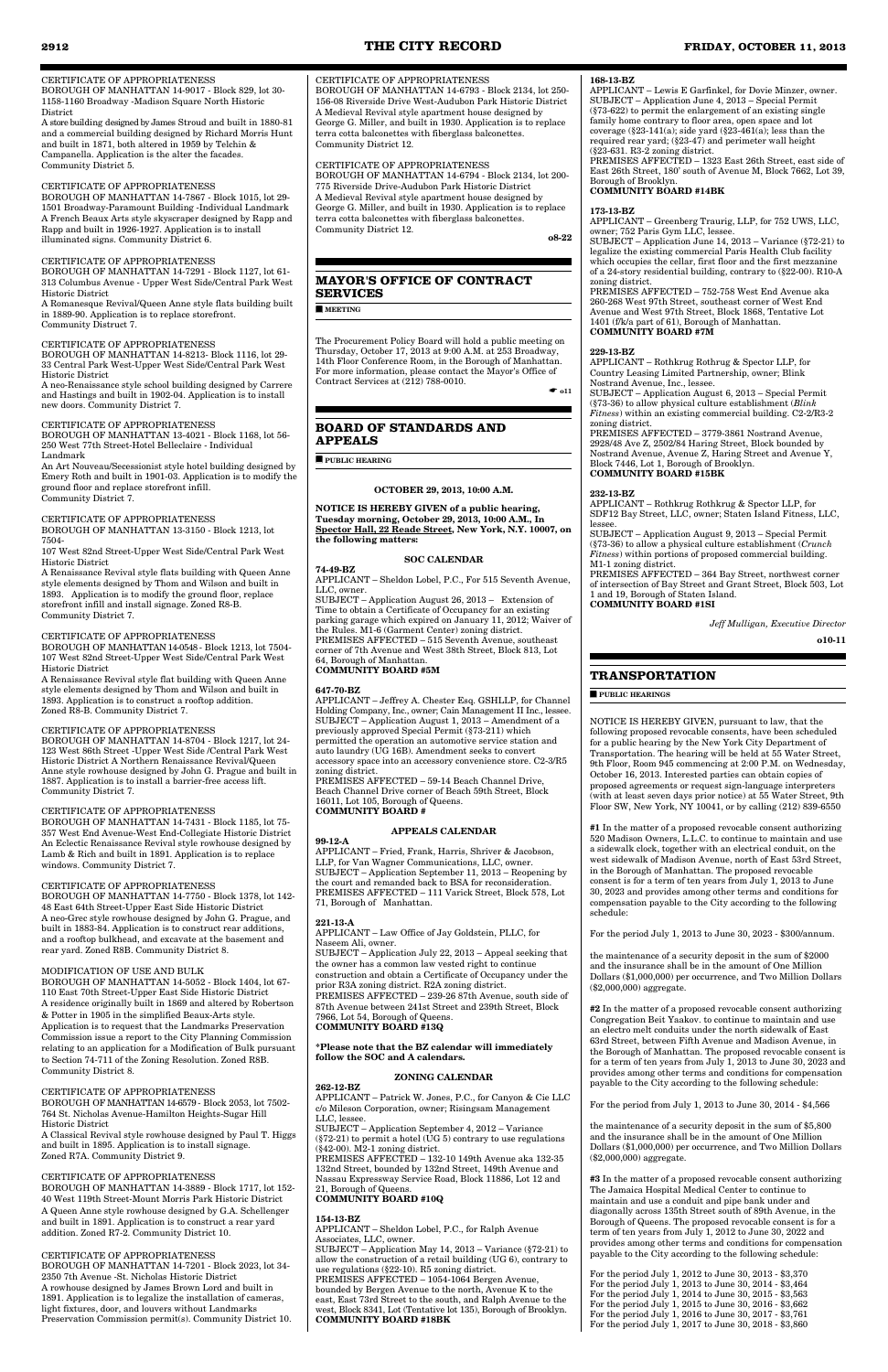#### CERTIFICATE OF APPROPRIATENESS

BOROUGH OF MANHATTAN 14-9017 - Block 829, lot 30- 1158-1160 Broadway -Madison Square North Historic District

A store building designed by James Stroud and built in 1880-81 and a commercial building designed by Richard Morris Hunt and built in 1871, both altered in 1959 by Telchin & Campanella. Application is the alter the facades. Community District 5.

#### CERTIFICATE OF APPROPRIATENESS

BOROUGH OF MANHATTAN 14-7867 - Block 1015, lot 29- 1501 Broadway-Paramount Building -Individual Landmark A French Beaux Arts style skyscraper designed by Rapp and Rapp and built in 1926-1927. Application is to install illuminated signs. Community District 6.

#### CERTIFICATE OF APPROPRIATENESS

BOROUGH OF MANHATTAN 14-7291 - Block 1127, lot 61- 313 Columbus Avenue - Upper West Side/Central Park West Historic District

A Romanesque Revival/Queen Anne style flats building built in 1889-90. Application is to replace storefront. Community Distruct 7.

#### CERTIFICATE OF APPROPRIATENESS

BOROUGH OF MANHATTAN 14-8213- Block 1116, lot 29- 33 Central Park West-Upper West Side/Central Park West Historic District

A neo-Renaissance style school building designed by Carrere and Hastings and built in 1902-04. Application is to install new doors. Community District 7.

# CERTIFICATE OF APPROPRIATENESS

BOROUGH OF MANHATTAN 13-4021 - Block 1168, lot 56- 250 West 77th Street-Hotel Belleclaire - Individual Landmark

An Art Nouveau/Secessionist style hotel building designed by Emery Roth and built in 1901-03. Application is to modify the ground floor and replace storefront infill. Community District 7.

#### CERTIFICATE OF APPROPRIATENESS

BOROUGH OF MANHATTAN 13-3150 - Block 1213, lot 7504-

107 West 82nd Street-Upper West Side/Central Park West Historic District

A Renaissance Revival style flats building with Queen Anne style elements designed by Thom and Wilson and built in 1893. Application is to modify the ground floor, replace storefront infill and install signage. Zoned R8-B. Community District 7.

#### CERTIFICATE OF APPROPRIATENESS

BOROUGH OF MANHATTAN 14-0548 - Block 1213, lot 7504- 107 West 82nd Street-Upper West Side/Central Park West Historic District

A Renaissance Revival style flat building with Queen Anne style elements designed by Thom and Wilson and built in 1893. Application is to construct a rooftop addition. Zoned R8-B. Community District 7.

#### CERTIFICATE OF APPROPRIATENESS

BOROUGH OF MANHATTAN 14-8704 - Block 1217, lot 24- 123 West 86th Street -Upper West Side /Central Park West Historic District A Northern Renaissance Revival/Queen Anne style rowhouse designed by John G. Prague and built in 1887. Application is to install a barrier-free access lift. Community District 7.

#### CERTIFICATE OF APPROPRIATENESS

BOROUGH OF MANHATTAN 14-7431 - Block 1185, lot 75- 357 West End Avenue-West End-Collegiate Historic District An Eclectic Renaissance Revival style rowhouse designed by Lamb & Rich and built in 1891. Application is to replace windows. Community District 7.

#### CERTIFICATE OF APPROPRIATENESS

BOROUGH OF MANHATTAN 14-7750 - Block 1378, lot 142- 48 East 64th Street-Upper East Side Historic District A neo-Grec style rowhouse designed by John G. Prague, and built in 1883-84. Application is to construct rear additions, and a rooftop bulkhead, and excavate at the basement and rear yard. Zoned R8B. Community District 8.

### MODIFICATION OF USE AND BULK

BOROUGH OF MANHATTAN 14-5052 - Block 1404, lot 67- 110 East 70th Street-Upper East Side Historic District A residence originally built in 1869 and altered by Robertson

& Potter in 1905 in the simplified Beaux-Arts style. Application is to request that the Landmarks Preservation Commission issue a report to the City Planning Commission relating to an application for a Modification of Bulk pursuant to Section 74-711 of the Zoning Resolution. Zoned R8B. Community District 8.

#### CERTIFICATE OF APPROPRIATENESS BOROUGH OF MANHATTAN 14-6579 - Block 2053, lot 7502- 764 St. Nicholas Avenue-Hamilton Heights-Sugar Hill Historic District

A Classical Revival style rowhouse designed by Paul T. Higgs and built in 1895. Application is to install signage. Zoned R7A. Community District 9.

#### CERTIFICATE OF APPROPRIATENESS BOROUGH OF MANHATTAN 14-3889 - Block 1717, lot 152-

40 West 119th Street-Mount Morris Park Historic District A Queen Anne style rowhouse designed by G.A. Schellenger and built in 1891. Application is to construct a rear yard addition. Zoned R7-2. Community District 10.

#### CERTIFICATE OF APPROPRIATENESS

BOROUGH OF MANHATTAN 14-7201 - Block 2023, lot 34- 2350 7th Avenue -St. Nicholas Historic District A rowhouse designed by James Brown Lord and built in 1891. Application is to legalize the installation of cameras, light fixtures, door, and louvers without Landmarks Preservation Commission permit(s). Community District 10.

#### CERTIFICATE OF APPROPRIATENESS

BOROUGH OF MANHATTAN 14-6793 - Block 2134, lot 250- 156-08 Riverside Drive West-Audubon Park Historic District A Medieval Revival style apartment house designed by George G. Miller, and built in 1930. Application is to replace terra cotta balconettes with fiberglass balconettes. Community District 12.

#### CERTIFICATE OF APPROPRIATENESS

BOROUGH OF MANHATTAN 14-6794 - Block 2134, lot 200- 775 Riverside Drive-Audubon Park Historic District A Medieval Revival style apartment house designed by George G. Miller, and built in 1930. Application is to replace terra cotta balconettes with fiberglass balconettes. Community District 12.

**o8-22**

# **MAYOR'S OFFICE OF CONTRACT SERVICES**

■ **MEETING**

The Procurement Policy Board will hold a public meeting on Thursday, October 17, 2013 at 9:00 A.M. at 253 Broadway, 14th Floor Conference Room, in the Borough of Manhattan. For more information, please contact the Mayor's Office of Contract Services at (212) 788-0010.

 $\bullet$  011

# **BOARD OF STANDARDS AND APPEALS**

■ **PUBLIC HEARING**

#### **OCTOBER 29, 2013, 10:00 A.M.**

**NOTICE IS HEREBY GIVEN of a public hearing, Tuesday morning, October 29, 2013, 10:00 A.M., In Spector Hall, 22 Reade Street, New York, N.Y. 10007, on the following matters:**

#### **SOC CALENDAR**

#### **74-49-BZ**

APPLICANT – Sheldon Lobel, P.C., For 515 Seventh Avenue, LLC, owner.

SUBJECT – Application August 26, 2013 – Extension of Time to obtain a Certificate of Occupancy for an existing parking garage which expired on January 11, 2012; Waiver of the Rules. M1-6 (Garment Center) zoning district. PREMISES AFFECTED – 515 Seventh Avenue, southeast corner of 7th Avenue and West 38th Street, Block 813, Lot 64, Borough of Manhattan.

# **COMMUNITY BOARD #5M**

#### **647-70-BZ**

APPLICANT – Jeffrey A. Chester Esq. GSHLLP, for Channel Holding Company, Inc., owner; Cain Management II Inc., lessee. SUBJECT – Application August 1, 2013 – Amendment of a previously approved Special Permit (§73-211) which permitted the operation an automotive service station and auto laundry (UG 16B). Amendment seeks to convert accessory space into an accessory convenience store. C2-3/R5 zoning district.

PREMISES AFFECTED – 59-14 Beach Channel Drive, Beach Channel Drive corner of Beach 59th Street, Block 16011, Lot 105, Borough of Queens. **COMMUNITY BOARD #**

#### **APPEALS CALENDAR**

#### **99-12-A**

APPLICANT – Fried, Frank, Harris, Shriver & Jacobson, LLP, for Van Wagner Communications, LLC, owner. SUBJECT – Application September 11, 2013 – Reopening by the court and remanded back to BSA for reconsideration. PREMISES AFFECTED – 111 Varick Street, Block 578, Lot 71, Borough of Manhattan.

### **221-13-A**

APPLICANT – Law Office of Jay Goldstein, PLLC, for Naseem Ali, owner.

SUBJECT – Application July 22, 2013 – Appeal seeking that the owner has a common law vested right to continue construction and obtain a Certificate of Occupancy under the prior R3A zoning district. R2A zoning district. PREMISES AFFECTED – 239-26 87th Avenue, south side of

87th Avenue between 241st Street and 239th Street, Block 7966, Lot 54, Borough of Queens. **COMMUNITY BOARD #13Q**

**\*Please note that the BZ calendar will immediately follow the SOC and A calendars.** 

#### **ZONING CALENDAR**

#### **262-12-BZ**

APPLICANT – Patrick W. Jones, P.C., for Canyon & Cie LLC c/o Mileson Corporation, owner; Risingsam Management LLC, lessee.

SUBJECT – Application September 4, 2012 – Variance  $(\$72-21)$  to permit a hotel (UG 5) contrary to use regulations (§42-00). M2-1 zoning district.

PREMISES AFFECTED – 132-10 149th Avenue aka 132-35 132nd Street, bounded by 132nd Street, 149th Avenue and Nassau Expressway Service Road, Block 11886, Lot 12 and 21, Borough of Queens.

# **COMMUNITY BOARD #10Q**

#### **154-13-BZ**

APPLICANT – Sheldon Lobel, P.C., for Ralph Avenue Associates, LLC, owner.

SUBJECT – Application May 14, 2013 – Variance (§72-21) to allow the construction of a retail building (UG 6), contrary to use regulations (§22-10). R5 zoning district. PREMISES AFFECTED – 1054-1064 Bergen Avenue, bounded by Bergen Avenue to the north, Avenue K to the east, East 73rd Street to the south, and Ralph Avenue to the west, Block 8341, Lot (Tentative lot 135), Borough of Brooklyn. **COMMUNITY BOARD #18BK** 

#### **168-13-BZ**

APPLICANT – Lewis E Garfinkel, for Dovie Minzer, owner. SUBJECT – Application June 4, 2013 – Special Permit (§73-622) to permit the enlargement of an existing single family home contrary to floor area, open space and lot coverage (§23-141(a); side yard (§23-461(a); less than the required rear yard; (§23-47) and perimeter wall height (§23-631. R3-2 zoning district.

PREMISES AFFECTED – 1323 East 26th Street, east side of East 26th Street, 180' south of Avenue M, Block 7662, Lot 39, Borough of Brooklyn.

# **COMMUNITY BOARD #14BK**

### **173-13-BZ**

APPLICANT – Greenberg Traurig, LLP, for 752 UWS, LLC, owner; 752 Paris Gym LLC, lessee.

SUBJECT – Application June 14, 2013 – Variance (§72-21) to legalize the existing commercial Paris Health Club facility which occupies the cellar, first floor and the first mezzanine of a 24-story residential building, contrary to (§22-00). R10-A zoning district.

PREMISES AFFECTED – 752-758 West End Avenue aka 260-268 West 97th Street, southeast corner of West End Avenue and West 97th Street, Block 1868, Tentative Lot 1401 (f/k/a part of 61), Borough of Manhattan. **COMMUNITY BOARD #7M** 

#### **229-13-BZ**

APPLICANT – Rothkrug Rothrug & Spector LLP, for Country Leasing Limited Partnership, owner; Blink Nostrand Avenue, Inc., lessee.

SUBJECT – Application August 6, 2013 – Special Permit (§73-36) to allow physical culture establishment (*Blink Fitness*) within an existing commercial building. C2-2/R3-2 zoning district.

PREMISES AFFECTED – 3779-3861 Nostrand Avenue, 2928/48 Ave Z, 2502/84 Haring Street, Block bounded by Nostrand Avenue, Avenue Z, Haring Street and Avenue Y, Block 7446, Lot 1, Borough of Brooklyn. **COMMUNITY BOARD #15BK**

#### **232-13-BZ**

APPLICANT – Rothkrug Rothkrug & Spector LLP, for SDF12 Bay Street, LLC, owner; Staten Island Fitness, LLC, lessee.

SUBJECT – Application August 9, 2013 – Special Permit (§73-36) to allow a physical culture establishment (*Crunch Fitness*) within portions of proposed commercial building. M1-1 zoning district.

PREMISES AFFECTED – 364 Bay Street, northwest corner of intersection of Bay Street and Grant Street, Block 503, Lot 1 and 19, Borough of Staten Island. **COMMUNITY BOARD #1SI**

*Jeff Mulligan, Executive Director*

**o10-11**

# **TRANSPORTATION**

#### ■ **PUBLIC HEARINGS**

NOTICE IS HEREBY GIVEN, pursuant to law, that the following proposed revocable consents, have been scheduled for a public hearing by the New York City Department of Transportation. The hearing will be held at 55 Water Street, 9th Floor, Room 945 commencing at 2:00 P.M. on Wednesday, October 16, 2013. Interested parties can obtain copies of proposed agreements or request sign-language interpreters (with at least seven days prior notice) at 55 Water Street, 9th Floor SW, New York, NY 10041, or by calling (212) 839-6550

**#1** In the matter of a proposed revocable consent authorizing 520 Madison Owners, L.L.C. to continue to maintain and use a sidewalk clock, together with an electrical conduit, on the west sidewalk of Madison Avenue, north of East 53rd Street, in the Borough of Manhattan. The proposed revocable consent is for a term of ten years from July 1, 2013 to June 30, 2023 and provides among other terms and conditions for compensation payable to the City according to the following schedule:

For the period July 1, 2013 to June 30, 2023 - \$300/annum.

the maintenance of a security deposit in the sum of \$2000 and the insurance shall be in the amount of One Million Dollars (\$1,000,000) per occurrence, and Two Million Dollars (\$2,000,000) aggregate.

**#2** In the matter of a proposed revocable consent authorizing Congregation Beit Yaakov. to continue to maintain and use an electro melt conduits under the north sidewalk of East 63rd Street, between Fifth Avenue and Madison Avenue, in the Borough of Manhattan. The proposed revocable consent is for a term of ten years from July 1, 2013 to June 30, 2023 and provides among other terms and conditions for compensation payable to the City according to the following schedule:

For the period from July 1, 2013 to June 30, 2014 - \$4,566

the maintenance of a security deposit in the sum of \$5,800 and the insurance shall be in the amount of One Million Dollars (\$1,000,000) per occurrence, and Two Million Dollars (\$2,000,000) aggregate.

**#3** In the matter of a proposed revocable consent authorizing The Jamaica Hospital Medical Center to continue to maintain and use a conduit and pipe bank under and diagonally across 135th Street south of 89th Avenue, in the Borough of Queens. The proposed revocable consent is for a term of ten years from July 1, 2012 to June 30, 2022 and provides among other terms and conditions for compensation payable to the City according to the following schedule:

For the period July 1, 2012 to June 30, 2013 - \$3,370 For the period July 1, 2013 to June 30, 2014 - \$3,464 For the period July 1, 2014 to June 30, 2015 - \$3,563 For the period July 1, 2015 to June 30, 2016 - \$3,662 For the period July 1, 2016 to June 30, 2017 - \$3,761 For the period July 1, 2017 to June 30, 2018 - \$3,860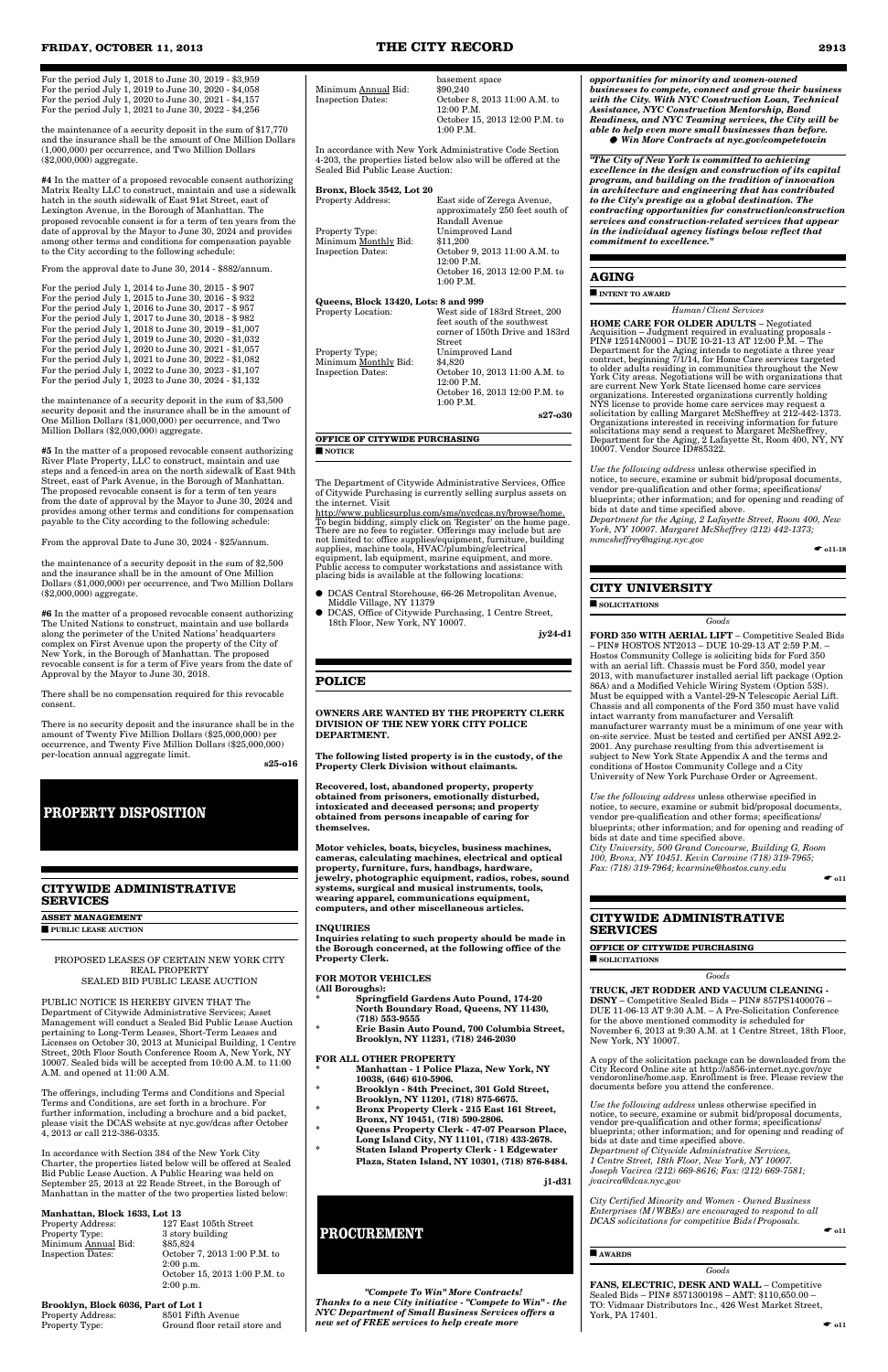For the period July 1, 2018 to June 30, 2019 - \$3,959 For the period July 1, 2019 to June 30, 2020 - \$4,058 For the period July 1, 2020 to June 30, 2021 - \$4,157 For the period July 1, 2021 to June 30, 2022 - \$4,256

the maintenance of a security deposit in the sum of \$17,770 and the insurance shall be the amount of One Million Dollars (1,000,000) per occurrence, and Two Million Dollars (\$2,000,000) aggregate.

**#4** In the matter of a proposed revocable consent authorizing Matrix Realty LLC to construct, maintain and use a sidewalk hatch in the south sidewalk of East 91st Street, east of Lexington Avenue, in the Borough of Manhattan. The proposed revocable consent is for a term of ten years from the date of approval by the Mayor to June 30, 2024 and provides among other terms and conditions for compensation payable to the City according to the following schedule:

From the approval date to June 30, 2014 - \$882/annum.

| For the period July 1, 2014 to June 30, 2015 - \$907   |
|--------------------------------------------------------|
| For the period July 1, 2015 to June 30, 2016 - \$932   |
| For the period July 1, 2016 to June 30, 2017 - \$957   |
| For the period July 1, 2017 to June 30, 2018 - \$982   |
| For the period July 1, 2018 to June 30, 2019 - \$1,007 |
| For the period July 1, 2019 to June 30, 2020 - \$1,032 |
| For the period July 1, 2020 to June 30, 2021 - \$1,057 |
| For the period July 1, 2021 to June 30, 2022 - \$1,082 |
| For the period July 1, 2022 to June 30, 2023 - \$1,107 |
| For the period July 1, 2023 to June 30, 2024 - \$1,132 |

the maintenance of a security deposit in the sum of \$3,500 security deposit and the insurance shall be in the amount of One Million Dollars (\$1,000,000) per occurrence, and Two Million Dollars (\$2,000,000) aggregate.

**#5** In the matter of a proposed revocable consent authorizing River Plate Property, LLC to construct, maintain and use steps and a fenced-in area on the north sidewalk of East 94th Street, east of Park Avenue, in the Borough of Manhattan. The proposed revocable consent is for a term of ten years from the date of approval by the Mayor to June 30, 2024 and provides among other terms and conditions for compensation payable to the City according to the following schedule:

From the approval Date to June 30, 2024 - \$25/annum.

Property Address: 127 East 105th Street<br>Property Type: 3 story building  $3$  story building<br> $$85.824$ October 7, 2013 1:00 P.M. to 2:00 p.m. October 15, 2013 1:00 P.M. to 2:00 p.m.

the maintenance of a security deposit in the sum of \$2,500 and the insurance shall be in the amount of One Million Dollars (\$1,000,000) per occurrence, and Two Million Dollars (\$2,000,000) aggregate.

**#6** In the matter of a proposed revocable consent authorizing The United Nations to construct, maintain and use bollards along the perimeter of the United Nations' headquarters complex on First Avenue upon the property of the City of New York, in the Borough of Manhattan. The proposed revocable consent is for a term of Five years from the date of Approval by the Mayor to June 30, 2018.

#### feet south of the southwest corner of 150th Drive and 183rd Street Property Type; Unimproved Land Minimum Monthly Bid: \$4,820 Inspection Dates: October 10, 2013 11:00 A.M. to 12:00 P.M. October 16, 2013 12:00 P.M. to 1:00 P.M.

There shall be no compensation required for this revocable consent.

There is no security deposit and the insurance shall be in the amount of Twenty Five Million Dollars (\$25,000,000) per occurrence, and Twenty Five Million Dollars (\$25,000,000) per-location annual aggregate limit.

**s25-o16** 

# **CITYWIDE ADMINISTRATIVE SERVICES**

**ASSET MANAGEMENT**

■ **PUBLIC LEASE AUCTION**

PROPOSED LEASES OF CERTAIN NEW YORK CITY REAL PROPERTY SEALED BID PUBLIC LEASE AUCTION

Department of Citywide Administrative Services; Asset Management will conduct a Sealed Bid Public Lease Auction pertaining to Long-Term Leases, Short-Term Leases and Licenses on October 30, 2013 at Municipal Building, 1 Centre Street, 20th Floor South Conference Room A, New York, NY 10007. Sealed bids will be accepted from 10:00 A.M. to 11:00 A.M. and opened at 11:00 A.M.

The offerings, including Terms and Conditions and Special Terms and Conditions, are set forth in a brochure. For further information, including a brochure and a bid packet, please visit the DCAS website at nyc.gov/dcas after October 4, 2013 or call 212-386-0335.

In accordance with Section 384 of the New York City Charter, the properties listed below will be offered at Sealed Bid Public Lease Auction. A Public Hearing was held on September 25, 2013 at 22 Reade Street, in the Borough of Manhattan in the matter of the two properties listed below:

# **Manhattan, Block 1633, Lot 13**<br>Property Address: 127 H

Minimum Annual Bid:<br>Inspection Dates:

# **Brooklyn, Block 6036, Part of Lot 1**

Property Address: 8501 Fifth Avenue<br>Property Type: Ground floor retail Ground floor retail store and

| Minimum Annual Bid:      | basement space<br>\$90,240                    |
|--------------------------|-----------------------------------------------|
| <b>Inspection Dates:</b> | October 8, 2013 11:00 A.M. to<br>$12:00$ P.M. |

12:00 P.M. October 15, 2013 12:00 P.M. to 1:00 P.M.

In accordance with New York Administrative Code Section 4-203, the properties listed below also will be offered at the Sealed Bid Public Lease Auction:

| Bronx, Block 3542, Lot 20            |                                                                                              |
|--------------------------------------|----------------------------------------------------------------------------------------------|
| Property Address:                    | East side of Zerega Avenue,<br>approximately 250 feet south of<br>Randall Avenue             |
| Property Type:                       | Unimproved Land                                                                              |
| Minimum Monthly Bid:                 | \$11,200                                                                                     |
| Inspection Dates:                    | October 9, 2013 11:00 A.M. to<br>12:00 P.M.<br>October 16, 2013 12:00 P.M. to<br>$1:00$ P.M. |
| Queens, Block 13420, Lots: 8 and 999 |                                                                                              |
| Property Location:                   | West side of 183rd Street, 200<br>$f_{\text{out}}$ and $h_{\text{out}}$ of the and broad     |
|                                      |                                                                                              |

**s27-o30**

#### **OFFICE OF CITYWIDE PURCHASING** ■ **NOTICE**

The Department of Citywide Administrative Services, Office of Citywide Purchasing is currently selling surplus assets on the internet. Visit

http://www.publicsurplus.com/sms/nycdcas.ny/browse/home. To begin bidding, simply click on 'Register' on the home page. There are no fees to register. Offerings may include but are not limited to: office supplies/equipment, furniture, building supplies, machine tools, HVAC/plumbing/electrical equipment, lab equipment, marine equipment, and more. Public access to computer workstations and assistance with placing bids is available at the following locations:

- DCAS Central Storehouse, 66-26 Metropolitan Avenue, Middle Village, NY 11379
- DCAS, Office of Citywide Purchasing, 1 Centre Street, 18th Floor, New York, NY 10007.

**jy24-d1**

# **POLICE**

**OWNERS ARE WANTED BY THE PROPERTY CLERK DIVISION OF THE NEW YORK CITY POLICE DEPARTMENT.**

> FANS, ELECTRIC, DESK AND WALL – Competitive Sealed Bids – PIN# 8571300198 – AMT: \$110,650.00 – TO: Vidmaar Distributors Inc., 426 West Market Street, York, PA 17401.

**The following listed property is in the custody, of the Property Clerk Division without claimants.**

**Recovered, lost, abandoned property, property obtained from prisoners, emotionally disturbed, intoxicated and deceased persons; and property obtained from persons incapable of caring for themselves.**

**Motor vehicles, boats, bicycles, business machines, cameras, calculating machines, electrical and optical property, furniture, furs, handbags, hardware, jewelry, photographic equipment, radios, robes, sound systems, surgical and musical instruments, tools, wearing apparel, communications equipment, computers, and other miscellaneous articles.**

#### **INQUIRIES**

**Inquiries relating to such property should be made in the Borough concerned, at the following office of the Property Clerk.**

### **FOR MOTOR VEHICLES**

**(All Boroughs): \* Springfield Gardens Auto Pound, 174-20** 

**North Boundary Road, Queens, NY 11430, (718) 553-9555**

**\* Erie Basin Auto Pound, 700 Columbia Street, Brooklyn, NY 11231, (718) 246-2030**

#### **FOR ALL OTHER PROPERTY**

- **\* Manhattan 1 Police Plaza, New York, NY 10038, (646) 610-5906.**
- **\* Brooklyn 84th Precinct, 301 Gold Street, Brooklyn, NY 11201, (718) 875-6675.**
- **\* Bronx Property Clerk 215 East 161 Street, Bronx, NY 10451, (718) 590-2806.**
	- **\* Queens Property Clerk 47-07 Pearson Place, Long Island City, NY 11101, (718) 433-2678.**
	- **\* Staten Island Property Clerk 1 Edgewater Plaza, Staten Island, NY 10301, (718) 876-8484.**

**j1-d31** 

*"Compete To Win" More Contracts! Thanks to a new City initiative - "Compete to Win" - the NYC Department of Small Business Services offers a new set of FREE services to help create more*

*opportunities for minority and women-owned businesses to compete, connect and grow their business with the City. With NYC Construction Loan, Technical Assistance, NYC Construction Mentorship, Bond Readiness, and NYC Teaming services, the City will be able to help even more small businesses than before.* ● *Win More Contracts at nyc.gov/competetowin*

*"The City of New York is committed to achieving excellence in the design and construction of its capital program, and building on the tradition of innovation in architecture and engineering that has contributed to the City's prestige as a global destination. The contracting opportunities for construction/construction services and construction-related services that appear in the individual agency listings below reflect that commitment to excellence."*

# **AGING**

■ **INTENT TO AWARD**

#### *Human/Client Services*

**HOME CARE FOR OLDER ADULTS** – Negotiated Acquisition – Judgment required in evaluating proposals - PIN# 12514N0001 – DUE 10-21-13 AT 12:00 P.M. – The Department for the Aging intends to negotiate a three year contract, beginning 7/1/14, for Home Care services targeted to older adults residing in communities throughout the New York City areas. Negotiations will be with organizations that are current New York State licensed home care services organizations. Interested organizations currently holding NYS license to provide home care services may request a solicitation by calling Margaret McSheffrey at 212-442-1373. Organizations interested in receiving information for future solicitations may send a request to Margaret McSheffrey, Department for the Aging, 2 Lafayette St, Room 400, NY, NY 10007. Vendor Source ID#85322.

*Use the following address* unless otherwise specified in notice, to secure, examine or submit bid/proposal documents, vendor pre-qualification and other forms; specifications/ blueprints; other information; and for opening and reading of bids at date and time specified above.

*Department for the Aging, 2 Lafayette Street, Room 400, New York, NY 10007. Margaret McSheffrey (212) 442-1373; mmcsheffrey@aging.nyc.gov*

 $\bullet$  011-18

# **CITY UNIVERSITY**

■ **SOLICITATIONS**

*Goods*

**FORD 350 WITH AERIAL LIFT** – Competitive Sealed Bids – PIN# HOSTOS NT2013 – DUE 10-29-13 AT 2:59 P.M. – Hostos Community College is soliciting bids for Ford 350 with an aerial lift. Chassis must be Ford 350, model year 2013, with manufacturer installed aerial lift package (Option 86A) and a Modified Vehicle Wiring System (Option 53S). Must be equipped with a Vantel-29-N Telescopic Aerial Lift. Chassis and all components of the Ford 350 must have valid intact warranty from manufacturer and Versalift manufacturer warranty must be a minimum of one year with on-site service. Must be tested and certified per ANSI A92.2- 2001. Any purchase resulting from this advertisement is subject to New York State Appendix A and the terms and conditions of Hostos Community College and a City University of New York Purchase Order or Agreement.

*Use the following address* unless otherwise specified in notice, to secure, examine or submit bid/proposal documents, vendor pre-qualification and other forms; specifications/ blueprints; other information; and for opening and reading of bids at date and time specified above. *City University, 500 Grand Concourse, Building G, Room 100, Bronx, NY 10451. Kevin Carmine (718) 319-7965; Fax: (718) 319-7964; kcarmine@hostos.cuny.edu*

 $\bullet$  011

# **CITYWIDE ADMINISTRATIVE SERVICES**

**OFFICE OF CITYWIDE PURCHASING** ■ **SOLICITATIONS**

*Goods*

**TRUCK, JET RODDER AND VACUUM CLEANING - DSNY** – Competitive Sealed Bids – PIN# 857PS1400076 – DUE 11-06-13 AT 9:30 A.M. – A Pre-Solicitation Conference for the above mentioned commodity is scheduled for November 6, 2013 at 9:30 A.M. at 1 Centre Street, 18th Floor, New York, NY 10007.

A copy of the solicitation package can be downloaded from the City Record Online site at http://a856-internet.nyc.gov/nyc vendoronline/home.asp. Enrollment is free. Please review the documents before you attend the conference.

*Use the following address* unless otherwise specified in notice, to secure, examine or submit bid/proposal documents, vendor pre-qualification and other forms; specifications/ blueprints; other information; and for opening and reading of bids at date and time specified above. *Department of Citywide Administrative Services, 1 Centre Street, 18th Floor, New York, NY 10007. Joseph Vacirca (212) 669-8616; Fax: (212) 669-7581; jvacirca@dcas.nyc.gov*

*City Certified Minority and Women - Owned Business Enterprises (M/WBEs) are encouraged to respond to all DCAS solicitations for competitive Bids/Proposals.*

 $\bullet$  011

#### ■ **AWARDS**

#### *Goods*

# **PROPERTY DISPOSITION**

# **PROCUREMENT**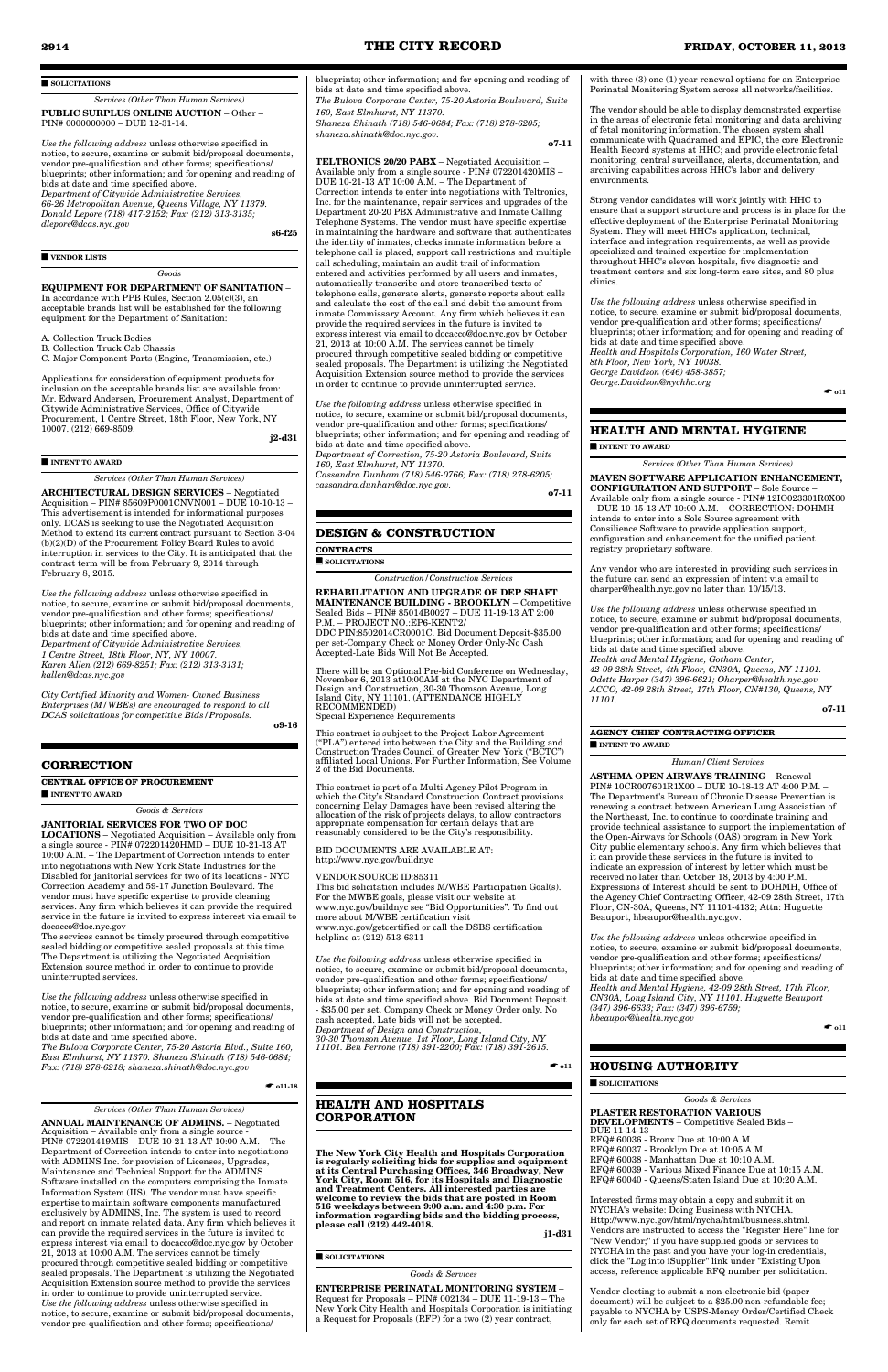#### ■ **SOLICITATIONS**

*Services (Other Than Human Services)* **PUBLIC SURPLUS ONLINE AUCTION** – Other – PIN# 0000000000 – DUE 12-31-14.

*Use the following address* unless otherwise specified in notice, to secure, examine or submit bid/proposal documents, vendor pre-qualification and other forms; specifications/ blueprints; other information; and for opening and reading of bids at date and time specified above. *Department of Citywide Administrative Services, 66-26 Metropolitan Avenue, Queens Village, NY 11379. Donald Lepore (718) 417-2152; Fax: (212) 313-3135; dlepore@dcas.nyc.gov*

**s6-f25** 

#### ■ **VENDOR LISTS**

### *Goods* **EQUIPMENT FOR DEPARTMENT OF SANITATION** –

In accordance with PPB Rules, Section 2.05(c)(3), an acceptable brands list will be established for the following equipment for the Department of Sanitation:

A. Collection Truck Bodies

B. Collection Truck Cab Chassis

C. Major Component Parts (Engine, Transmission, etc.)

Applications for consideration of equipment products for inclusion on the acceptable brands list are available from: Mr. Edward Andersen, Procurement Analyst, Department of Citywide Administrative Services, Office of Citywide Procurement, 1 Centre Street, 18th Floor, New York, NY 10007. (212) 669-8509.

**j2-d31** 

#### ■ **INTENT TO AWARD**

#### *Services (Other Than Human Services)*

**ARCHITECTURAL DESIGN SERVICES** – Negotiated Acquisition – PIN# 85609P0001CNVN001 – DUE 10-10-13 – This advertisement is intended for informational purposes only. DCAS is seeking to use the Negotiated Acquisition Method to extend its current contract pursuant to Section 3-04 (b)(2)(D) of the Procurement Policy Board Rules to avoid interruption in services to the City. It is anticipated that the contract term will be from February 9, 2014 through February 8, 2015.

*Use the following address* unless otherwise specified in bid/prop

*Use the following address* unless otherwise specified in notice, to secure, examine or submit bid/proposal documents, vendor pre-qualification and other forms; specifications/ blueprints; other information; and for opening and reading of bids at date and time specified above. *Department of Citywide Administrative Services, 1 Centre Street, 18th Floor, NY, NY 10007. Karen Allen (212) 669-8251; Fax: (212) 313-3131; kallen@dcas.nyc.gov*

*City Certified Minority and Women- Owned Business Enterprises (M/WBEs) are encouraged to respond to all DCAS solicitations for competitive Bids/Proposals.*

**o9-16** 

#### **CORRECTION**

**CENTRAL OFFICE OF PROCUREMENT**

■ **INTENT TO AWARD**

#### *Goods & Services* **JANITORIAL SERVICES FOR TWO OF DOC**

**LOCATIONS** – Negotiated Acquisition – Available only from a single source - PIN# 072201420HMD – DUE 10-21-13 AT 10:00 A.M. – The Department of Correction intends to enter into negotiations with New York State Industries for the Disabled for janitorial services for two of its locations - NYC Correction Academy and 59-17 Junction Boulevard. The vendor must have specific expertise to provide cleaning services. Any firm which believes it can provide the required service in the future is invited to express interest via email to docacco@doc.nyc.gov

The services cannot be timely procured through competitive sealed bidding or competitive sealed proposals at this time. The Department is utilizing the Negotiated Acquisition Extension source method in order to continue to provide uninterrupted services.

vendor pre-qualification and other forms; specifications/ blueprints; other information; and for opening and reading of bids at date and time specified above.

*cassandra.dunham@doc.nyc.gov.*  $\overline{\text{07-11}}$ 

*The Bulova Corporate Center, 75-20 Astoria Blvd., Suite 160, East Elmhurst, NY 11370. Shaneza Shinath (718) 546-0684; Fax: (718) 278-6218; shaneza.shinath@doc.nyc.gov*

 $\bullet$  011-18

*Services (Other Than Human Services)*

This bid solicitation includes M/WBE Participation Goal(s). For the MWBE goals, please visit our website at www.nyc.gov/buildnyc see "Bid Opportunities". To find out more about M/WBE certification visit www.nyc.gov/getcertified or call the DSBS certification helpline at (212) 513-6311

**ANNUAL MAINTENANCE OF ADMINS.** – Negotiated Acquisition – Available only from a single source - PIN# 072201419MIS – DUE 10-21-13 AT 10:00 A.M. – The Department of Correction intends to enter into negotiations with ADMINS Inc. for provision of Licenses, Upgrades, Maintenance and Technical Support for the ADMINS Software installed on the computers comprising the Inmate Information System (IIS). The vendor must have specific expertise to maintain software components manufactured exclusively by ADMINS, Inc. The system is used to record and report on inmate related data. Any firm which believes it can provide the required services in the future is invited to express interest via email to docacco@doc.nyc.gov by October 21, 2013 at 10:00 A.M. The services cannot be timely procured through competitive sealed bidding or competitive sealed proposals. The Department is utilizing the Negotiated Acquisition Extension source method to provide the services in order to continue to provide uninterrupted service. *Use the following address* unless otherwise specified in notice, to secure, examine or submit bid/proposal documents, vendor pre-qualification and other forms; specifications/

 $\bullet$  011

**ENTERPRISE PERINATAL MONITORING SYSTEM** – Request for Proposals – PIN# 002134 – DUE 11-19-13 – The New York City Health and Hospitals Corporation is initiating a Request for Proposals (RFP) for a two  $(2)$  year contract,

 $\bullet$  011

blueprints; other information; and for opening and reading of bids at date and time specified above. *The Bulova Corporate Center, 75-20 Astoria Boulevard, Suite 160, East Elmhurst, NY 11370. Shaneza Shinath (718) 546-0684; Fax: (718) 278-6205; shaneza.shinath@doc.nyc.gov.* **o7-11**

**TELTRONICS 20/20 PABX** – Negotiated Acquisition – Available only from a single source - PIN# 072201420MIS –

DUE 10-21-13 AT 10:00 A.M. – The Department of Correction intends to enter into negotiations with Teltronics, Inc. for the maintenance, repair services and upgrades of the Department 20-20 PBX Administrative and Inmate Calling Telephone Systems. The vendor must have specific expertise in maintaining the hardware and software that authenticates the identity of inmates, checks inmate information before a telephone call is placed, support call restrictions and multiple call scheduling, maintain an audit trail of information entered and activities performed by all users and inmates, automatically transcribe and store transcribed texts of telephone calls, generate alerts, generate reports about calls and calculate the cost of the call and debit the amount from inmate Commissary Account. Any firm which believes it can provide the required services in the future is invited to express interest via email to docacco@doc.nyc.gov by October 21, 2013 at 10:00 A.M. The services cannot be timely procured through competitive sealed bidding or competitive sealed proposals. The Department is utilizing the Negotiated Acquisition Extension source method to provide the services in order to continue to provide uninterrupted service.

*Use the following address* unless otherwise specified in notice, to secure, examine or submit bid/proposal documents, vendor pre-qualification and other forms; specifications/ blueprints; other information; and for opening and reading of bids at date and time specified above.

*Department of Correction, 75-20 Astoria Boulevard, Suite 160, East Elmhurst, NY 11370. Cassandra Dunham (718) 546-0766; Fax: (718) 278-6205;*

#### **DESIGN & CONSTRUCTION**

#### **CONTRACTS**

■ **SOLICITATIONS**

*Construction/Construction Services*

#### **REHABILITATION AND UPGRADE OF DEP SHAFT MAINTENANCE BUILDING - BROOKLYN** – Competitive Sealed Bids – PIN# 85014B0027 – DUE 11-19-13 AT 2:00 P.M. – PROJECT NO.:EP6-KENT2/

DDC PIN:8502014CR0001C. Bid Document Deposit-\$35.00 per set-Company Check or Money Order Only-No Cash Accepted-Late Bids Will Not Be Accepted.

There will be an Optional Pre-bid Conference on Wednesday, November 6, 2013 at10:00AM at the NYC Department of Design and Construction, 30-30 Thomson Avenue, Long Island City, NY 11101. (ATTENDANCE HIGHLY RECOMMENDED)

Special Experience Requirements

This contract is subject to the Project Labor Agreement ("PLA") entered into between the City and the Building and Construction Trades Council of Greater New York ("BCTC") affiliated Local Unions. For Further Information, See Volume 2 of the Bid Documents.

This contract is part of a Multi-Agency Pilot Program in which the City's Standard Construction Contract provisions concerning Delay Damages have been revised altering the allocation of the risk of projects delays, to allow contractors appropriate compensation for certain delays that are reasonably considered to be the City's responsibility.

BID DOCUMENTS ARE AVAILABLE AT: http://www.nyc.gov/buildnyc

VENDOR SOURCE ID:85311

*Use the following address* unless otherwise specified in notice, to secure, examine or submit bid/proposal documents, vendor pre-qualification and other forms; specifications/ blueprints; other information; and for opening and reading of bids at date and time specified above. Bid Document Deposit - \$35.00 per set. Company Check or Money Order only. No cash accepted. Late bids will not be accepted. *Department of Design and Construction, 30-30 Thomson Avenue, 1st Floor, Long Island City, NY 11101. Ben Perrone (718) 391-2200; Fax: (718) 391-2615.*

**HEALTH AND HOSPITALS**

**CORPORATION**

#### **The New York City Health and Hospitals Corporation is regularly soliciting bids for supplies and equipment at its Central Purchasing Offices, 346 Broadway, New York City, Room 516, for its Hospitals and Diagnostic and Treatment Centers. All interested parties are welcome to review the bids that are posted in Room 516 weekdays between 9:00 a.m. and 4:30 p.m. For information regarding bids and the bidding process, please call (212) 442-4018. j1-d31** 00-000000

■ **SOLICITATIONS**

*Goods & Services*

with three (3) one (1) year renewal options for an Enterprise Perinatal Monitoring System across all networks/facilities.

The vendor should be able to display demonstrated expertise in the areas of electronic fetal monitoring and data archiving of fetal monitoring information. The chosen system shall communicate with Quadramed and EPIC, the core Electronic Health Record systems at HHC; and provide electronic fetal monitoring, central surveillance, alerts, documentation, and archiving capabilities across HHC's labor and delivery environments.

Strong vendor candidates will work jointly with HHC to ensure that a support structure and process is in place for the effective deployment of the Enterprise Perinatal Monitoring System. They will meet HHC's application, technical, interface and integration requirements, as well as provide specialized and trained expertise for implementation throughout HHC's eleven hospitals, five diagnostic and treatment centers and six long-term care sites, and 80 plus clinics.

*Use the following address* unless otherwise specified in notice, to secure, examine or submit bid/proposal documents, vendor pre-qualification and other forms; specifications/ blueprints; other information; and for opening and reading of bids at date and time specified above. *Health and Hospitals Corporation, 160 Water Street, 8th Floor, New York, NY 10038. George Davidson (646) 458-3857; George.Davidson@nychhc.org*

 $\bullet$  011

#### **HEALTH AND MENTAL HYGIENE**

#### ■ **INTENT TO AWARD**

*Services (Other Than Human Services)*

#### **MAVEN SOFTWARE APPLICATION ENHANCEMENT, CONFIGURATION AND SUPPORT** – Sole Source –

Available only from a single source - PIN# 12IO023301R0X00 – DUE 10-15-13 AT 10:00 A.M. – CORRECTION: DOHMH intends to enter into a Sole Source agreement with Consilience Software to provide application support, configuration and enhancement for the unified patient registry proprietary software.

Any vendor who are interested in providing such services in the future can send an expression of intent via email to oharper@health.nyc.gov no later than 10/15/13.

*Use the following address* unless otherwise specified in notice, to secure, examine or submit bid/proposal documents, vendor pre-qualification and other forms; specifications/ blueprints; other information; and for opening and reading of bids at date and time specified above. *Health and Mental Hygiene, Gotham Center, 42-09 28th Street, 4th Floor, CN30A, Queens, NY 11101. Odette Harper (347) 396-6621; Oharper@health.nyc.gov ACCO, 42-09 28th Street, 17th Floor, CN#130, Queens, NY 11101.*

**o7-11** 

#### **AGENCY CHIEF CONTRACTING OFFICER** ■ **INTENT TO AWARD**

#### *Human/Client Services*

**ASTHMA OPEN AIRWAYS TRAINING** – Renewal – PIN# 10CR007601R1X00 – DUE 10-18-13 AT 4:00 P.M. – The Department's Bureau of Chronic Disease Prevention is renewing a contract between American Lung Association of the Northeast, Inc. to continue to coordinate training and provide technical assistance to support the implementation of the Open-Airways for Schools (OAS) program in New York City public elementary schools. Any firm which believes that it can provide these services in the future is invited to indicate an expression of interest by letter which must be received no later than October 18, 2013 by 4:00 P.M. Expressions of Interest should be sent to DOHMH, Office of the Agency Chief Contracting Officer, 42-09 28th Street, 17th Floor, CN-30A, Queens, NY 11101-4132; Attn: Huguette Beauport, hbeaupor@health.nyc.gov.

*Use the following address* unless otherwise specified in notice, to secure, examine or submit bid/proposal documents, vendor pre-qualification and other forms; specifications/ blueprints; other information; and for opening and reading of bids at date and time specified above. *Health and Mental Hygiene, 42-09 28th Street, 17th Floor, CN30A, Long Island City, NY 11101. Huguette Beauport (347) 396-6633; Fax: (347) 396-6759;*

*hbeaupor@health.nyc.gov*

# **HOUSING AUTHORITY**

■ **SOLICITATIONS**

*Goods & Services*

**PLASTER RESTORATION VARIOUS DEVELOPMENTS** – Competitive Sealed Bids – DUE 11-14-13 – RFQ# 60036 - Bronx Due at 10:00 A.M. RFQ# 60037 - Brooklyn Due at 10:05 A.M. RFQ# 60038 - Manhattan Due at 10:10 A.M. RFQ# 60039 - Various Mixed Finance Due at 10:15 A.M. RFQ# 60040 - Queens/Staten Island Due at 10:20 A.M.

Interested firms may obtain a copy and submit it on NYCHA's website: Doing Business with NYCHA. Http://www.nyc.gov/html/nycha/html/business.shtml. Vendors are instructed to access the "Register Here" line for "New Vendor;" if you have supplied goods or services to NYCHA in the past and you have your log-in credentials, click the "Log into iSupplier" link under "Existing Upon access, reference applicable RFQ number per solicitation.

Vendor electing to submit a non-electronic bid (paper document) will be subject to a \$25.00 non-refundable fee; payable to NYCHA by USPS-Money Order/Certified Check only for each set of RFQ documents requested. Remit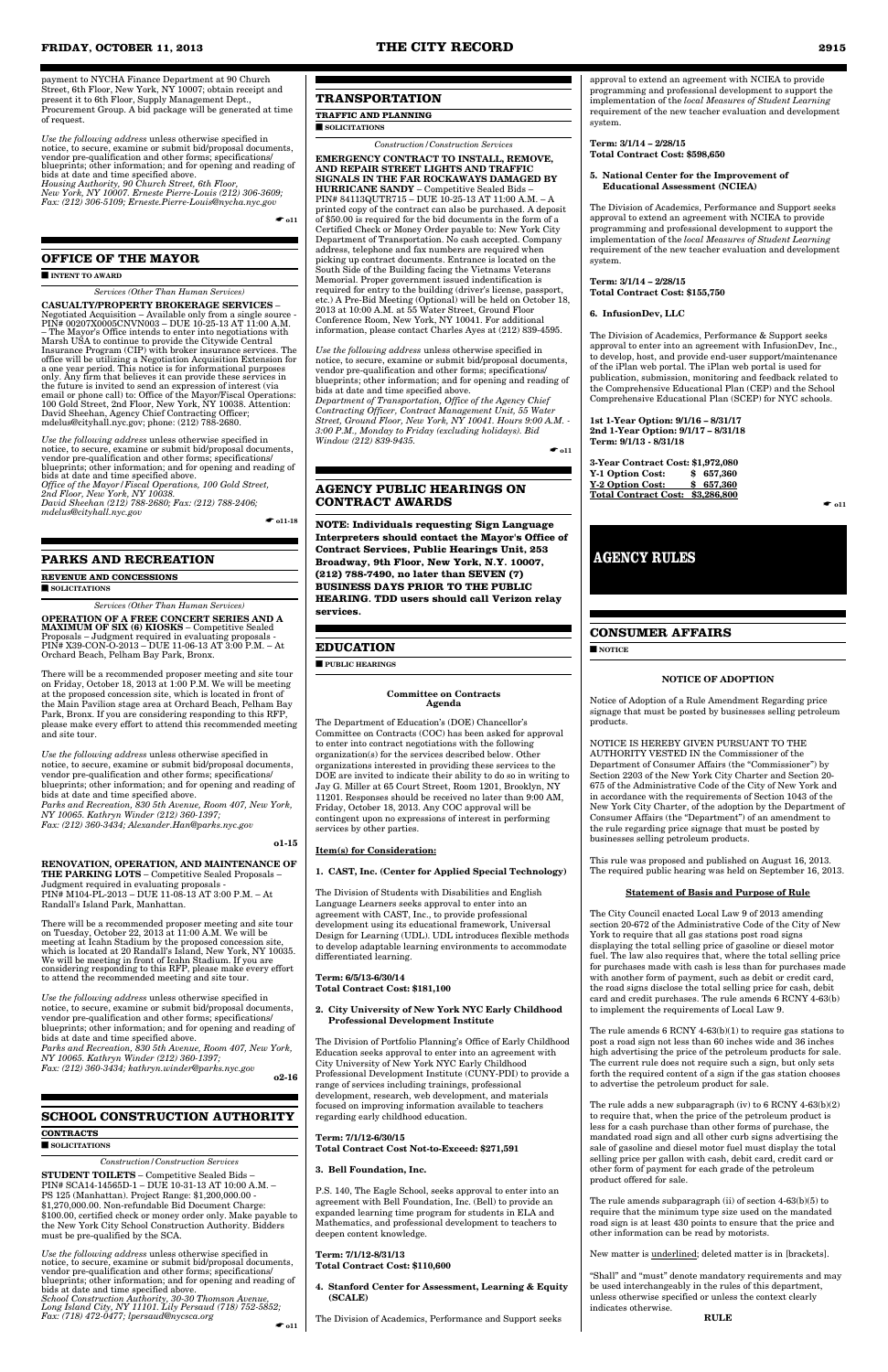payment to NYCHA Finance Department at 90 Church Street, 6th Floor, New York, NY 10007; obtain receipt and present it to 6th Floor, Supply Management Dept., Procurement Group. A bid package will be generated at time of request.

*Use the following address* unless otherwise specified in notice, to secure, examine or submit bid/proposal documents, vendor pre-qualification and other forms; specifications/ blueprints; other information; and for opening and reading of bids at date and time specified above. *Housing Authority, 90 Church Street, 6th Floor,* 

*New York, NY 10007. Erneste Pierre-Louis (212) 306-3609; Fax: (212) 306-5109; Erneste.Pierre-Louis@nycha.nyc.gov*

 $\bullet$  011

### **OFFICE OF THE MAYOR**

#### ■ **INTENT TO AWARD**

#### *Services (Other Than Human Services)*

**CASUALTY/PROPERTY BROKERAGE SERVICES** – Negotiated Acquisition – Available only from a single source - PIN# 00207X0005CNVN003 – DUE 10-25-13 AT 11:00 A.M. – The Mayor's Office intends to enter into negotiations with Marsh USA to continue to provide the Citywide Central Insurance Program (CIP) with broker insurance services. The office will be utilizing a Negotiation Acquisition Extension for a one year period. This notice is for informational purposes only. Any firm that believes it can provide these services in the future is invited to send an expression of interest (via email or phone call) to: Office of the Mayor/Fiscal Operations: 100 Gold Street, 2nd Floor, New York, NY 10038. Attention: David Sheehan, Agency Chief Contracting Officer; mdelus@cityhall.nyc.gov; phone: (212) 788-2680.

*Use the following address* unless otherwise specified in notice, to secure, examine or submit bid/proposal documents, vendor pre-qualification and other forms; specifications/ blueprints; other information; and for opening and reading of bids at date and time specified above. *Office of the Mayor/Fiscal Operations, 100 Gold Street, 2nd Floor, New York, NY 10038. David Sheehan (212) 788-2680; Fax: (212) 788-2406; mdelus@cityhall.nyc.gov*

 $\bullet$  011-18

#### **PARKS AND RECREATION**

**REVENUE AND CONCESSIONS** ■ **SOLICITATIONS**

*Services (Other Than Human Services)* **OPERATION OF A FREE CONCERT SERIES AND A MAXIMUM OF SIX (6) KIOSKS** – Competitive Sealed Proposals – Judgment required in evaluating proposals - PIN# X39-CON-O-2013 – DUE 11-06-13 AT 3:00 P.M. – At Orchard Beach, Pelham Bay Park, Bronx.

There will be a recommended proposer meeting and site tour on Friday, October 18, 2013 at 1:00 P.M. We will be meeting at the proposed concession site, which is located in front of the Main Pavilion stage area at Orchard Beach, Pelham Bay Park, Bronx. If you are considering responding to this RFP, please make every effort to attend this recommended meeting and site tour.

*Use the following address* unless otherwise specified in notice, to secure, examine or submit bid/proposal documents, vendor pre-qualification and other forms; specifications/ blueprints; other information; and for opening and reading of bids at date and time specified above. *Parks and Recreation, 830 5th Avenue, Room 407, New York, NY 10065. Kathryn Winder (212) 360-1397; Fax: (212) 360-3434; Alexander.Han@parks.nyc.gov*

**o1-15** 

#### **RENOVATION, OPERATION, AND MAINTENANCE OF THE PARKING LOTS** – Competitive Sealed Proposals – Judgment required in evaluating proposals - PIN# M104-PL-2013 – DUE 11-08-13 AT 3:00 P.M. – At Randall's Island Park, Manhattan.

There will be a recommended proposer meeting and site tour on Tuesday, October 22, 2013 at 11:00 A.M. We will be meeting at Icahn Stadium by the proposed concession site, which is located at 20 Randall's Island, New York, NY 10035. We will be meeting in front of Icahn Stadium. If you are considering responding to this RFP, please make every effort to attend the recommended meeting and site tour.

*Use the following address* unless otherwise specified in

notice, to secure, examine or submit bid/proposal documents, vendor pre-qualification and other forms; specifications/ blueprints; other information; and for opening and reading of bids at date and time specified above.

*Parks and Recreation, 830 5th Avenue, Room 407, New York, NY 10065. Kathryn Winder (212) 360-1397; Fax: (212) 360-3434; kathryn.winder@parks.nyc.gov*

**o2-16** 

### **SCHOOL CONSTRUCTION AUTHORITY**

#### **CONTRACTS**

#### ■ **SOLICITATIONS**

*Construction/Construction Services*

**STUDENT TOILETS** – Competitive Sealed Bids – PIN# SCA14-14565D-1 – DUE 10-31-13 AT 10:00 A.M. – PS 125 (Manhattan). Project Range: \$1,200,000.00 - \$1,270,000.00. Non-refundable Bid Document Charge: \$100.00, certified check or money order only. Make payable to the New York City School Construction Authority. Bidders must be pre-qualified by the SCA.

*Use the following address* unless otherwise specified in notice, to secure, examine or submit bid/proposal documents, vendor pre-qualification and other forms; specifications/ blueprints; other information; and for opening and reading of bids at date and time specified above. *School Construction Authority, 30-30 Thomson Avenue, Long Island City, NY 11101. Lily Persaud (718) 752-5852; Fax: (718) 472-0477; lpersaud@nycsca.org* ☛ **o11**

# **TRANSPORTATION**

#### **TRAFFIC AND PLANNING**

■ **SOLICITATIONS**

*Construction/Construction Services*

**EMERGENCY CONTRACT TO INSTALL, REMOVE, AND REPAIR STREET LIGHTS AND TRAFFIC SIGNALS IN THE FAR ROCKAWAYS DAMAGED BY HURRICANE SANDY** – Competitive Sealed Bids – PIN# 84113QUTR715 – DUE 10-25-13 AT 11:00 A.M. – A printed copy of the contract can also be purchased. A deposit of \$50.00 is required for the bid documents in the form of a Certified Check or Money Order payable to: New York City Department of Transportation. No cash accepted. Company address, telephone and fax numbers are required when picking up contract documents. Entrance is located on the South Side of the Building facing the Vietnams Veterans Memorial. Proper government issued indentification is required for entry to the building (driver's license, passport, etc.) A Pre-Bid Meeting (Optional) will be held on October 18, 2013 at 10:00 A.M. at 55 Water Street, Ground Floor Conference Room, New York, NY 10041. For additional information, please contact Charles Ayes at (212) 839-4595.

> The rule adds a new subparagraph (iv) to  $6$  RCNY  $4\text{-}63(\mathrm{b})(2)$ to require that, when the price of the petroleum product is less for a cash purchase than other forms of purchase, the mandated road sign and all other curb signs advertising the sale of gasoline and diesel motor fuel must display the total selling price per gallon with cash, debit card, credit card or other form of payment for each grade of the petroleum product offered for sale.

*Use the following address* unless otherwise specified in notice, to secure, examine or submit bid/proposal documents, vendor pre-qualification and other forms; specifications/ blueprints; other information; and for opening and reading of bids at date and time specified above. *Department of Transportation, Office of the Agency Chief Contracting Officer, Contract Management Unit, 55 Water Street, Ground Floor, New York, NY 10041. Hours 9:00 A.M. - 3:00 P.M., Monday to Friday (excluding holidays). Bid Window (212) 839-9435.*

 $\bullet$  011

#### **AGENCY PUBLIC HEARINGS ON CONTRACT AWARDS**

**NOTE: Individuals requesting Sign Language Interpreters should contact the Mayor's Office of Contract Services, Public Hearings Unit, 253 Broadway, 9th Floor, New York, N.Y. 10007, (212) 788-7490, no later than SEVEN (7) BUSINESS DAYS PRIOR TO THE PUBLIC HEARING. TDD users should call Verizon relay services.**

#### **EDUCATION**

■ **PUBLIC HEARINGS**

#### **Committee on Contracts Agenda**

The Department of Education's (DOE) Chancellor's Committee on Contracts (COC) has been asked for approval to enter into contract negotiations with the following organization(s) for the services described below. Other organizations interested in providing these services to the DOE are invited to indicate their ability to do so in writing to Jay G. Miller at 65 Court Street, Room 1201, Brooklyn, NY 11201. Responses should be received no later than 9:00 AM, Friday, October 18, 2013. Any COC approval will be contingent upon no expressions of interest in performing services by other parties.

#### **Item(s) for Consideration:**

#### **1. CAST, Inc. (Center for Applied Special Technology)**

The Division of Students with Disabilities and English Language Learners seeks approval to enter into an agreement with CAST, Inc., to provide professional development using its educational framework, Universal Design for Learning (UDL). UDL introduces flexible methods to develop adaptable learning environments to accommodate differentiated learning.

**Term: 6/5/13-6/30/14 Total Contract Cost: \$181,100**

#### **2. City University of New York NYC Early Childhood Professional Development Institute**

The Division of Portfolio Planning's Office of Early Childhood Education seeks approval to enter into an agreement with City University of New York NYC Early Childhood Professional Development Institute (CUNY-PDI) to provide a range of services including trainings, professional development, research, web development, and materials focused on improving information available to teachers regarding early childhood education.

**Term: 7/1/12-6/30/15 Total Contract Cost Not-to-Exceed: \$271,591**

### **3. Bell Foundation, Inc.**

P.S. 140, The Eagle School, seeks approval to enter into an agreement with Bell Foundation, Inc. (Bell) to provide an expanded learning time program for students in ELA and Mathematics, and professional development to teachers to deepen content knowledge.

#### **Term: 7/1/12-8/31/13 Total Contract Cost: \$110,600**

- **4. Stanford Center for Assessment, Learning & Equity (SCALE)**
- The Division of Academics, Performance and Support seeks

approval to extend an agreement with NCIEA to provide programming and professional development to support the implementation of the *local Measures of Student Learning* requirement of the new teacher evaluation and development system.

**Term: 3/1/14 – 2/28/15 Total Contract Cost: \$598,650**

#### **5. National Center for the Improvement of Educational Assessment (NCIEA)**

The Division of Academics, Performance and Support seeks approval to extend an agreement with NCIEA to provide programming and professional development to support the implementation of the *local Measures of Student Learning* requirement of the new teacher evaluation and development system.

**Term: 3/1/14 – 2/28/15 Total Contract Cost: \$155,750**

#### **6. InfusionDev, LLC**

The Division of Academics, Performance & Support seeks approval to enter into an agreement with InfusionDev, Inc., to develop, host, and provide end-user support/maintenance of the iPlan web portal. The iPlan web portal is used for publication, submission, monitoring and feedback related to the Comprehensive Educational Plan (CEP) and the School Comprehensive Educational Plan (SCEP) for NYC schools.

**1st 1-Year Option: 9/1/16 – 8/31/17 2nd 1-Year Option: 9/1/17 – 8/31/18 Term: 9/1/13 - 8/31/18**

**3-Year Contract Cost: \$1,972,080 Y-1 Option Cost: \$ 657,360 Y-2 Option Cost: \$ 657,360 Total Contract Cost: \$3,286,800**

 $\bullet$  011

#### **CONSUMER AFFAIRS**

■ **NOTICE**

#### **NOTICE OF ADOPTION**

Notice of Adoption of a Rule Amendment Regarding price signage that must be posted by businesses selling petroleum products.

NOTICE IS HEREBY GIVEN PURSUANT TO THE AUTHORITY VESTED IN the Commissioner of the Department of Consumer Affairs (the "Commissioner") by Section 2203 of the New York City Charter and Section 20- 675 of the Administrative Code of the City of New York and in accordance with the requirements of Section 1043 of the New York City Charter, of the adoption by the Department of Consumer Affairs (the "Department") of an amendment to the rule regarding price signage that must be posted by businesses selling petroleum products.

This rule was proposed and published on August 16, 2013. The required public hearing was held on September 16, 2013.

#### **Statement of Basis and Purpose of Rule**

The City Council enacted Local Law 9 of 2013 amending section 20-672 of the Administrative Code of the City of New York to require that all gas stations post road signs displaying the total selling price of gasoline or diesel motor fuel. The law also requires that, where the total selling price for purchases made with cash is less than for purchases made with another form of payment, such as debit or credit card, the road signs disclose the total selling price for cash, debit card and credit purchases. The rule amends 6 RCNY 4-63(b)

to implement the requirements of Local Law 9.

The rule amends 6 RCNY 4-63(b)(1) to require gas stations to post a road sign not less than 60 inches wide and 36 inches high advertising the price of the petroleum products for sale. The current rule does not require such a sign, but only sets forth the required content of a sign if the gas station chooses to advertise the petroleum product for sale.

The rule amends subparagraph (ii) of section 4-63(b)(5) to require that the minimum type size used on the mandated road sign is at least 430 points to ensure that the price and other information can be read by motorists.

New matter is underlined; deleted matter is in [brackets].

"Shall" and "must" denote mandatory requirements and may be used interchangeably in the rules of this department, unless otherwise specified or unless the context clearly indicates otherwise.

**RULE** 

# **AGENCY RULES**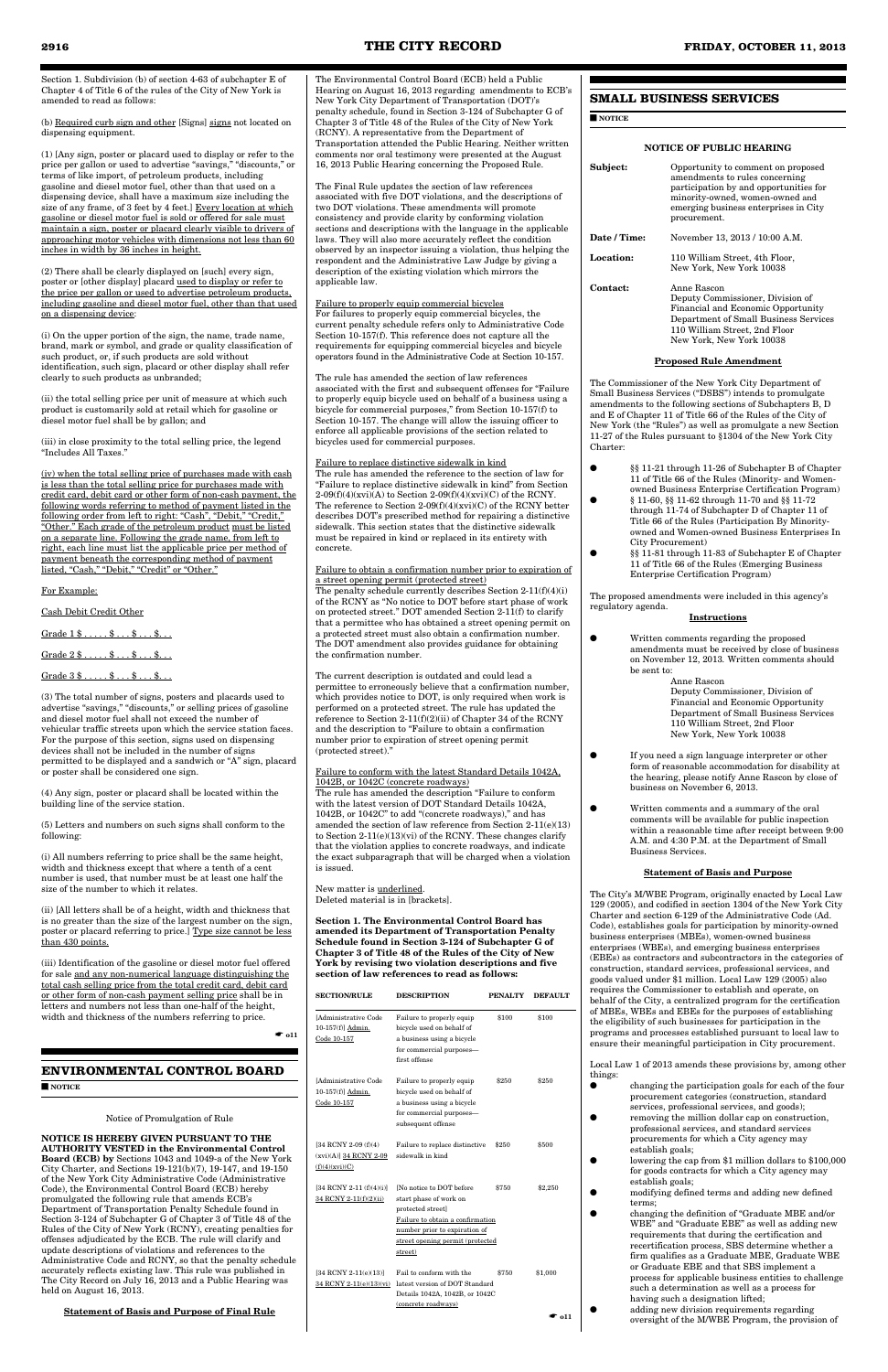Section 1. Subdivision (b) of section 4-63 of subchapter E of Chapter 4 of Title 6 of the rules of the City of New York is amended to read as follows:

(b) Required curb sign and other [Signs] signs not located on dispensing equipment.

(1) [Any sign, poster or placard used to display or refer to the price per gallon or used to advertise "savings," "discounts," or terms of like import, of petroleum products, including gasoline and diesel motor fuel, other than that used on a dispensing device, shall have a maximum size including the size of any frame, of 3 feet by 4 feet.] Every location at which gasoline or diesel motor fuel is sold or offered for sale must maintain a sign, poster or placard clearly visible to drivers of approaching motor vehicles with dimensions not less than 60 inches in width by 36 inches in height.

(2) There shall be clearly displayed on [such] every sign, poster or [other display] placard used to display or refer to the price per gallon or used to advertise petroleum products, including gasoline and diesel motor fuel, other than that used on a dispensing device:

(i) On the upper portion of the sign, the name, trade name, brand, mark or symbol, and grade or quality classification of such product, or, if such products are sold without identification, such sign, placard or other display shall refer clearly to such products as unbranded;

(ii) the total selling price per unit of measure at which such product is customarily sold at retail which for gasoline or diesel motor fuel shall be by gallon; and

(iii) in close proximity to the total selling price, the legend "Includes All Taxes."

(iii) Identification of the gasoline or diesel motor fuel offered for sale and any non-numerical language distinguishing the total cash selling price from the total credit card, debit card or other form of non-cash payment selling price shall be in rs and numbers not less than one-half of the height

(iv) when the total selling price of purchases made with cash is less than the total selling price for purchases made with credit card, debit card or other form of non-cash payment, the following words referring to method of payment listed in the following order from left to right: "Cash", "Debit," "Credit," "Other." Each grade of the petroleum product must be listed on a separate line. Following the grade name, from left to right, each line must list the applicable price per method of payment beneath the corresponding method of payment listed, "Cash," "Debit," "Credit" or "Other."

#### For Example:

Cash Debit Credit Other

Grade 1 \$ . . . . . \$ . . . \$ . . . \$. . .

 $Grade 3 $... . . $... $... $... $...$ 

(3) The total number of signs, posters and placards used to advertise "savings," "discounts," or selling prices of gasoline and diesel motor fuel shall not exceed the number of vehicular traffic streets upon which the service station faces. For the purpose of this section, signs used on dispensing devices shall not be included in the number of signs permitted to be displayed and a sandwich or "A" sign, placard or poster shall be considered one sign.

(4) Any sign, poster or placard shall be located within the building line of the service station.

(5) Letters and numbers on such signs shall conform to the following:

(i) All numbers referring to price shall be the same height, width and thickness except that where a tenth of a cent number is used, that number must be at least one half the size of the number to which it relates.

(ii) [All letters shall be of a height, width and thickness that is no greater than the size of the largest number on the sign, poster or placard referring to price.] Type size cannot be less than 430 points.

width and thickness of the numbers referring to price.

☛ **o11**

**ENVIRONMENTAL CONTROL BOARD**

■ **NOTICE**

Notice of Promulgation of Rule

#### **NOTICE IS HEREBY GIVEN PURSUANT TO THE AUTHORITY VESTED in the Environmental Control**

**Board (ECB) by** Sections 1043 and 1049-a of the New York City Charter, and Sections 19-121(b)(7), 19-147, and 19-150 of the New York City Administrative Code (Administrative Code), the Environmental Control Board (ECB) hereby promulgated the following rule that amends ECB's Department of Transportation Penalty Schedule found in Section 3-124 of Subchapter G of Chapter 3 of Title 48 of the Rules of the City of New York (RCNY), creating penalties for offenses adjudicated by the ECB. The rule will clarify and update descriptions of violations and references to the Administrative Code and RCNY, so that the penalty schedule accurately reflects existing law. This rule was published in The City Record on July 16, 2013 and a Public Hearing was held on August 16, 2013.

#### **Statement of Basis and Purpose of Final Rule**

The Environmental Control Board (ECB) held a Public Hearing on August 16, 2013 regarding amendments to ECB's New York City Department of Transportation (DOT)'s penalty schedule, found in Section 3-124 of Subchapter G of Chapter 3 of Title 48 of the Rules of the City of New York (RCNY). A representative from the Department of Transportation attended the Public Hearing. Neither written comments nor oral testimony were presented at the August 16, 2013 Public Hearing concerning the Proposed Rule.

The Final Rule updates the section of law references associated with five DOT violations, and the descriptions of two DOT violations. These amendments will promote consistency and provide clarity by conforming violation sections and descriptions with the language in the applicable laws. They will also more accurately reflect the condition observed by an inspector issuing a violation, thus helping the respondent and the Administrative Law Judge by giving a description of the existing violation which mirrors the applicable law.

- §§ 11-21 through 11-26 of Subchapter B of Chapter 11 of Title 66 of the Rules (Minority- and Womenowned Business Enterprise Certification Program)
- $\S$  11-60,  $\S$  11-62 through 11-70 and  $\S$  11-72 through 11-74 of Subchapter D of Chapter 11 of Title 66 of the Rules (Participation By Minorityowned and Women-owned Business Enterprises In City Procurement)
- §§ 11-81 through 11-83 of Subchapter E of Chapter 11 of Title 66 of the Rules (Emerging Business Enterprise Certification Program)

Failure to properly equip commercial bicycles For failures to properly equip commercial bicycles, the current penalty schedule refers only to Administrative Code Section 10-157(f). This reference does not capture all the requirements for equipping commercial bicycles and bicycle operators found in the Administrative Code at Section 10-157.

The rule has amended the section of law references associated with the first and subsequent offenses for "Failure to properly equip bicycle used on behalf of a business using a bicycle for commercial purposes," from Section 10-157(f) to Section 10-157. The change will allow the issuing officer to enforce all applicable provisions of the section related to bicycles used for commercial purposes.

#### Failure to replace distinctive sidewalk in kind

The rule has amended the reference to the section of law for "Failure to replace distinctive sidewalk in kind" from Section  $2-09(f)(4)(xvi)(A)$  to Section  $2-09(f)(4)(xvi)(C)$  of the RCNY. The reference to Section 2-09(f)(4)(xvi)(C) of the RCNY better describes DOT's prescribed method for repairing a distinctive sidewalk. This section states that the distinctive sidewalk must be repaired in kind or replaced in its entirety with concrete.

#### Failure to obtain a confirmation number prior to expiration of a street opening permit (protected street)

The penalty schedule currently describes Section 2-11(f)(4)(i) of the RCNY as "No notice to DOT before start phase of work on protected street." DOT amended Section 2-11(f) to clarify that a permittee who has obtained a street opening permit on a protected street must also obtain a confirmation number. The DOT amendment also provides guidance for obtaining the confirmation number.

The current description is outdated and could lead a permittee to erroneously believe that a confirmation number, which provides notice to DOT, is only required when work is performed on a protected street. The rule has updated the reference to Section 2-11(f)(2)(ii) of Chapter 34 of the RCNY and the description to "Failure to obtain a confirmation number prior to expiration of street opening permit (protected street)."

#### Failure to conform with the latest Standard Details 1042A, 1042B, or 1042C (concrete roadways)

The rule has amended the description "Failure to conform with the latest version of DOT Standard Details 1042A, 1042B, or 1042C" to add "(concrete roadways)," and has amended the section of law reference from Section 2-11(e)(13) to Section 2-11(e)(13)(vi) of the RCNY. These changes clarify that the violation applies to concrete roadways, and indicate the exact subparagraph that will be charged when a violation is issued.

New matter is underlined. Deleted material is in [brackets].

**Section 1. The Environmental Control Board has amended its Department of Transportation Penalty Schedule found in Section 3-124 of Subchapter G of Chapter 3 of Title 48 of the Rules of the City of New York by revising two violation descriptions and five section of law references to read as follows:** 

| <b>SECTION/RULE</b> | <b>DESCRIPTION</b> | <b>PENALTY</b> | <b>DEFAULT</b> |
|---------------------|--------------------|----------------|----------------|
|                     |                    |                |                |

| [Administrative Code<br>10-157(f)] Admin.<br>Code 10-157              | Failure to properly equip<br>bicycle used on behalf of<br>a business using a bicycle<br>for commercial purposes—<br>first offense                                                            | \$100 | \$100   |
|-----------------------------------------------------------------------|----------------------------------------------------------------------------------------------------------------------------------------------------------------------------------------------|-------|---------|
| [Administrative Code<br>10-157(f)] Admin.<br>Code 10-157              | Failure to properly equip<br>bicycle used on behalf of<br>a business using a bicycle<br>for commercial purposes—<br>subsequent offense                                                       | \$250 | \$250   |
| [34 RCNY 2-09 (f)(4)<br>$(xvi)(A)$ ] $34$ RCNY 2-09<br>(f)(4)(xvi)(C) | Failure to replace distinctive<br>sidewalk in kind                                                                                                                                           | \$250 | \$500   |
| [34 RCNY 2-11 (f)(4)(i)]<br>34 RCNY 2-11(f)(2)(ii)                    | [No notice to DOT before]<br>start phase of work on<br>protected street]<br>Failure to obtain a confirmation<br>number prior to expiration of<br>street opening permit (protected<br>street) | \$750 | \$2,250 |
| [34 RCNY 2-11(e)(13)]<br>34 RCNY 2-11(e)(13)(vi)                      | Fail to conform with the<br>latest version of DOT Standard<br>Details 1042A, 1042B, or 1042C<br>(concrete roadways)                                                                          | \$750 | \$1,000 |
|                                                                       |                                                                                                                                                                                              |       | * ი11   |

# **SMALL BUSINESS SERVICES**

■ **NOTICE**

#### **NOTICE OF PUBLIC HEARING**

| Subject:         | Opportunity to comment on proposed<br>amendments to rules concerning<br>participation by and opportunities for<br>minority-owned, women-owned and<br>emerging business enterprises in City<br>procurement. |
|------------------|------------------------------------------------------------------------------------------------------------------------------------------------------------------------------------------------------------|
| Date / Time:     | November 13, 2013 / 10:00 A.M.                                                                                                                                                                             |
| <b>Location:</b> | 110 William Street, 4th Floor,<br>New York, New York 10038                                                                                                                                                 |
| Contact:         | Anne Rascon<br>Deputy Commissioner, Division of                                                                                                                                                            |

Deputy Commissioner, Division of Financial and Economic Opportunity Department of Small Business Services 110 William Street, 2nd Floor New York, New York 10038

#### **Proposed Rule Amendment**

The Commissioner of the New York City Department of Small Business Services ("DSBS") intends to promulgate amendments to the following sections of Subchapters B, D and E of Chapter 11 of Title 66 of the Rules of the City of New York (the "Rules") as well as promulgate a new Section 11-27 of the Rules pursuant to §1304 of the New York City Charter:

The proposed amendments were included in this agency's regulatory agenda.

#### **Instructions**

● Written comments regarding the proposed amendments must be received by close of business on November 12, 2013*.* Written comments should be sent to:

Anne Rascon Deputy Commissioner, Division of Financial and Economic Opportunity Department of Small Business Services 110 William Street, 2nd Floor New York, New York 10038

- If you need a sign language interpreter or other form of reasonable accommodation for disability at the hearing, please notify Anne Rascon by close of business on November 6, 2013.
- Written comments and a summary of the oral comments will be available for public inspection within a reasonable time after receipt between 9:00 A.M. and 4:30 P.M. at the Department of Small Business Services.

#### **Statement of Basis and Purpose**

The City's M/WBE Program, originally enacted by Local Law 129 (2005), and codified in section 1304 of the New York City Charter and section 6-129 of the Administrative Code (Ad. Code), establishes goals for participation by minority-owned business enterprises (MBEs), women-owned business enterprises (WBEs), and emerging business enterprises (EBEs) as contractors and subcontractors in the categories of construction, standard services, professional services, and goods valued under \$1 million. Local Law 129 (2005) also requires the Commissioner to establish and operate, on behalf of the City, a centralized program for the certification of MBEs, WBEs and EBEs for the purposes of establishing the eligibility of such businesses for participation in the programs and processes established pursuant to local law to ensure their meaningful participation in City procurement.

Local Law 1 of 2013 amends these provisions by, among other things:

- changing the participation goals for each of the four procurement categories (construction, standard services, professional services, and goods);
- **removing the million dollar cap on construction**, professional services, and standard services procurements for which a City agency may establish goals;
- lowering the cap from \$1 million dollars to \$100,000 for goods contracts for which a City agency may establish goals;
	- modifying defined terms and adding new defined terms;
- changing the definition of "Graduate MBE and/or WBE" and "Graduate EBE" as well as adding new requirements that during the certification and recertification process, SBS determine whether a firm qualifies as a Graduate MBE, Graduate WBE or Graduate EBE and that SBS implement a process for applicable business entities to challenge such a determination as well as a process for having such a designation lifted; adding new division requirements regarding oversight of the M/WBE Program, the provision of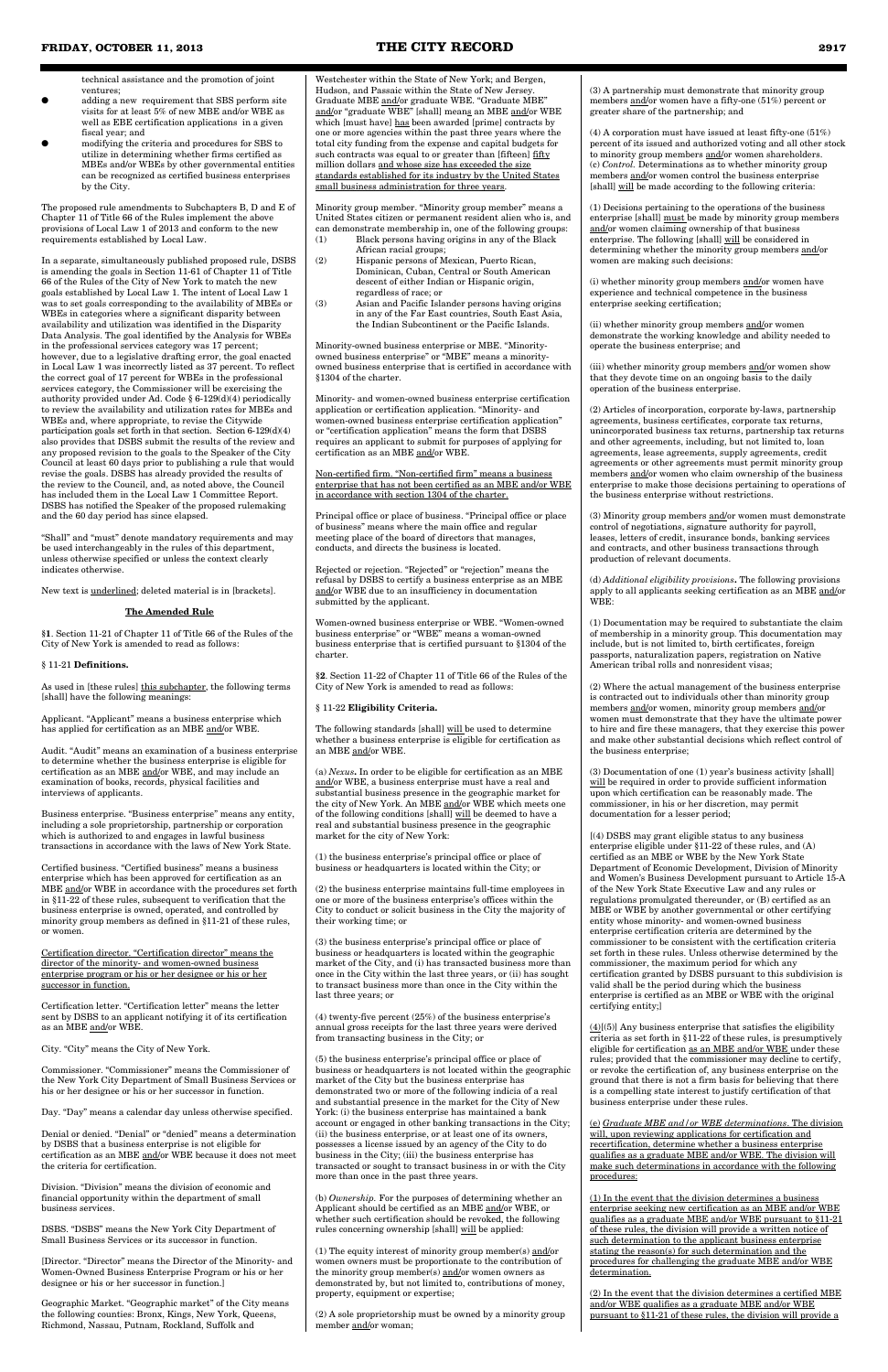technical assistance and the promotion of joint ventures;

- adding a new requirement that SBS perform site visits for at least 5% of new MBE and/or WBE as well as EBE certification applications in a given fiscal year; and
- modifying the criteria and procedures for SBS to utilize in determining whether firms certified as MBEs and/or WBEs by other governmental entities can be recognized as certified business enterprises by the City.

The proposed rule amendments to Subchapters B, D and E of Chapter 11 of Title 66 of the Rules implement the above provisions of Local Law 1 of 2013 and conform to the new requirements established by Local Law.

In a separate, simultaneously published proposed rule, DSBS is amending the goals in Section 11-61 of Chapter 11 of Title 66 of the Rules of the City of New York to match the new goals established by Local Law 1. The intent of Local Law 1 was to set goals corresponding to the availability of MBEs or WBEs in categories where a significant disparity between availability and utilization was identified in the Disparity Data Analysis. The goal identified by the Analysis for WBEs in the professional services category was 17 percent; however, due to a legislative drafting error, the goal enacted in Local Law 1 was incorrectly listed as 37 percent. To reflect the correct goal of 17 percent for WBEs in the professional services category, the Commissioner will be exercising the authority provided under Ad. Code § 6-129(d)(4) periodically to review the availability and utilization rates for MBEs and WBEs and, where appropriate, to revise the Citywide participation goals set forth in that section. Section  $6-129(d)(4)$ also provides that DSBS submit the results of the review and any proposed revision to the goals to the Speaker of the City Council at least 60 days prior to publishing a rule that would revise the goals. DSBS has already provided the results of the review to the Council, and, as noted above, the Council has included them in the Local Law 1 Committee Report. DSBS has notified the Speaker of the proposed rulemaking and the 60 day period has since elapsed.

"Shall" and "must" denote mandatory requirements and may be used interchangeably in the rules of this department, unless otherwise specified or unless the context clearly indicates otherwise.

New text is underlined; deleted material is in [brackets].

#### **The Amended Rule**

**§1**. Section 11-21 of Chapter 11 of Title 66 of the Rules of the City of New York is amended to read as follows:

#### § 11-21 **Definitions.**

As used in [these rules] this subchapter, the following terms [shall] have the following meanings:

Applicant. "Applicant" means a business enterprise which has applied for certification as an MBE and/or WBE.

Audit. "Audit" means an examination of a business enterprise to determine whether the business enterprise is eligible for certification as an MBE and/or WBE, and may include an examination of books, records, physical facilities and interviews of applicants.

Business enterprise. "Business enterprise" means any entity, including a sole proprietorship, partnership or corporation which is authorized to and engages in lawful business transactions in accordance with the laws of New York State.

Certified business. "Certified business" means a business enterprise which has been approved for certification as an MBE and/or WBE in accordance with the procedures set forth in §11-22 of these rules, subsequent to verification that the business enterprise is owned, operated, and controlled by minority group members as defined in §11-21 of these rules, or women.

Certification director. "Certification director" means the director of the minority- and women-owned business enterprise program or his or her designee or his or her successor in function.

Certification letter. "Certification letter" means the letter

sent by DSBS to an applicant notifying it of its certification as an MBE and/or WBE.

City. "City" means the City of New York.

Commissioner. "Commissioner" means the Commissioner of the New York City Department of Small Business Services or his or her designee or his or her successor in function.

Day. "Day" means a calendar day unless otherwise specified.

Denial or denied. "Denial" or "denied" means a determination by DSBS that a business enterprise is not eligible for certification as an MBE and/or WBE because it does not meet the criteria for certification.

Division. "Division" means the division of economic and financial opportunity within the department of small business services.

DSBS. "DSBS" means the New York City Department of Small Business Services or its successor in function.

[Director. "Director" means the Director of the Minority- and Women-Owned Business Enterprise Program or his or her designee or his or her successor in function.]

Geographic Market. "Geographic market" of the City means the following counties: Bronx, Kings, New York, Queens, Richmond, Nassau, Putnam, Rockland, Suffolk and

Minority group member. "Minority group member" means a United States citizen or permanent resident alien who is, and can demonstrate membership in, one of the following groups:

> (iii) whether minority group members  $\underline{\text{and}}/\text{or}$  women show that they devote time on an ongoing basis to the daily operation of the business enterprise.

- (1) Black persons having origins in any of the Black African racial groups;
- (2) Hispanic persons of Mexican, Puerto Rican, Dominican, Cuban, Central or South American descent of either Indian or Hispanic origin, regardless of race; or
- (3) Asian and Pacific Islander persons having origins in any of the Far East countries, South East Asia, the Indian Subcontinent or the Pacific Islands.

Minority-owned business enterprise or MBE. "Minorityowned business enterprise" or "MBE" means a minorityowned business enterprise that is certified in accordance with §1304 of the charter.

Minority- and women-owned business enterprise certification application or certification application. "Minority- and women-owned business enterprise certification application" or "certification application" means the form that DSBS requires an applicant to submit for purposes of applying for certification as an MBE and/or WBE.

Non-certified firm. "Non-certified firm" means a business enterprise that has not been certified as an MBE and/or WBE in accordance with section 1304 of the charter.

Principal office or place of business. "Principal office or place of business" means where the main office and regular meeting place of the board of directors that manages, conducts, and directs the business is located.

Rejected or rejection. "Rejected" or "rejection" means the refusal by DSBS to certify a business enterprise as an MBE and/or WBE due to an insufficiency in documentation submitted by the applicant.

> $(4)[(5)]$  Any business enterprise that satisfies the eligibility criteria as set forth in §11-22 of these rules, is presumptively eligible for certification as an MBE and/or WBE under these rules; provided that the commissioner may decline to certify, or revoke the certification of, any business enterprise on the ground that there is not a firm basis for believing that there is a compelling state interest to justify certification of that business enterprise under these rules.

Women-owned business enterprise or WBE. "Women-owned business enterprise" or "WBE" means a woman-owned business enterprise that is certified pursuant to §1304 of the charter.

**§2**. Section 11-22 of Chapter 11 of Title 66 of the Rules of the City of New York is amended to read as follows:

§ 11-22 **Eligibility Criteria.**

The following standards [shall] will be used to determine whether a business enterprise is eligible for certification as an MBE and/or WBE.

(a) *Nexus***.** In order to be eligible for certification as an MBE and/or WBE, a business enterprise must have a real and substantial business presence in the geographic market for the city of New York. An MBE and/or WBE which meets one of the following conditions [shall] will be deemed to have a real and substantial business presence in the geographic market for the city of New York:

(1) the business enterprise's principal office or place of business or headquarters is located within the City; or

(2) the business enterprise maintains full-time employees in one or more of the business enterprise's offices within the City to conduct or solicit business in the City the majority of their working time; or

(3) the business enterprise's principal office or place of business or headquarters is located within the geographic market of the City, and (i) has transacted business more than once in the City within the last three years, or (ii) has sought to transact business more than once in the City within the last three years; or

(4) twenty-five percent (25%) of the business enterprise's annual gross receipts for the last three years were derived from transacting business in the City; or

(5) the business enterprise's principal office or place of business or headquarters is not located within the geographic market of the City but the business enterprise has demonstrated two or more of the following indicia of a real and substantial presence in the market for the City of New York: (i) the business enterprise has maintained a bank account or engaged in other banking transactions in the City; (ii) the business enterprise, or at least one of its owners, possesses a license issued by an agency of the City to do business in the City; (iii) the business enterprise has transacted or sought to transact business in or with the City more than once in the past three years.

(b) *Ownership.* For the purposes of determining whether an Applicant should be certified as an MBE and/or WBE, or whether such certification should be revoked, the following rules concerning ownership [shall] will be applied:

(1) The equity interest of minority group member(s) and/or women owners must be proportionate to the contribution of the minority group member(s) and/or women owners as demonstrated by, but not limited to, contributions of money, property, equipment or expertise;

(2) A sole proprietorship must be owned by a minority group member and/or woman;

(3) A partnership must demonstrate that minority group members and/or women have a fifty-one (51%) percent or greater share of the partnership; and

(4) A corporation must have issued at least fifty-one  $(51\%)$ percent of its issued and authorized voting and all other stock to minority group members and/or women shareholders. (c) *Control.* Determinations as to whether minority group members and/or women control the business enterprise [shall] will be made according to the following criteria:

(1) Decisions pertaining to the operations of the business enterprise [shall] must be made by minority group members and/or women claiming ownership of that business enterprise. The following [shall] will be considered in determining whether the minority group members and/or women are making such decisions:

(i) whether minority group members and/or women have experience and technical competence in the business enterprise seeking certification;

(ii) whether minority group members and/or women demonstrate the working knowledge and ability needed to operate the business enterprise; and

(2) Articles of incorporation, corporate by-laws, partnership agreements, business certificates, corporate tax returns, unincorporated business tax returns, partnership tax returns and other agreements, including, but not limited to, loan agreements, lease agreements, supply agreements, credit agreements or other agreements must permit minority group members and/or women who claim ownership of the business enterprise to make those decisions pertaining to operations of the business enterprise without restrictions.

(3) Minority group members and/or women must demonstrate control of negotiations, signature authority for payroll, leases, letters of credit, insurance bonds, banking services and contracts, and other business transactions through production of relevant documents.

(d) *Additional eligibility provisions***.** The following provisions apply to all applicants seeking certification as an MBE and/or WBE:

(1) Documentation may be required to substantiate the claim of membership in a minority group. This documentation may include, but is not limited to, birth certificates, foreign passports, naturalization papers, registration on Native American tribal rolls and nonresident visas;

(2) Where the actual management of the business enterprise is contracted out to individuals other than minority group members and/or women, minority group members and/or women must demonstrate that they have the ultimate power to hire and fire these managers, that they exercise this power and make other substantial decisions which reflect control of the business enterprise;

(3) Documentation of one (1) year's business activity [shall] will be required in order to provide sufficient information upon which certification can be reasonably made. The commissioner, in his or her discretion, may permit documentation for a lesser period;

[(4) DSBS may grant eligible status to any business enterprise eligible under §11-22 of these rules, and (A) certified as an MBE or WBE by the New York State Department of Economic Development, Division of Minority and Women's Business Development pursuant to Article 15-A of the New York State Executive Law and any rules or regulations promulgated thereunder, or (B) certified as an MBE or WBE by another governmental or other certifying entity whose minority- and women-owned business enterprise certification criteria are determined by the commissioner to be consistent with the certification criteria set forth in these rules. Unless otherwise determined by the commissioner, the maximum period for which any certification granted by DSBS pursuant to this subdivision is valid shall be the period during which the business enterprise is certified as an MBE or WBE with the original certifying entity;]

(e) *Graduate MBE and/or WBE determinations*. The division will, upon reviewing applications for certification and recertification, determine whether a business enterprise qualifies as a graduate MBE and/or WBE. The division will make such determinations in accordance with the following procedures:

(1) In the event that the division determines a business enterprise seeking new certification as an MBE and/or WBE qualifies as a graduate MBE and/or WBE pursuant to §11-21 of these rules, the division will provide a written notice of such determination to the applicant business enterprise stating the reason(s) for such determination and the procedures for challenging the graduate MBE and/or WBE determination.

(2) In the event that the division determines a certified MBE and/or WBE qualifies as a graduate MBE and/or WBE pursuant to §11-21 of these rules, the division will provide a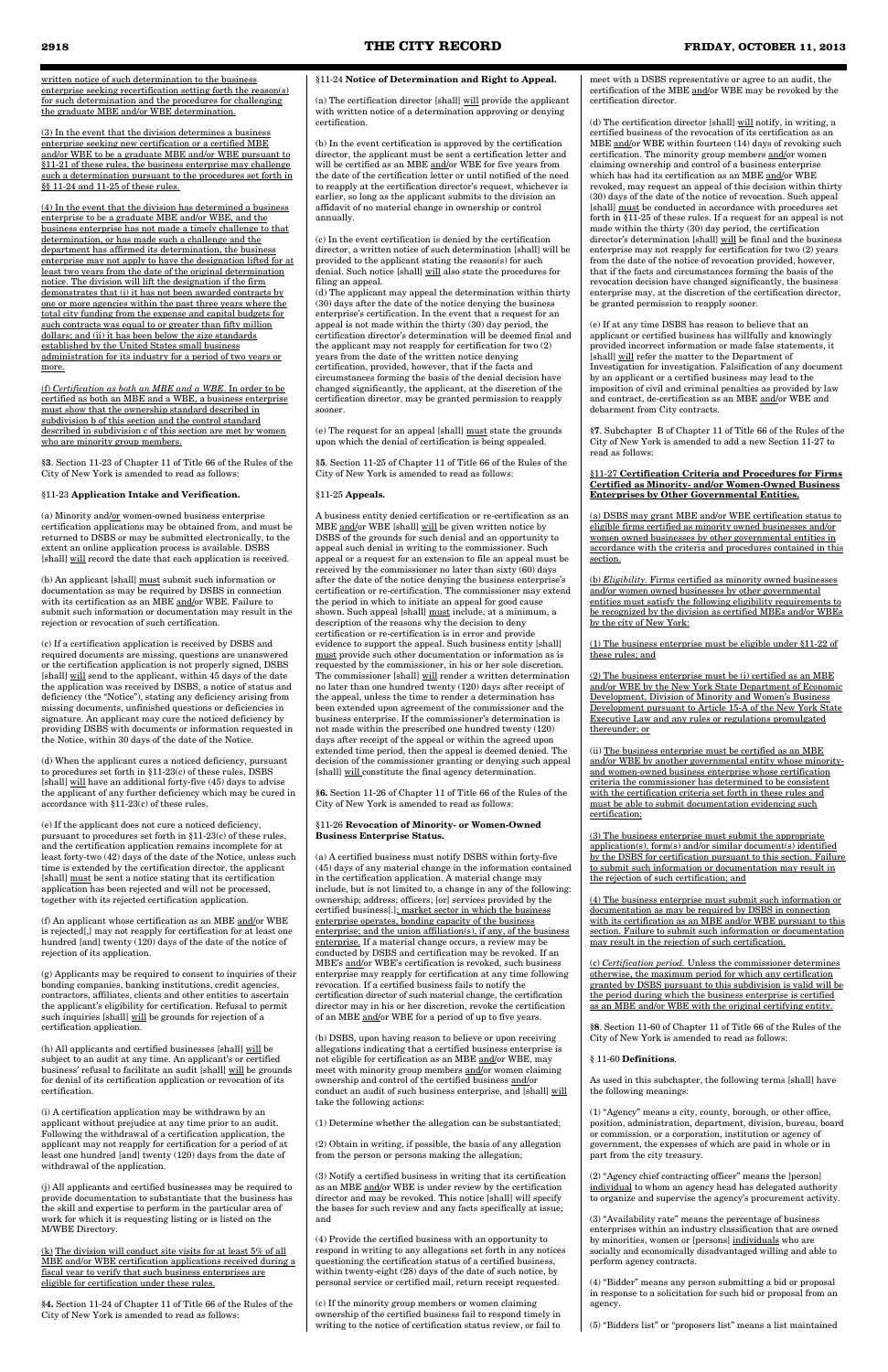written notice of such determination to the business enterprise seeking recertification setting forth the reason(s) for such determination and the procedures for challenging the graduate MBE and/or WBE determination.

(3) In the event that the division determines a business enterprise seeking new certification or a certified MBE and/or WBE to be a graduate MBE and/or WBE pursuant to §11-21 of these rules, the business enterprise may challenge such a determination pursuant to the procedures set forth in §§ 11-24 and 11-25 of these rules.

(f) *Certification as both an MBE and a WBE*. In order to be certified as both an MBE and a WBE, a business enterprise must show that the ownership standard described in subdivision b of this section and the control standard described in subdivision c of this section are met by women who are minority group members.

(a) Minority and/or women-owned business enterprise certification applications may be obtained from, and must be returned to DSBS or may be submitted electronically, to the extent an online application process is available. DSBS [shall] will record the date that each application is received.

(4) In the event that the division has determined a business enterprise to be a graduate MBE and/or WBE, and the business enterprise has not made a timely challenge to that determination, or has made such a challenge and the department has affirmed its determination, the business enterprise may not apply to have the designation lifted for at least two years from the date of the original determination notice. The division will lift the designation if the firm demonstrates that (i) it has not been awarded contracts by one or more agencies within the past three years where the total city funding from the expense and capital budgets for such contracts was equal to or greater than fifty million dollars; and (ii) it has been below the size standards established by the United States small business administration for its industry for a period of two years or more.

(b) An applicant [shall]  $\underline{\textit{must}}$  submit such information or documentation as may be required by DSBS in connection with its certification as an MBE and/or WBE. Failure to submit such information or documentation may result in the rejection or revocation of such certification.

**§3**. Section 11-23 of Chapter 11 of Title 66 of the Rules of the City of New York is amended to read as follows:

#### §11-23 **Application Intake and Verification.**

(c) If a certification application is received by DSBS and required documents are missing, questions are unanswered or the certification application is not properly signed, DSBS [shall] will send to the applicant, within 45 days of the date the application was received by DSBS, a notice of status and deficiency (the "Notice"), stating any deficiency arising from missing documents, unfinished questions or deficiencies in signature. An applicant may cure the noticed deficiency by providing DSBS with documents or information requested in the Notice, within 30 days of the date of the Notice.

(d) When the applicant cures a noticed deficiency, pursuant to procedures set forth in §11-23(c) of these rules, DSBS [shall] will have an additional forty-five (45) days to advise the applicant of any further deficiency which may be cured in accordance with §11-23(c) of these rules.

(e) If the applicant does not cure a noticed deficiency, pursuant to procedures set forth in §11-23(c) of these rules, and the certification application remains incomplete for at least forty-two (42) days of the date of the Notice, unless such time is extended by the certification director, the applicant [shall] must be sent a notice stating that its certification application has been rejected and will not be processed, together with its rejected certification application.

(e) The request for an appeal [shall]  $\underline{\text{must}}$  state the grounds upon which the denial of certification is being appealed.

A business entity denied certification or re-certification as an MBE and/or WBE [shall] will be given written notice by DSBS of the grounds for such denial and an opportunity to appeal such denial in writing to the commissioner. Such appeal or a request for an extension to file an appeal must be received by the commissioner no later than sixty (60) days after the date of the notice denying the business enterprise's certification or re-certification. The commissioner may extend the period in which to initiate an appeal for good cause shown. Such appeal [shall] must include, at a minimum, a description of the reasons why the decision to deny certification or re-certification is in error and provide evidence to support the appeal. Such business entity [shall] must provide such other documentation or information as is requested by the commissioner, in his or her sole discretion. The commissioner [shall] will render a written determination no later than one hundred twenty (120) days after receipt of the appeal, unless the time to render a determination has been extended upon agreement of the commissioner and the business enterprise. If the commissioner's determination is not made within the prescribed one hundred twenty (120) days after receipt of the appeal or within the agreed upon extended time period, then the appeal is deemed denied. The decision of the commissioner granting or denying such appeal [shall] will constitute the final agency determination.

(f) An applicant whose certification as an MBE and/or WBE is rejected[,] may not reapply for certification for at least one hundred [and] twenty (120) days of the date of the notice of rejection of its application.

(g) Applicants may be required to consent to inquiries of their bonding companies, banking institutions, credit agencies, contractors, affiliates, clients and other entities to ascertain the applicant's eligibility for certification. Refusal to permit such inquiries [shall] will be grounds for rejection of a certification application.

(h) All applicants and certified businesses [shall] will be subject to an audit at any time. An applicant's or certified business' refusal to facilitate an audit [shall] will be grounds for denial of its certification application or revocation of its certification.

(i) A certification application may be withdrawn by an applicant without prejudice at any time prior to an audit. Following the withdrawal of a certification application, the applicant may not reapply for certification for a period of at least one hundred [and] twenty (120) days from the date of withdrawal of the application.

(j) All applicants and certified businesses may be required to provide documentation to substantiate that the business has the skill and expertise to perform in the particular area of work for which it is requesting listing or is listed on the M/WBE Directory.

(k) The division will conduct site visits for at least 5% of all MBE and/or WBE certification applications received during a fiscal year to verify that such business enterprises are eligible for certification under these rules.

**§4.** Section 11-24 of Chapter 11 of Title 66 of the Rules of the City of New York is amended to read as follows:

§11-24 **Notice of Determination and Right to Appeal.**

(a) The certification director [shall] will provide the applicant with written notice of a determination approving or denying certification.

(b) In the event certification is approved by the certification director, the applicant must be sent a certification letter and will be certified as an MBE and/or WBE for five years from the date of the certification letter or until notified of the need to reapply at the certification director's request, whichever is earlier, so long as the applicant submits to the division an affidavit of no material change in ownership or control annually.

(c) In the event certification is denied by the certification director, a written notice of such determination [shall] will be provided to the applicant stating the reason(s) for such denial. Such notice [shall] will also state the procedures for filing an appeal.

(d) The applicant may appeal the determination within thirty (30) days after the date of the notice denying the business enterprise's certification. In the event that a request for an appeal is not made within the thirty (30) day period, the certification director's determination will be deemed final and the applicant may not reapply for certification for two (2) years from the date of the written notice denying certification, provided, however, that if the facts and circumstances forming the basis of the denial decision have changed significantly, the applicant, at the discretion of the certification director, may be granted permission to reapply sooner.

**§5**. Section 11-25 of Chapter 11 of Title 66 of the Rules of the City of New York is amended to read as follows:

#### §11-25 **Appeals.**

**§6.** Section 11-26 of Chapter 11 of Title 66 of the Rules of the City of New York is amended to read as follows:

#### §11-26 **Revocation of Minority- or Women-Owned Business Enterprise Status.**

(a) A certified business must notify DSBS within forty-five (45) days of any material change in the information contained in the certification application. A material change may include, but is not limited to, a change in any of the following: ownership; address; officers; [or] services provided by the certified business[.]; market sector in which the business enterprise operates, bonding capacity of the business enterprise; and the union affiliation(s), if any, of the business enterprise. If a material change occurs, a review may be conducted by DSBS and certification may be revoked. If an MBE's and/or WBE's certification is revoked, such business enterprise may reapply for certification at any time following revocation. If a certified business fails to notify the certification director of such material change, the certification director may in his or her discretion, revoke the certification of an MBE and/or WBE for a period of up to five years.

(b) DSBS, upon having reason to believe or upon receiving allegations indicating that a certified business enterprise is not eligible for certification as an MBE and/or WBE, may meet with minority group members and/or women claiming ownership and control of the certified business and/or conduct an audit of such business enterprise, and [shall] will take the following actions:

(1) Determine whether the allegation can be substantiated;

(2) Obtain in writing, if possible, the basis of any allegation from the person or persons making the allegation;

(3) Notify a certified business in writing that its certification as an MBE and/or WBE is under review by the certification director and may be revoked. This notice [shall] will specify the bases for such review and any facts specifically at issue; and

(4) Provide the certified business with an opportunity to respond in writing to any allegations set forth in any notices questioning the certification status of a certified business, within twenty-eight (28) days of the date of such notice, by personal service or certified mail, return receipt requested.

(c) If the minority group members or women claiming ownership of the certified business fail to respond timely in writing to the notice of certification status review, or fail to

meet with a DSBS representative or agree to an audit, the certification of the MBE and/or WBE may be revoked by the certification director.

(d) The certification director [shall] will notify, in writing, a certified business of the revocation of its certification as an MBE and/or WBE within fourteen (14) days of revoking such certification. The minority group members and/or women claiming ownership and control of a business enterprise which has had its certification as an MBE and/or WBE revoked, may request an appeal of this decision within thirty (30) days of the date of the notice of revocation. Such appeal [shall] must be conducted in accordance with procedures set forth in §11-25 of these rules. If a request for an appeal is not made within the thirty (30) day period, the certification director's determination [shall] will be final and the business enterprise may not reapply for certification for two (2) years from the date of the notice of revocation provided, however, that if the facts and circumstances forming the basis of the revocation decision have changed significantly, the business enterprise may, at the discretion of the certification director, be granted permission to reapply sooner.

(e) If at any time DSBS has reason to believe that an applicant or certified business has willfully and knowingly provided incorrect information or made false statements, it [shall] will refer the matter to the Department of Investigation for investigation. Falsification of any document by an applicant or a certified business may lead to the imposition of civil and criminal penalties as provided by law and contract, de-certification as an MBE and/or WBE and debarment from City contracts.

**§7**. Subchapter B of Chapter 11 of Title 66 of the Rules of the City of New York is amended to add a new Section 11-27 to read as follows:

#### §11-27 **Certification Criteria and Procedures for Firms Certified as Minority- and/or Women-Owned Business Enterprises by Other Governmental Entities.**

(a) DSBS may grant MBE and/or WBE certification status to eligible firms certified as minority owned businesses and/or women owned businesses by other governmental entities in accordance with the criteria and procedures contained in this section.

(b) *Eligibility.* Firms certified as minority owned businesses and/or women owned businesses by other governmental entities must satisfy the following eligibility requirements to be recognized by the division as certified MBEs and/or WBEs by the city of New York:

(1) The business enterprise must be eligible under §11-22 of these rules; and

(2) The business enterprise must be (i) certified as an MBE and/or WBE by the New York State Department of Economic Development, Division of Minority and Women's Business Development pursuant to Article 15-A of the New York State Executive Law and any rules or regulations promulgated thereunder; or

(ii) The business enterprise must be certified as an MBE and/or WBE by another governmental entity whose minorityand women-owned business enterprise whose certification criteria the commissioner has determined to be consistent with the certification criteria set forth in these rules and must be able to submit documentation evidencing such certification;

(3) The business enterprise must submit the appropriate application(s), form(s) and/or similar document(s) identified by the DSBS for certification pursuant to this section. Failure to submit such information or documentation may result in the rejection of such certification; and

(4) The business enterprise must submit such information or documentation as may be required by DSBS in connection with its certification as an MBE and/or WBE pursuant to this section. Failure to submit such information or documentation may result in the rejection of such certification.

(c) *Certification period.* Unless the commissioner determines otherwise, the maximum period for which any certification granted by DSBS pursuant to this subdivision is valid will be the period during which the business enterprise is certified as an MBE and/or WBE with the original certifying entity.

**§8**. Section 11-60 of Chapter 11 of Title 66 of the Rules of the City of New York is amended to read as follows:

#### § 11-60 **Definitions**.

As used in this subchapter, the following terms [shall] have the following meanings:

(1) "Agency" means a city, county, borough, or other office, position, administration, department, division, bureau, board or commission, or a corporation, institution or agency of government, the expenses of which are paid in whole or in part from the city treasury.

(2) "Agency chief contracting officer" means the [person] individual to whom an agency head has delegated authority to organize and supervise the agency's procurement activity.

(3) "Availability rate" means the percentage of business enterprises within an industry classification that are owned by minorities, women or [persons] individuals who are socially and economically disadvantaged willing and able to perform agency contracts.

(4) "Bidder" means any person submitting a bid or proposal in response to a solicitation for such bid or proposal from an agency.

(5) "Bidders list" or "proposers list" means a list maintained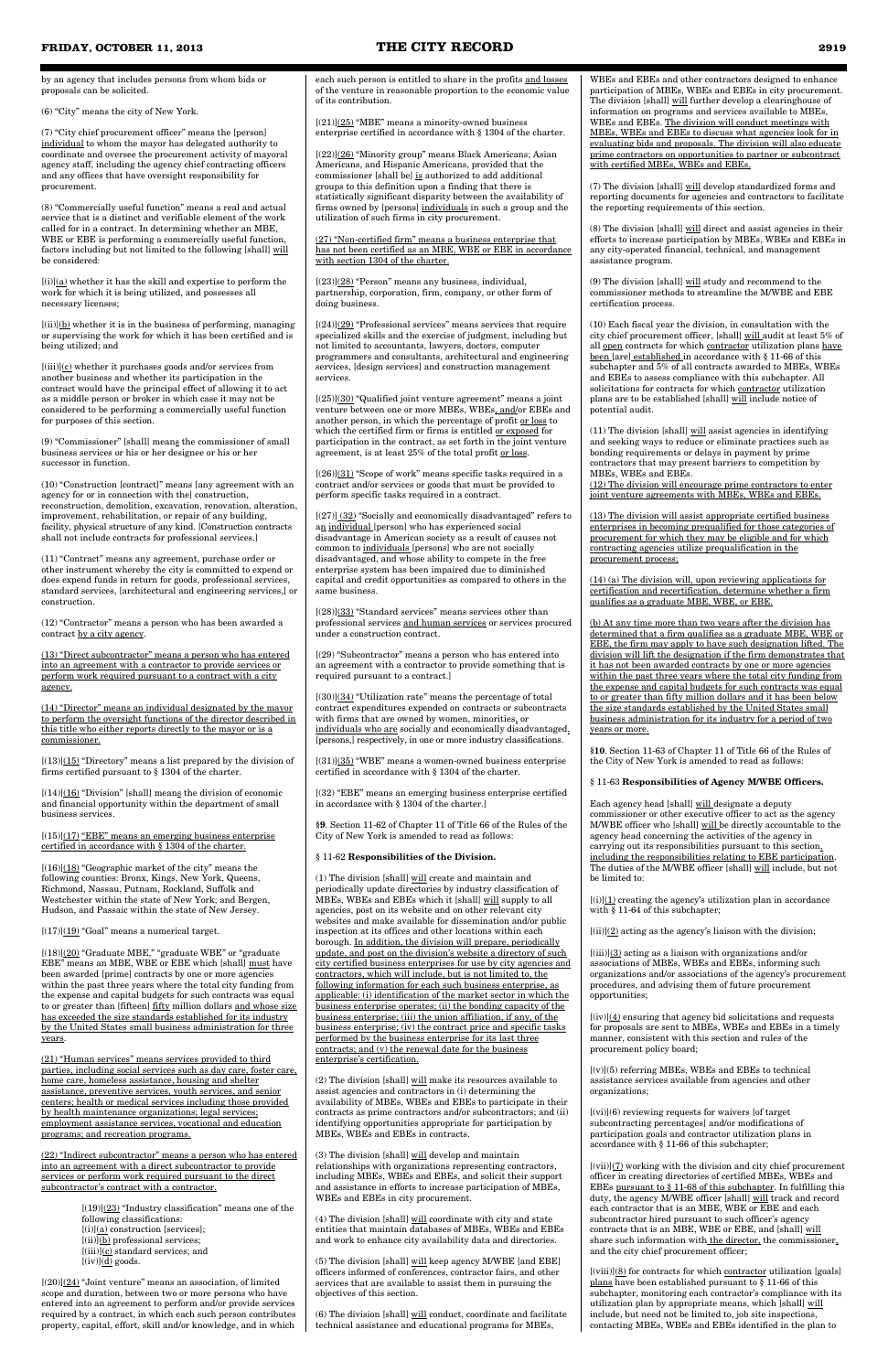by an agency that includes persons from whom bids or proposals can be solicited.

(6) "City" means the city of New York.

(7) "City chief procurement officer" means the [person] individual to whom the mayor has delegated authority to coordinate and oversee the procurement activity of mayoral agency staff, including the agency chief contracting officers and any offices that have oversight responsibility for procurement.

 $[(i)](a)$  whether it has the skill and expertise to perform the work for which it is being utilized, and possesses all necessary licenses;

 $[(ii)](b)$  whether it is in the business of performing, managing or supervising the work for which it has been certified and is being utilized; and

(8) "Commercially useful function" means a real and actual service that is a distinct and verifiable element of the work called for in a contract. In determining whether an MBE, WBE or EBE is performing a commercially useful function, factors including but not limited to the following [shall] will be considered:

 $[(iii)](c)$  whether it purchases goods and/or services from another business and whether its participation in the contract would have the principal effect of allowing it to act as a middle person or broker in which case it may not be considered to be performing a commercially useful function for purposes of this section.

 $[(13)]$ (15) "Directory" means a list prepared by the division of firms certified pursuant to § 1304 of the charter.

 $[(14)]$ (16) "Division" [shall] means the division of economic and financial opportunity within the department of small business services.

(9) "Commissioner" [shall] means the commissioner of small business services or his or her designee or his or her successor in function.

 $[(15)]$ (17) "EBE" means an emerging business enterprise certified in accordance with § 1304 of the charter.

 $[(16)]$  $(18)$  "Geographic market of the city" means the following counties: Bronx, Kings, New York, Queens, Richmond, Nassau, Putnam, Rockland, Suffolk and Westchester within the state of New York; and Bergen, Hudson, and Passaic within the state of New Jersey.

 $[(17)]$  $(19)$  "Goal" means a numerical target.

(10) "Construction [contract]" means [any agreement with an agency for or in connection with the] construction, reconstruction, demolition, excavation, renovation, alteration, improvement, rehabilitation, or repair of any building, facility, physical structure of any kind. [Construction contracts shall not include contracts for professional services.]

 $[(18)](20)$  "Graduate MBE," "graduate WBE" or "graduate EBE" means an MBE, WBE or EBE which [shall] must have been awarded [prime] contracts by one or more agencies within the past three years where the total city funding from the expense and capital budgets for such contracts was equal to or greater than [fifteen] fifty million dollars and whose size has exceeded the size standards established for its industry by the United States small business administration for three years.

(11) "Contract" means any agreement, purchase order or other instrument whereby the city is committed to expend or does expend funds in return for goods, professional services, standard services, [architectural and engineering services,] or construction.

(12) "Contractor" means a person who has been awarded a contract by a city agency.

(13) "Direct subcontractor" means a person who has entered into an agreement with a contractor to provide services or perform work required pursuant to a contract with a city agency.

 $[(20)](24)$  "Joint venture" means an association, of limited scope and duration, between two or more persons who have entered into an agreement to perform and/or provide services required by a contract, in which each such person contributes property, capital, effort, skill and/or knowledge, and in which

(14) "Director" means an individual designated by the mayor to perform the oversight functions of the director described in this title who either reports directly to the mayor or is a commissioner.

 $[(21)](25)$  "MBE" means a minority-owned business enterprise certified in accordance with § 1304 of the charter.

 $[(23)](28)$  "Person" means any business, individual, partnership, corporation, firm, company, or other form of doing business.

 $[(24)](29)$  "Professional services" means services that require specialized skills and the exercise of judgment, including but not limited to accountants, lawyers, doctors, computer programmers and consultants, architectural and engineering services, [design services] and construction management services.

 $[(25)]$  $(30)$  "Qualified joint venture agreement" means a joint venture between one or more MBEs, WBEs, and/or EBEs and another person, in which the percentage of profit or loss to which the certified firm or firms is entitled or exposed for participation in the contract, as set forth in the joint venture agreement, is at least 25% of the total profit or loss.

 $[(26)](31)$  "Scope of work" means specific tasks required in a contract and/or services or goods that must be provided to perform specific tasks required in a contract.

[(27)] (32) "Socially and economically disadvantaged" refers to an individual [person] who has experienced social disadvantage in American society as a result of causes not common to individuals [persons] who are not socially disadvantaged, and whose ability to compete in the free enterprise system has been impaired due to diminished capital and credit opportunities as compared to others in the same business.

 $[(28)]$  $(33)$  "Standard services" means services other than professional services and human services or services procured under a construction contract.

 $[(30)]$  $(34)$  "Utilization rate" means the percentage of total contract expenditures expended on contracts or subcontracts with firms that are owned by women, minorities, or individuals who are socially and economically disadvantaged, [persons,] respectively, in one or more industry classifications.

(21) "Human services" means services provided to third parties, including social services such as day care, foster care, home care, homeless assistance, housing and shelter assistance, preventive services, youth services, and senior centers; health or medical services including those provided by health maintenance organizations; legal services; employment assistance services, vocational and education programs; and recreation programs.

(22) "Indirect subcontractor" means a person who has entered into an agreement with a direct subcontractor to provide services or perform work required pursuant to the direct subcontractor's contract with a contractor.

> $[(19)](23)$  "Industry classification" means one of the following classifications:  $[(i)](a)$  construction [services]; [(ii)](b) professional services; [(iii)](c) standard services; and  $[(iv)]$ (d) goods.

(1) The division [shall]  $will create and maintain and$ </u> periodically update directories by industry classification of MBEs, WBEs and EBEs which it [shall] will supply to all agencies, post on its website and on other relevant city websites and make available for dissemination and/or public inspection at its offices and other locations within each borough. In addition, the division will prepare, periodically update, and post on the division's website a directory of such city certified business enterprises for use by city agencies and contractors, which will include, but is not limited to, the following information for each such business enterprise, as applicable: (i) identification of the market sector in which the business enterprise operates; (ii) the bonding capacity of the business enterprise; (iii) the union affiliation, if any, of the business enterprise; (iv) the contract price and specific tasks performed by the business enterprise for its last three contracts; and (v) the renewal date for the business enterprise's certification.

 $\left( 2\right)$  The division [shall] will make its resources available to assist agencies and contractors in (i) determining the availability of MBEs, WBEs and EBEs to participate in their contracts as prime contractors and/or subcontractors; and (ii) identifying opportunities appropriate for participation by MBEs, WBEs and EBEs in contracts.

each such person is entitled to share in the profits and losses of the venture in reasonable proportion to the economic value of its contribution.

 $\left(5\right)$  The division [shall] <u>will</u> keep agency M/WBE [and EBE] officers informed of conferences, contractor fairs, and other services that are available to assist them in pursuing the objectives of this section.

[(22)](26) "Minority group" means Black Americans; Asian Americans, and Hispanic Americans, provided that the commissioner [shall be] is authorized to add additional groups to this definition upon a finding that there is statistically significant disparity between the availability of firms owned by [persons] individuals in such a group and the utilization of such firms in city procurement.

(27) "Non-certified firm" means a business enterprise that has not been certified as an MBE, WBE or EBE in accordance with section 1304 of the charter.

> $[(i)](1)$  creating the agency's utilization plan in accordance with § 11-64 of this subchapter;

 $[(ii)](2)$  acting as the agency's liaison with the division;

 $[(iii)](3)$  acting as a liaison with organizations and/or associations of MBEs, WBEs and EBEs, informing such organizations and/or associations of the agency's procurement procedures, and advising them of future procurement opportunities;

 $[(iv)](4)$  ensuring that agency bid solicitations and requests for proposals are sent to MBEs, WBEs and EBEs in a timely manner, consistent with this section and rules of the procurement policy board;

[(29) "Subcontractor" means a person who has entered into an agreement with a contractor to provide something that is required pursuant to a contract.]

> $[(vii)](7)$  working with the division and city chief procurement officer in creating directories of certified MBEs, WBEs and EBEs pursuant to § 11-68 of this subchapter. In fulfilling this duty, the agency M/WBE officer [shall] will track and record each contractor that is an MBE, WBE or EBE and each subcontractor hired pursuant to such officer's agency contracts that is an MBE, WBE or EBE, and [shall] will share such information with the director, the commissioner, and the city chief procurement officer;

[(31)](35) "WBE" means a women-owned business enterprise certified in accordance with § 1304 of the charter.

> $[(viii)](8)$  for contracts for which contractor utilization [goals] plans have been established pursuant to § 11-66 of this subchapter, monitoring each contractor's compliance with its utilization plan by appropriate means, which [shall] will include, but need not be limited to, job site inspections, contacting MBEs, WBEs and EBEs identified in the plan to

[(32) "EBE" means an emerging business enterprise certified in accordance with § 1304 of the charter.]

**§9**. Section 11-62 of Chapter 11 of Title 66 of the Rules of the City of New York is amended to read as follows:

§ 11-62 **Responsibilities of the Division.**

(3) The division [shall] will develop and maintain relationships with organizations representing contractors, including MBEs, WBEs and EBEs, and solicit their support and assistance in efforts to increase participation of MBEs, WBEs and EBEs in city procurement.

(4) The division [shall] will coordinate with city and state entities that maintain databases of MBEs, WBEs and EBEs and work to enhance city availability data and directories.

(6) The division [shall] will conduct, coordinate and facilitate technical assistance and educational programs for MBEs,

WBEs and EBEs and other contractors designed to enhance participation of MBEs, WBEs and EBEs in city procurement. The division [shall] will further develop a clearinghouse of information on programs and services available to MBEs, WBEs and EBEs. The division will conduct meetings with MBEs, WBEs and EBEs to discuss what agencies look for in evaluating bids and proposals. The division will also educate prime contractors on opportunities to partner or subcontract with certified MBEs, WBEs and EBEs.

(7) The division [shall] will develop standardized forms and reporting documents for agencies and contractors to facilitate the reporting requirements of this section.

(8) The division [shall] will direct and assist agencies in their efforts to increase participation by MBEs, WBEs and EBEs in any city-operated financial, technical, and management assistance program.

(9) The division [shall] will study and recommend to the commissioner methods to streamline the M/WBE and EBE certification process.

(10) Each fiscal year the division, in consultation with the city chief procurement officer, [shall] will audit at least 5% of all open contracts for which contractor utilization plans have been [are] established in accordance with § 11-66 of this subchapter and 5% of all contracts awarded to MBEs, WBEs and EBEs to assess compliance with this subchapter. All solicitations for contracts for which contractor utilization plans are to be established [shall] will include notice of potential audit.

(11) The division [shall] will assist agencies in identifying and seeking ways to reduce or eliminate practices such as bonding requirements or delays in payment by prime contractors that may present barriers to competition by MBEs, WBEs and EBEs.

(12) The division will encourage prime contractors to enter joint venture agreements with MBEs, WBEs and EBEs.

(13) The division will assist appropriate certified business enterprises in becoming prequalified for those categories of procurement for which they may be eligible and for which contracting agencies utilize prequalification in the procurement process;

(14) (a) The division will, upon reviewing applications for certification and recertification, determine whether a firm qualifies as a graduate MBE, WBE, or EBE.

(b) At any time more than two years after the division has determined that a firm qualifies as a graduate MBE, WBE or EBE, the firm may apply to have such designation lifted. The division will lift the designation if the firm demonstrates that it has not been awarded contracts by one or more agencies within the past three years where the total city funding from the expense and capital budgets for such contracts was equal to or greater than fifty million dollars and it has been below the size standards established by the United States small business administration for its industry for a period of two years or more.

**§10**. Section 11-63 of Chapter 11 of Title 66 of the Rules of the City of New York is amended to read as follows:

#### § 11-63 **Responsibilities of Agency M/WBE Officers.**

Each agency head [shall] will designate a deputy commissioner or other executive officer to act as the agency M/WBE officer who [shall] will be directly accountable to the agency head concerning the activities of the agency in carrying out its responsibilities pursuant to this section, including the responsibilities relating to EBE participation. The duties of the M/WBE officer [shall] will include, but not be limited to:

[(v)](5) referring MBEs, WBEs and EBEs to technical assistance services available from agencies and other organizations;

[(vi)](6) reviewing requests for waivers [of target subcontracting percentages] and/or modifications of participation goals and contractor utilization plans in accordance with § 11-66 of this subchapter;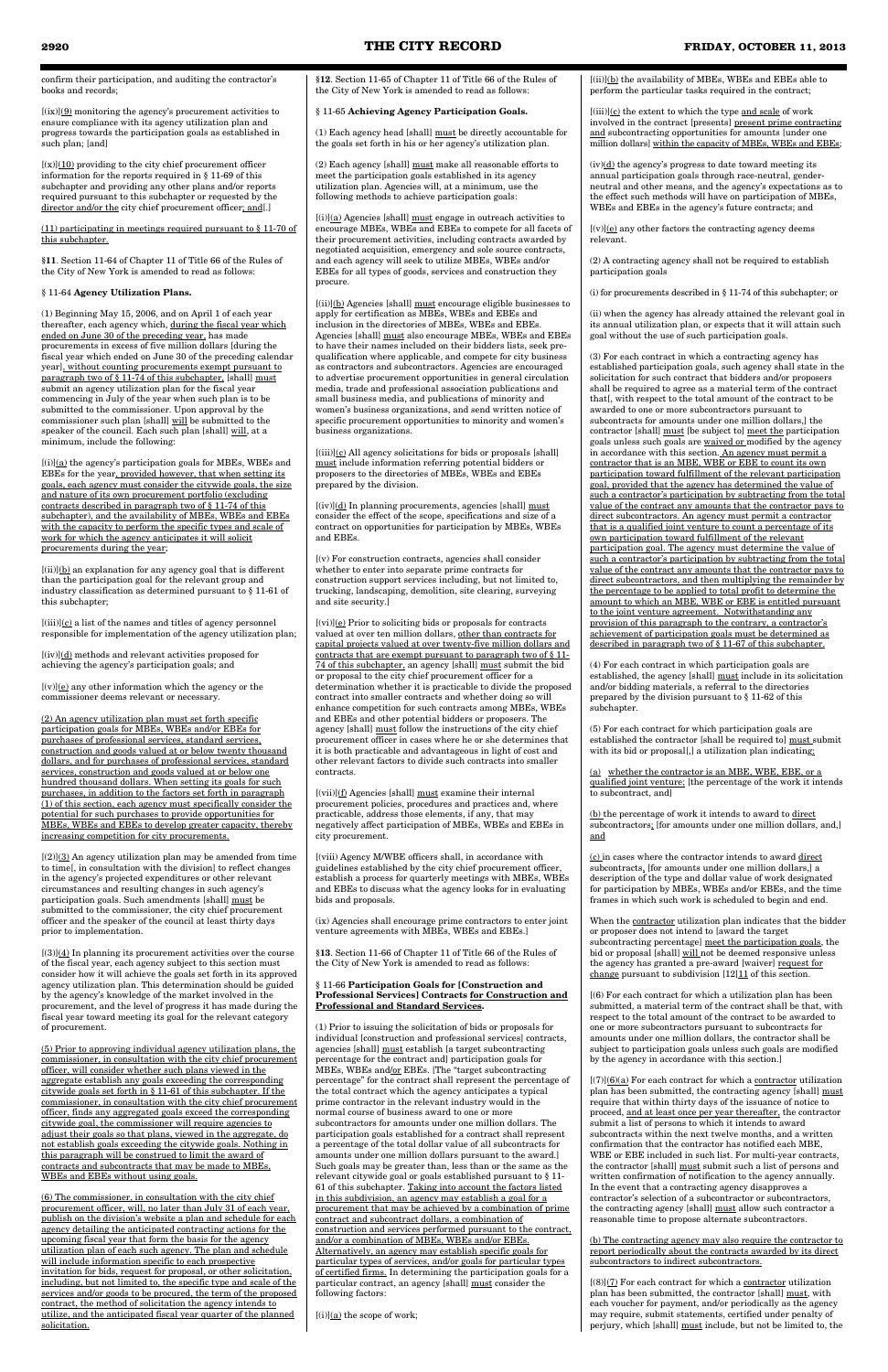confirm their participation, and auditing the contractor's books and records;

 $[(ix)](\underline{9})$  monitoring the agency's procurement activities to ensure compliance with its agency utilization plan and progress towards the participation goals as established in such plan; [and]

 $[(x)](10)$  providing to the city chief procurement officer information for the reports required in § 11-69 of this subchapter and providing any other plans and/or reports required pursuant to this subchapter or requested by the director and/or the city chief procurement officer; and[.]

#### (11) participating in meetings required pursuant to § 11-70 of this subchapter.

**§11**. Section 11-64 of Chapter 11 of Title 66 of the Rules of the City of New York is amended to read as follows:

#### § 11-64 **Agency Utilization Plans.**

 $[(i)]({\underline a})$  the agency's participation goals for MBEs, WBEs and EBEs for the year, provided however, that when setting its goals, each agency must consider the citywide goals, the size and nature of its own procurement portfolio (excluding contracts described in paragraph two of § 11-74 of this subchapter), and the availability of MBEs, WBEs and EBEs with the capacity to perform the specific types and scale of work for which the agency anticipates it will solicit procurements during the year;

 $[(ii)]$ (b) an explanation for any agency goal that is different than the participation goal for the relevant group and industry classification as determined pursuant to § 11-61 of this subchapter;

(1) Beginning May 15, 2006, and on April 1 of each year thereafter, each agency which, during the fiscal year which ended on June 30 of the preceding year, has made procurements in excess of five million dollars [during the fiscal year which ended on June 30 of the preceding calendar year], without counting procurements exempt pursuant to paragraph two of § 11-74 of this subchapter, [shall] must submit an agency utilization plan for the fiscal year commencing in July of the year when such plan is to be submitted to the commissioner. Upon approval by the commissioner such plan [shall] will be submitted to the speaker of the council. Each such plan [shall] will, at a minimum, include the following:

 $[(iii)](c)$  a list of the names and titles of agency personnel responsible for implementation of the agency utilization plan;

 $[(iv)](\underline{d})$  methods and relevant activities proposed for achieving the agency's participation goals; and

 $[(v)](e)$  any other information which the agency or the commissioner deems relevant or necessary.

 $[(2)](3)$  An agency utilization plan may be amended from time to time[, in consultation with the division] to reflect changes in the agency's projected expenditures or other relevant circumstances and resulting changes in such agency's participation goals. Such amendments [shall] must be submitted to the commissioner, the city chief procurement officer and the speaker of the council at least thirty days prior to implementation.

(2) An agency utilization plan must set forth specific participation goals for MBEs, WBEs and/or EBEs for purchases of professional services, standard services, construction and goods valued at or below twenty thousand dollars, and for purchases of professional services, standard services, construction and goods valued at or below one hundred thousand dollars. When setting its goals for such purchases, in addition to the factors set forth in paragraph (1) of this section, each agency must specifically consider the potential for such purchases to provide opportunities for MBEs, WBEs and EBEs to develop greater capacity, thereby increasing competition for city procurements.

[(ii)](b) Agencies [shall] must encourage eligible businesses to apply for certification as MBEs, WBEs and EBEs and inclusion in the directories of MBEs, WBEs and EBEs. Agencies [shall] must also encourage MBEs, WBEs and EBEs to have their names included on their bidders lists, seek prequalification where applicable, and compete for city business as contractors and subcontractors. Agencies are encouraged to advertise procurement opportunities in general circulation media, trade and professional association publications and small business media, and publications of minority and women's business organizations, and send written notice of specific procurement opportunities to minority and women's business organizations.

 $[(iii)](c)$  All agency solicitations for bids or proposals [shall] must include information referring potential bidders or proposers to the directories of MBEs, WBEs and EBEs prepared by the division.

 $[(iv)]$ ( $\underline{d}$ ) In planning procurements, agencies [shall] must consider the effect of the scope, specifications and size of a contract on opportunities for participation by MBEs, WBEs and EBEs.

[(3)](4) In planning its procurement activities over the course of the fiscal year, each agency subject to this section must consider how it will achieve the goals set forth in its approved agency utilization plan. This determination should be guided by the agency's knowledge of the market involved in the  $\bar{p}$  rocurement, and the level of progress it has made during fiscal year toward meeting its goal for the relevant category of procurement.

 $[(vi)](e)$  Prior to soliciting bids or proposals for contracts valued at over ten million dollars, other than contracts for capital projects valued at over twenty-five million dollars and contracts that are exempt pursuant to paragraph two of § 11- 74 of this subchapter, an agency [shall] must submit the bid or proposal to the city chief procurement officer for a determination whether it is practicable to divide the proposed contract into smaller contracts and whether doing so will enhance competition for such contracts among MBEs, WBEs and EBEs and other potential bidders or proposers. The agency [shall] must follow the instructions of the city chief procurement officer in cases where he or she determines that it is both practicable and advantageous in light of cost and other relevant factors to divide such contracts into smaller contracts.

(5) Prior to approving individual agency utilization plans, the commissioner, in consultation with the city chief procurement officer, will consider whether such plans viewed in the aggregate establish any goals exceeding the corresponding citywide goals set forth in § 11-61 of this subchapter. If the commissioner, in consultation with the city chief procurement officer, finds any aggregated goals exceed the corresponding citywide goal, the commissioner will require agencies to adjust their goals so that plans, viewed in the aggregate, do not establish goals exceeding the citywide goals. Nothing in this paragraph will be construed to limit the award of contracts and subcontracts that may be made to MBEs, WBEs and EBEs without using goals.

(6) The commissioner, in consultation with the city chief procurement officer, will, no later than July 31 of each year, publish on the division's website a plan and schedule for each agency detailing the anticipated contracting actions for the upcoming fiscal year that form the basis for the agency utilization plan of each such agency. The plan and schedule will include information specific to each prospective invitation for bids, request for proposal, or other solicitation, including, but not limited to, the specific type and scale of the services and/or goods to be procured, the term of the proposed contract, the method of solicitation the agency intends to utilize, and the anticipated fiscal year quarter of the planned solicitation.

**§12**. Section 11-65 of Chapter 11 of Title 66 of the Rules of the City of New York is amended to read as follows:

> $[(iii)]\underline{(c)}$  the extent to which the type  $\underline{and}$  scale of work involved in the contract [presents] present prime contracting and subcontracting opportunities for amounts [under one million dollars] within the capacity of MBEs, WBEs and EBEs;

§ 11-65 **Achieving Agency Participation Goals.**

(1) Each agency head [shall] must be directly accountable for the goals set forth in his or her agency's utilization plan.

> $(iv)(d)$  the agency's progress to date toward meeting its annual participation goals through race-neutral, genderneutral and other means, and the agency's expectations as to the effect such methods will have on participation of MBEs, WBEs and EBEs in the agency's future contracts; and

 $[(v)](e)$  any other factors the contracting agency deems relevant.

(2) Each agency [shall] must make all reasonable efforts to meet the participation goals established in its agency utilization plan. Agencies will, at a minimum, use the following methods to achieve participation goals:

[(i)](a) Agencies [shall] must engage in outreach activities to encourage MBEs, WBEs and EBEs to compete for all facets of their procurement activities, including contracts awarded by negotiated acquisition, emergency and sole source contracts, and each agency will seek to utilize MBEs, WBEs and/or EBEs for all types of goods, services and construction they procure.

> (5) For each contract for which participation goals are established the contractor [shall be required to] must submit with its bid or proposal[,] a utilization plan indicating:

> (b) the percentage of work it intends to award to direct subcontractors; [for amounts under one million dollars, and,] and

[(v) For construction contracts, agencies shall consider whether to enter into separate prime contracts for construction support services including, but not limited to, trucking, landscaping, demolition, site clearing, surveying and site security.]

> $[(7)](6)(a)$  For each contract for which a contractor utilization plan has been submitted, the contracting agency [shall] must require that within thirty days of the issuance of notice to proceed, and at least once per year thereafter, the contractor submit a list of persons to which it intends to award subcontracts within the next twelve months, and a written confirmation that the contractor has notified each MBE, WBE or EBE included in such list. For multi-year contracts, the contractor [shall] must submit such a list of persons and written confirmation of notification to the agency annually. In the event that a contracting agency disapproves a contractor's selection of a subcontractor or subcontractors, the contracting agency [shall] must allow such contractor a reasonable time to propose alternate subcontractors.

> $[(8)](7)$  For each contract for which a contractor utilization plan has been submitted, the contractor [shall] must, with each voucher for payment, and/or periodically as the agency may require, submit statements, certified under penalty of perjury, which [shall] must include, but not be limited to, the

[(vii)](f) Agencies [shall] must examine their internal procurement policies, procedures and practices and, where practicable, address those elements, if any, that may negatively affect participation of MBEs, WBEs and EBEs in city procurement.

[(viii) Agency M/WBE officers shall, in accordance with guidelines established by the city chief procurement officer, establish a process for quarterly meetings with MBEs, WBEs and EBEs to discuss what the agency looks for in evaluating bids and proposals.

(ix) Agencies shall encourage prime contractors to enter joint venture agreements with MBEs, WBEs and EBEs.]

**§13**. Section 11-66 of Chapter 11 of Title 66 of the Rules of the City of New York is amended to read as follows:

§ 11-66 **Participation Goals for [Construction and Professional Services] Contracts for Construction and Professional and Standard Services.**

(1) Prior to issuing the solicitation of bids or proposals for individual [construction and professional services] contracts, agencies [shall] must establish [a target subcontracting percentage for the contract and] participation goals for MBEs, WBEs and/or EBEs. [The "target subcontracting percentage" for the contract shall represent the percentage of the total contract which the agency anticipates a typical prime contractor in the relevant industry would in the normal course of business award to one or more subcontractors for amounts under one million dollars. The participation goals established for a contract shall represent a percentage of the total dollar value of all subcontracts for amounts under one million dollars pursuant to the award.] Such goals may be greater than, less than or the same as the relevant citywide goal or goals established pursuant to § 11- 61 of this subchapter. Taking into account the factors listed in this subdivision, an agency may establish a goal for a procurement that may be achieved by a combination of prime contract and subcontract dollars, a combination of construction and services performed pursuant to the contract, and/or a combination of MBEs, WBEs and/or EBEs. Alternatively, an agency may establish specific goals for particular types of services, and/or goals for particular types of certified firms. In determining the participation goals for a particular contract, an agency [shall] must consider the following factors:

 $[(i)](a)$  the scope of work;

[(ii)](b) the availability of MBEs, WBEs and EBEs able to perform the particular tasks required in the contract;

(2) A contracting agency shall not be required to establish participation goals

(i) for procurements described in § 11-74 of this subchapter; or

(ii) when the agency has already attained the relevant goal in its annual utilization plan, or expects that it will attain such goal without the use of such participation goals.

(3) For each contract in which a contracting agency has established participation goals, such agency shall state in the solicitation for such contract that bidders and/or proposers shall be required to agree as a material term of the contract that[, with respect to the total amount of the contract to be awarded to one or more subcontractors pursuant to subcontracts for amounts under one million dollars,] the contractor [shall] must [be subject to] meet the participation goals unless such goals are waived or modified by the agency in accordance with this section. An agency must permit a contractor that is an MBE, WBE or EBE to count its own participation toward fulfillment of the relevant participation goal, provided that the agency has determined the value of such a contractor's participation by subtracting from the total value of the contract any amounts that the contractor pays to direct subcontractors. An agency must permit a contractor that is a qualified joint venture to count a percentage of its own participation toward fulfillment of the relevant participation goal. The agency must determine the value of such a contractor's participation by subtracting from the total value of the contract any amounts that the contractor pays to direct subcontractors, and then multiplying the remainder by the percentage to be applied to total profit to determine the amount to which an MBE, WBE or EBE is entitled pursuant to the joint venture agreement. Notwithstanding any provision of this paragraph to the contrary, a contractor's achievement of participation goals must be determined as described in paragraph two of § 11-67 of this subchapter.

(4) For each contract in which participation goals are established, the agency [shall] must include in its solicitation and/or bidding materials, a referral to the directories prepared by the division pursuant to § 11-62 of this subchapter.

(a) whether the contractor is an MBE, WBE, EBE, or a qualified joint venture; [the percentage of the work it intends to subcontract, and]

(c) in cases where the contractor intends to award direct subcontracts, [for amounts under one million dollars,] a description of the type and dollar value of work designated for participation by MBEs, WBEs and/or EBEs, and the time frames in which such work is scheduled to begin and end.

When the **contractor** utilization plan indicates that the bidder or proposer does not intend to [award the target subcontracting percentage] meet the participation goals, the bid or proposal [shall] will not be deemed responsive unless the agency has granted a pre-award [waiver] request for change pursuant to subdivision  $[12]11$  of this section.

[(6) For each contract for which a utilization plan has been submitted, a material term of the contract shall be that, with respect to the total amount of the contract to be awarded to one or more subcontractors pursuant to subcontracts for amounts under one million dollars, the contractor shall be subject to participation goals unless such goals are modified by the agency in accordance with this section.]

(b) The contracting agency may also require the contractor to report periodically about the contracts awarded by its direct subcontractors to indirect subcontractors.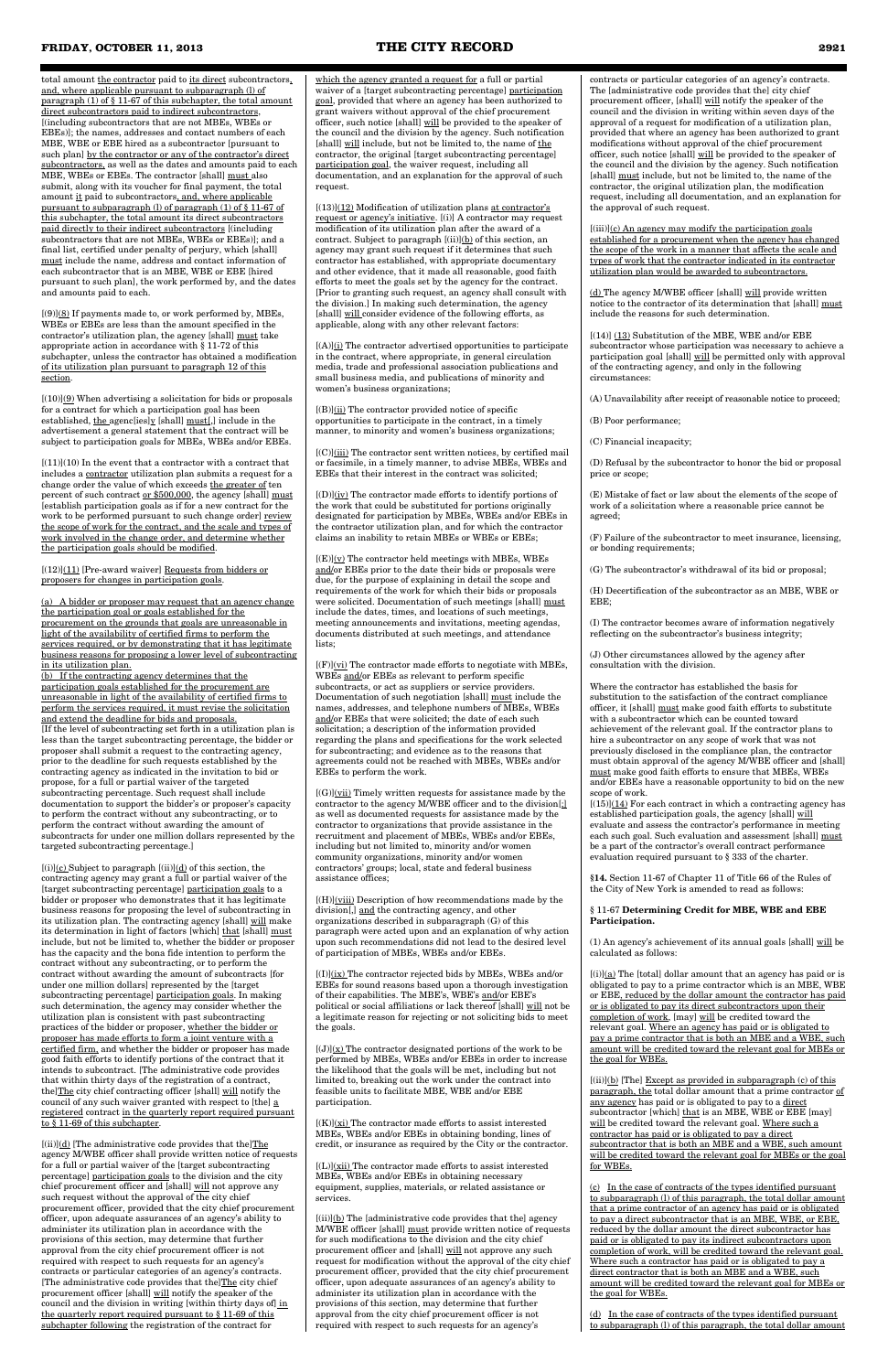total amount the contractor paid to its direct subcontractors, and, where applicable pursuant to subparagraph (l) of paragraph (1) of § 11-67 of this subchapter, the total amount direct subcontractors paid to indirect subcontractors, [(including subcontractors that are not MBEs, WBEs or EBEs)]; the names, addresses and contact numbers of each MBE, WBE or EBE hired as a subcontractor [pursuant to such plan] by the contractor or any of the contractor's direct subcontractors, as well as the dates and amounts paid to each MBE, WBEs or EBEs. The contractor [shall] must also submit, along with its voucher for final payment, the total amount it paid to subcontractors, and, where applicable pursuant to subparagraph (l) of paragraph (1) of § 11-67 of this subchapter, the total amount its direct subcontractors paid directly to their indirect subcontractors [(including subcontractors that are not MBEs, WBEs or EBEs)]; and a final list, certified under penalty of perjury, which [shall] must include the name, address and contact information of each subcontractor that is an MBE, WBE or EBE [hired pursuant to such plan], the work performed by, and the dates and amounts paid to each.

 $[(9)](8)$  If payments made to, or work performed by, MBEs, WBEs or EBEs are less than the amount specified in the contractor's utilization plan, the agency [shall] must take appropriate action in accordance with § 11-72 of this subchapter, unless the contractor has obtained a modification of its utilization plan pursuant to paragraph 12 of this section.

 $[(10)](9)$  When advertising a solicitation for bids or proposals for a contract for which a participation goal has been established, the agenc[ies]y [shall] must[,] include in the advertisement a general statement that the contract will be subject to participation goals for MBEs, WBEs and/or EBEs.

 $\left[(11)\right]\!(10)$  In the event that a contractor with a contract that includes a contractor utilization plan submits a request for a change order the value of which exceeds the greater of ten percent of such contract <u>or \$500,000</u>, the agency [shall] **must** [establish participation goals as if for a new contract for the work to be performed pursuant to such change order] review the scope of work for the contract, and the scale and types of work involved in the change order, and determine whether the participation goals should be modified.

 $[(12)](11)$  [Pre-award waiver] Requests from bidders or proposers for changes in participation goals.

 $[(i)](c)$  Subject to paragraph  $[(ii)](d)$  of this section, the contracting agency may grant a full or partial waiver of the [target subcontracting percentage] participation goals to a bidder or proposer who demonstrates that it has legitimate business reasons for proposing the level of subcontracting in its utilization plan. The contracting agency [shall] will make its determination in light of factors [which] that [shall] must include, but not be limited to, whether the bidder or proposer has the capacity and the bona fide intention to perform the contract without any subcontracting, or to perform the contract without awarding the amount of subcontracts [for under one million dollars] represented by the [target subcontracting percentage] participation goals. In making such determination, the agency may consider whether the utilization plan is consistent with past subcontracting practices of the bidder or proposer, whether the bidder or proposer has made efforts to form a joint venture with a certified firm, and whether the bidder or proposer has made good faith efforts to identify portions of the contract that it intends to subcontract. [The administrative code provides that within thirty days of the registration of a contract, the]The city chief contracting officer [shall] will notify the council of any such waiver granted with respect to [the]  $\underline{\text{a}}$ registered contract in the quarterly report required pursuant to § 11-69 of this subchapter.

(a) A bidder or proposer may request that an agency change the participation goal or goals established for the procurement on the grounds that goals are unreasonable in light of the availability of certified firms to perform the services required, or by demonstrating that it has legitimate business reasons for proposing a lower level of subcontracting in its utilization plan.

 $[(ii)]$ (d) [The administrative code provides that the]The agency M/WBE officer shall provide written notice of requests for a full or partial waiver of the [target subcontracting percentage] participation goals to the division and the city chief procurement officer and [shall] will not approve any such request without the approval of the city chief procurement officer, provided that the city chief procurement officer, upon adequate assurances of an agency's ability to administer its utilization plan in accordance with the provisions of this section, may determine that further approval from the city chief procurement officer is not required with respect to such requests for an agency's contracts or particular categories of an agency's contracts. [The administrative code provides that the]The city chief procurement officer [shall] will notify the speaker of the council and the division in writing [within thirty days of] in the quarterly report required pursuant to § 11-69 of this subchapter following the registration of the contract for

(b) If the contracting agency determines that the participation goals established for the procurement are unreasonable in light of the availability of certified firms to perform the services required, it must revise the solicitation and extend the deadline for bids and proposals. [If the level of subcontracting set forth in a utilization plan is less than the target subcontracting percentage, the bidder or proposer shall submit a request to the contracting agency, prior to the deadline for such requests established by the contracting agency as indicated in the invitation to bid or propose, for a full or partial waiver of the targeted subcontracting percentage. Such request shall include documentation to support the bidder's or proposer's capacity to perform the contract without any subcontracting, or to perform the contract without awarding the amount of subcontracts for under one million dollars represented by the targeted subcontracting percentage.]

 $[(13)]$ (12) Modification of utilization plans at contractor's request or agency's initiative. [(i)] A contractor may request modification of its utilization plan after the award of a contract. Subject to paragraph [(ii)](b) of this section, an agency may grant such request if it determines that such contractor has established, with appropriate documentary and other evidence, that it made all reasonable, good faith efforts to meet the goals set by the agency for the contract. [Prior to granting such request, an agency shall consult with the division.] In making such determination, the agency [shall] will consider evidence of the following efforts, as applicable, along with any other relevant factors:

 $[(B)]$ (ii) The contractor provided notice of specific opportunities to participate in the contract, in a timely manner, to minority and women's business organizations;

[(C)](iii) The contractor sent written notices, by certified mail or facsimile, in a timely manner, to advise MBEs, WBEs and EBEs that their interest in the contract was solicited;

 $[(D)]$ (iv) The contractor made efforts to identify portions of the work that could be substituted for portions originally designated for participation by MBEs, WBEs and/or EBEs in the contractor utilization plan, and for which the contractor claims an inability to retain MBEs or WBEs or EBEs;

 $[(E)]({\bf v})$  The contractor held meetings with MBEs, WBEs and/or EBEs prior to the date their bids or proposals were due, for the purpose of explaining in detail the scope and requirements of the work for which their bids or proposals were solicited. Documentation of such meetings [shall] must include the dates, times, and locations of such meetings, meeting announcements and invitations, meeting agendas, documents distributed at such meetings, and attendance lists;

 $[(F)]$ ( $vi)$ ) The contractor made efforts to negotiate with MBEs, WBEs and/or EBEs as relevant to perform specific subcontracts, or act as suppliers or service providers. Documentation of such negotiation [shall] must include the names, addresses, and telephone numbers of MBEs, WBEs and/or EBEs that were solicited; the date of each such solicitation; a description of the information provided regarding the plans and specifications for the work selected for subcontracting; and evidence as to the reasons that agreements could not be reached with MBEs, WBEs and/or EBEs to perform the work.

 $[(H)]$ ( $(viii)$ ) Description of how recommendations made by the division[,] and the contracting agency, and other organizations described in subparagraph (G) of this paragraph were acted upon and an explanation of why action upon such recommendations did not lead to the desired level of participation of MBEs, WBEs and/or EBEs.

 $[(1)]$ (ix) The contractor rejected bids by MBEs, WBEs and/or EBEs for sound reasons based upon a thorough investigation of their capabilities. The MBE's, WBE's and/or EBE's political or social affiliations or lack thereof  $[s$ hall $]$  will a legitimate reason for rejecting or not soliciting bids to meet the goals.

 $[(J)](x)$  The contractor designated portions of the work to be performed by MBEs, WBEs and/or EBEs in order to increase the likelihood that the goals will be met, including but not limited to, breaking out the work under the contract into feasible units to facilitate MBE, WBE and/or EBE participation.

 $[(K)](\overline{\mathbf{x}})$  The contractor made efforts to assist interested MBEs, WBEs and/or EBEs in obtaining bonding, lines of credit, or insurance as required by the City or the contractor.

 $[(L)]$ (xii) The contractor made efforts to assist interested MBEs, WBEs and/or EBEs in obtaining necessary equipment, supplies, materials, or related assistance or services.

 $[(ii)](b)$  The [administrative code provides that the] agency M/WBE officer [shall] must provide written notice of requests for such modifications to the division and the city chief procurement officer and [shall] will not approve any such request for modification without the approval of the city chief procurement officer, provided that the city chief procurement officer, upon adequate assurances of an agency's ability to administer its utilization plan in accordance with the provisions of this section, may determine that further approval from the city chief procurement officer is not required with respect to such requests for an agency's

 $[(iii)](c)$  An agency may modify the participation goals established for a procurement when the agency has changed the scope of the work in a manner that affects the scale and types of work that the contractor indicated in its contractor utilization plan would be awarded to subcontractors.

 $[(14)]$   $(13)$  Substitution of the MBE, WBE and/or EBE subcontractor whose participation was necessary to achieve a participation goal [shall] will be permitted only with approval of the contracting agency, and only in the following circumstances:

participation goal, the waiver request, including all documentation, and an explanation for the approval of such request.

> $[(15)]$  $(14)$  For each contract in which a contracting agency has established participation goals, the agency [shall] will evaluate and assess the contractor's performance in meeting each such goal. Such evaluation and assessment [shall] must be a part of the contractor's overall contract performance evaluation required pursuant to § 333 of the charter.

[(A)](i) The contractor advertised opportunities to participate in the contract, where appropriate, in general circulation media, trade and professional association publications and small business media, and publications of minority and women's business organizations;

> $[(i)](a)$  The [total] dollar amount that an agency has paid or is obligated to pay to a prime contractor which is an MBE, WBE or EBE, reduced by the dollar amount the contractor has paid or is obligated to pay its direct subcontractors upon their completion of work, [may] will be credited toward the relevant goal. Where an agency has paid or is obligated to pay a prime contractor that is both an MBE and a WBE, such amount will be credited toward the relevant goal for MBEs or the goal for WBEs.

 $[(ii)](b)$  [The] Except as provided in subparagraph (c) of this paragraph, the total dollar amount that a prime contractor of any agency has paid or is obligated to pay to a direct subcontractor [which] that is an MBE, WBE or EBE [may] will be credited toward the relevant goal. Where such a contractor has paid or is obligated to pay a direct subcontractor that is both an MBE and a WBE, such amount will be credited toward the relevant goal for MBEs or the goal for WBEs.

[(G)](vii) Timely written requests for assistance made by the contractor to the agency M/WBE officer and to the division[;] as well as documented requests for assistance made by the contractor to organizations that provide assistance in the recruitment and placement of MBEs, WBEs and/or EBEs, including but not limited to, minority and/or women community organizations, minority and/or women contractors' groups; local, state and federal business assistance offices;

contracts or particular categories of an agency's contracts. The [administrative code provides that the] city chief procurement officer, [shall] will notify the speaker of the council and the division in writing within seven days of the approval of a request for modification of a utilization plan, provided that where an agency has been authorized to grant modifications without approval of the chief procurement officer, such notice [shall] will be provided to the speaker of the council and the division by the agency. Such notification [shall] must include, but not be limited to, the name of the contractor, the original utilization plan, the modification request, including all documentation, and an explanation for the approval of such request.

(d) The agency M/WBE officer [shall] will provide written notice to the contractor of its determination that [shall] must include the reasons for such determination.

(A) Unavailability after receipt of reasonable notice to proceed;

(B) Poor performance;

(C) Financial incapacity;

(D) Refusal by the subcontractor to honor the bid or proposal price or scope;

(E) Mistake of fact or law about the elements of the scope of work of a solicitation where a reasonable price cannot be agreed;

(F) Failure of the subcontractor to meet insurance, licensing, or bonding requirements;

(G) The subcontractor's withdrawal of its bid or proposal;

(H) Decertification of the subcontractor as an MBE, WBE or EBE;

(I) The contractor becomes aware of information negatively reflecting on the subcontractor's business integrity;

(J) Other circumstances allowed by the agency after consultation with the division.

Where the contractor has established the basis for substitution to the satisfaction of the contract compliance officer, it [shall] must make good faith efforts to substitute with a subcontractor which can be counted toward achievement of the relevant goal. If the contractor plans to hire a subcontractor on any scope of work that was not previously disclosed in the compliance plan, the contractor must obtain approval of the agency M/WBE officer and [shall] must make good faith efforts to ensure that MBEs, WBEs and/or EBEs have a reasonable opportunity to bid on the new scope of work.

**§14.** Section 11-67 of Chapter 11 of Title 66 of the Rules of the City of New York is amended to read as follows:

#### § 11-67 **Determining Credit for MBE, WBE and EBE Participation.**

(1) An agency's achievement of its annual goals [shall] will be calculated as follows:

(c) In the case of contracts of the types identified pursuant to subparagraph (l) of this paragraph, the total dollar amount that a prime contractor of an agency has paid or is obligated to pay a direct subcontractor that is an MBE, WBE, or EBE, reduced by the dollar amount the direct subcontractor has paid or is obligated to pay its indirect subcontractors upon completion of work, will be credited toward the relevant goal. Where such a contractor has paid or is obligated to pay a direct contractor that is both an MBE and a WBE, such amount will be credited toward the relevant goal for MBEs or the goal for WBEs.

(d) In the case of contracts of the types identified pursuant to subparagraph (l) of this paragraph, the total dollar amount

#### **FRIDAY, OCTOBER 11, 2013 THE CITY RECORD 2921**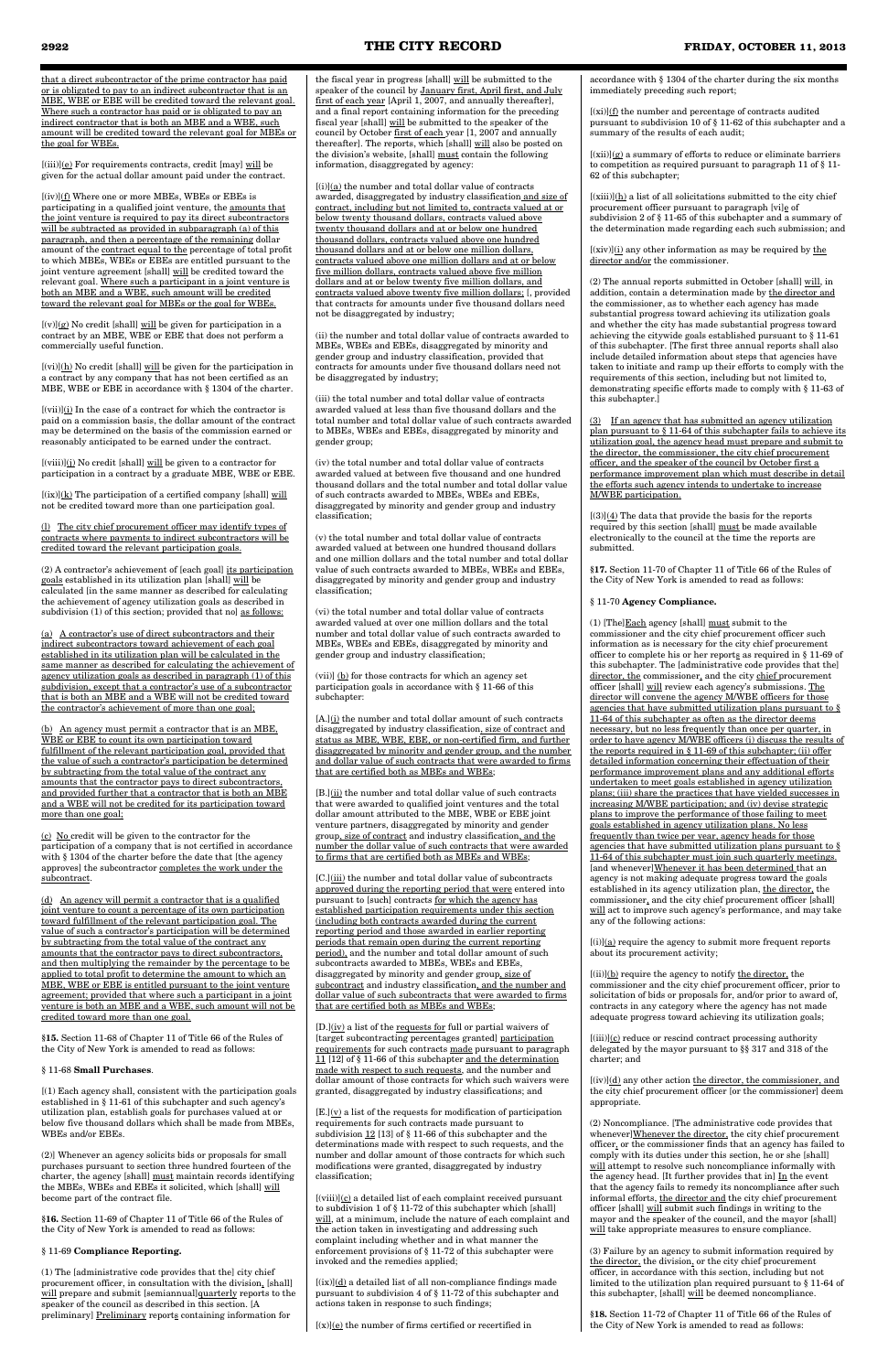that a direct subcontractor of the prime contractor has paid or is obligated to pay to an indirect subcontractor that is an MBE, WBE or EBE will be credited toward the relevant goal. Where such a contractor has paid or is obligated to pay an indirect contractor that is both an MBE and a WBE, such amount will be credited toward the relevant goal for MBEs or the goal for WBEs.

[(iii)](e) For requirements contracts, credit [may] will be given for the actual dollar amount paid under the contract.

 $[(v)](g)$  No credit [shall] will be given for participation in a contract by an MBE, WBE or EBE that does not perform a commercially useful function.

 $[(vi)](\underline{h})$  No credit [shall] <u>will</u> be given for the participation in a contract by any company that has not been certified as an MBE, WBE or EBE in accordance with § 1304 of the charter.

[(iv)](f) Where one or more MBEs, WBEs or EBEs is participating in a qualified joint venture, the amounts that the joint venture is required to pay its direct subcontractors will be subtracted as provided in subparagraph (a) of this paragraph, and then a percentage of the remaining dollar amount of the contract equal to the percentage of total profit to which MBEs, WBEs or EBEs are entitled pursuant to the joint venture agreement [shall] will be credited toward the relevant goal. Where such a participant in a joint venture is both an MBE and a WBE, such amount will be credited toward the relevant goal for MBEs or the goal for WBEs.

 $[(vii)](i)$  In the case of a contract for which the contractor is paid on a commission basis, the dollar amount of the contract may be determined on the basis of the commission earned or reasonably anticipated to be earned under the contract.

 $[(ix)](k)$  The participation of a certified company [shall] will not be credited toward more than one participation goal.

(2) A contractor's achievement of [each goal] its participation goals established in its utilization plan [shall] will be calculated [in the same manner as described for calculating the achievement of agency utilization goals as described in subdivision (1) of this section; provided that no] as follows:

[(viii)](j) No credit [shall] will be given to a contractor for participation in a contract by a graduate MBE, WBE or EBE.

(l) The city chief procurement officer may identify types of contracts where payments to indirect subcontractors will be credited toward the relevant participation goals.

(a) A contractor's use of direct subcontractors and their indirect subcontractors toward achievement of each goal established in its utilization plan will be calculated in the same manner as described for calculating the achievement of agency utilization goals as described in paragraph (1) of this subdivision, except that a contractor's use of a subcontractor that is both an MBE and a WBE will not be credited toward the contractor's achievement of more than one goal;

the fiscal year in progress [shall]  $\underline{\text{will}}$  be submitted to the speaker of the council by January first, April first, and July first of each year [April 1, 2007, and annually thereafter], and a final report containing information for the preceding fiscal year [shall] will be submitted to the speaker of the council by October first of each year [1, 2007 and annually thereafter]. The reports, which [shall] will also be posted on the division's website, [shall] must contain the following information, disaggregated by agency:

(b) An agency must permit a contractor that is an MBE, WBE or EBE to count its own participation toward fulfillment of the relevant participation goal, provided that the value of such a contractor's participation be determined by subtracting from the total value of the contract any amounts that the contractor pays to direct subcontractors, and provided further that a contractor that is both an MBE and a WBE will not be credited for its participation toward more than one goal;

 $[(i)]({\underline a})$  the number and total dollar value of contracts awarded, disaggregated by industry classification and size of contract, including but not limited to, contracts valued at or below twenty thousand dollars, contracts valued above twenty thousand dollars and at or below one hundred thousand dollars, contracts valued above one hundred thousand dollars and at or below one million dollars, contracts valued above one million dollars and at or below five million dollars, contracts valued above five million dollars and at or below twenty five million dollars, and contracts valued above twenty five million dollars; [, provided that contracts for amounts under five thousand dollars need not be disaggregated by industry;

(c) No credit will be given to the contractor for the participation of a company that is not certified in accordance with § 1304 of the charter before the date that [the agency approves] the subcontractor completes the work under the subcontract.

(d) An agency will permit a contractor that is a qualified joint venture to count a percentage of its own participation toward fulfillment of the relevant participation goal. The value of such a contractor's participation will be determined by subtracting from the total value of the contract any amounts that the contractor pays to direct subcontractors, and then multiplying the remainder by the percentage to be applied to total profit to determine the amount to which an MBE, WBE or EBE is entitled pursuant to the joint venture agreement; provided that where such a participant in a joint venture is both an MBE and a WBE, such amount will not be credited toward more than one goal.

 $[A.]$ (i) the number and total dollar amount of such contracts disaggregated by industry classification, size of contract and status as MBE, WBE, EBE, or non-certified firm, and further disaggregated by minority and gender group, and the number and dollar value of such contracts that were awarded to firms that are certified both as MBEs and WBEs;

**§15.** Section 11-68 of Chapter 11 of Title 66 of the Rules of the City of New York is amended to read as follows:

#### § 11-68 **Small Purchases**.

 $[B.](ii)$  the number and total dollar value of such contracts that were awarded to qualified joint ventures and the total dollar amount attributed to the MBE, WBE or EBE joint venture partners, disaggregated by minority and gender group, size of contract and industry classification, and the number the dollar value of such contracts that were awarded to firms that are certified both as MBEs and WBEs;

[(1) Each agency shall, consistent with the participation goals established in § 11-61 of this subchapter and such agency's utilization plan, establish goals for purchases valued at or below five thousand dollars which shall be made from MBEs, WBEs and/or EBEs.

[C.](iii) the number and total dollar value of subcontracts approved during the reporting period that were entered into pursuant to [such] contracts for which the agency has established participation requirements under this section (including both contracts awarded during the current reporting period and those awarded in earlier reporting periods that remain open during the current reporting period), and the number and total dollar amount of such subcontracts awarded to MBEs, WBEs and EBEs, disaggregated by minority and gender group, size of subcontract and industry classification, and the number and dollar value of such subcontracts that were awarded to firms that are certified both as MBEs and WBEs;

(2)] Whenever an agency solicits bids or proposals for small purchases pursuant to section three hundred fourteen of the charter, the agency [shall] must maintain records identifying the MBEs, WBEs and EBEs it solicited, which [shall] will become part of the contract file.

 $[D]$ ( $iv$ ) a list of the requests for full or partial waivers of [target subcontracting percentages granted] participation requirements for such contracts made pursuant to paragraph 11 [12] of § 11-66 of this subchapter and the determination made with respect to such requests, and the number and dollar amount of those contracts for which such waivers were granted, disaggregated by industry classifications; and

**§16.** Section 11-69 of Chapter 11 of Title 66 of the Rules of the City of New York is amended to read as follows:

#### § 11-69 **Compliance Reporting.**

 $[E.](y)$  a list of the requests for modification of participation requirements for such contracts made pursuant to subdivision 12 [13] of § 11-66 of this subchapter and the determinations made with respect to such requests, and the number and dollar amount of those contracts for which such modifications were granted, disaggregated by industry classification;

(1) The [administrative code provides that the] city chief procurement officer, in consultation with the division, [shall] will prepare and submit [semiannual]quarterly reports to the speaker of the council as described in this section. [A preliminary] Preliminary reports containing information for

 $[(viii)](c)$  a detailed list of each complaint received pursuant to subdivision 1 of § 11-72 of this subchapter which [shall] will, at a minimum, include the nature of each complaint and the action taken in investigating and addressing such complaint including whether and in what manner the enforcement provisions of § 11-72 of this subchapter were invoked and the remedies applied;

 $[(ix)](d)$  a detailed list of all non-compliance findings made pursuant to subdivision 4 of § 11-72 of this subchapter and actions taken in response to such findings;

 $[(x)](e)$  the number of firms certified or recertified in

 $[(xi)](f)$  the number and percentage of contracts audited pursuant to subdivision 10 of § 11-62 of this subchapter and a summary of the results of each audit;

 $[(xii)](g)$  a summary of efforts to reduce or eliminate barriers to competition as required pursuant to paragraph 11 of § 11- 62 of this subchapter;

 $[(xiii)](h)$  a list of all solicitations submitted to the city chief procurement officer pursuant to paragraph  $[\mathrm{vi}]_{\mathbf{\underline{e}}}$  of subdivision 2 of § 11-65 of this subchapter and a summary of the determination made regarding each such submission; and

 $[(xiv)](i)$  any other information as may be required by the director and/or the commissioner.

 $[(3)]$ (4) The data that provide the basis for the reports required by this section [shall] must be made available electronically to the council at the time the reports are submitted.

(ii) the number and total dollar value of contracts awarded to MBEs, WBEs and EBEs, disaggregated by minority and gender group and industry classification, provided that contracts for amounts under five thousand dollars need not be disaggregated by industry;

(iii) the total number and total dollar value of contracts awarded valued at less than five thousand dollars and the total number and total dollar value of such contracts awarded to MBEs, WBEs and EBEs, disaggregated by minority and gender group;

(iv) the total number and total dollar value of contracts awarded valued at between five thousand and one hundred thousand dollars and the total number and total dollar value of such contracts awarded to MBEs, WBEs and EBEs, disaggregated by minority and gender group and industry classification;

> (1) [The] $\underline{\text{Each}}$  agency [shall]  $\underline{\text{must}}$  submit to the commissioner and the city chief procurement officer such information as is necessary for the city chief procurement officer to complete his or her reports as required in § 11-69 of this subchapter. The [administrative code provides that the] director, the commissioner, and the city chief procurement officer [shall] will review each agency's submissions. The director will convene the agency M/WBE officers for those agencies that have submitted utilization plans pursuant to § 11-64 of this subchapter as often as the director deems necessary, but no less frequently than once per quarter, in order to have agency M/WBE officers (i) discuss the results of the reports required in § 11-69 of this subchapter; (ii) offer detailed information concerning their effectuation of their performance improvement plans and any additional efforts undertaken to meet goals established in agency utilization plans; (iii) share the practices that have yielded successes in increasing M/WBE participation; and (iv) devise strategic plans to improve the performance of those failing to meet goals established in agency utilization plans. No less frequently than twice per year, agency heads for those agencies that have submitted utilization plans pursuant to § 11-64 of this subchapter must join such quarterly meetings. [and whenever]Whenever it has been determined that an agency is not making adequate progress toward the goals established in its agency utilization plan, the director, the commissioner, and the city chief procurement officer [shall] will act to improve such agency's performance, and may take any of the following actions:

 $[(i)](a)$  require the agency to submit more frequent reports about its procurement activity;

 $[(ii)](b)$  require the agency to notify the director, the commissioner and the city chief procurement officer, prior to solicitation of bids or proposals for, and/or prior to award of, contracts in any category where the agency has not made

(v) the total number and total dollar value of contracts awarded valued at between one hundred thousand dollars and one million dollars and the total number and total dollar value of such contracts awarded to MBEs, WBEs and EBEs, disaggregated by minority and gender group and industry classification;

> $[(iii)](c)$  reduce or rescind contract processing authority delegated by the mayor pursuant to §§ 317 and 318 of the charter; and

 $[(iv)](\underline{d})$  any other action the director, the commissioner, and the city chief procurement officer [or the commissioner] deem appropriate.

(2) Noncompliance. [The administrative code provides that whenever]Whenever the director, the city chief procurement officer, or the commissioner finds that an agency has failed to comply with its duties under this section, he or she [shall] will attempt to resolve such noncompliance informally with the agency head. [It further provides that in]  $In$  the event that the agency fails to remedy its noncompliance after such informal efforts, the director and the city chief procurement officer [shall] will submit such findings in writing to the mayor and the speaker of the council, and the mayor [shall] will take appropriate measures to ensure compliance.

(vi) the total number and total dollar value of contracts awarded valued at over one million dollars and the total number and total dollar value of such contracts awarded to MBEs, WBEs and EBEs, disaggregated by minority and gender group and industry classification;

> (3) Failure by an agency to submit information required by the director, the division, or the city chief procurement officer, in accordance with this section, including but not limited to the utilization plan required pursuant to § 11-64 of this subchapter, [shall] will be deemed noncompliance.

(vii)] (b) for those contracts for which an agency set participation goals in accordance with § 11-66 of this subchapter:

accordance with § 1304 of the charter during the six months immediately preceding such report;

(2) The annual reports submitted in October [shall] will, in addition, contain a determination made by the director and the commissioner, as to whether each agency has made substantial progress toward achieving its utilization goals and whether the city has made substantial progress toward achieving the citywide goals established pursuant to § 11-61 of this subchapter. [The first three annual reports shall also include detailed information about steps that agencies have taken to initiate and ramp up their efforts to comply with the requirements of this section, including but not limited to, demonstrating specific efforts made to comply with § 11-63 of this subchapter.]

(3) If an agency that has submitted an agency utilization plan pursuant to § 11-64 of this subchapter fails to achieve its utilization goal, the agency head must prepare and submit to the director, the commissioner, the city chief procurement officer, and the speaker of the council by October first a performance improvement plan which must describe in detail the efforts such agency intends to undertake to increase M/WBE participation.

**§17.** Section 11-70 of Chapter 11 of Title 66 of the Rules of the City of New York is amended to read as follows:

§ 11-70 **Agency Compliance.**

adequate progress toward achieving its utilization goals;

**§18.** Section 11-72 of Chapter 11 of Title 66 of the Rules of the City of New York is amended to read as follows: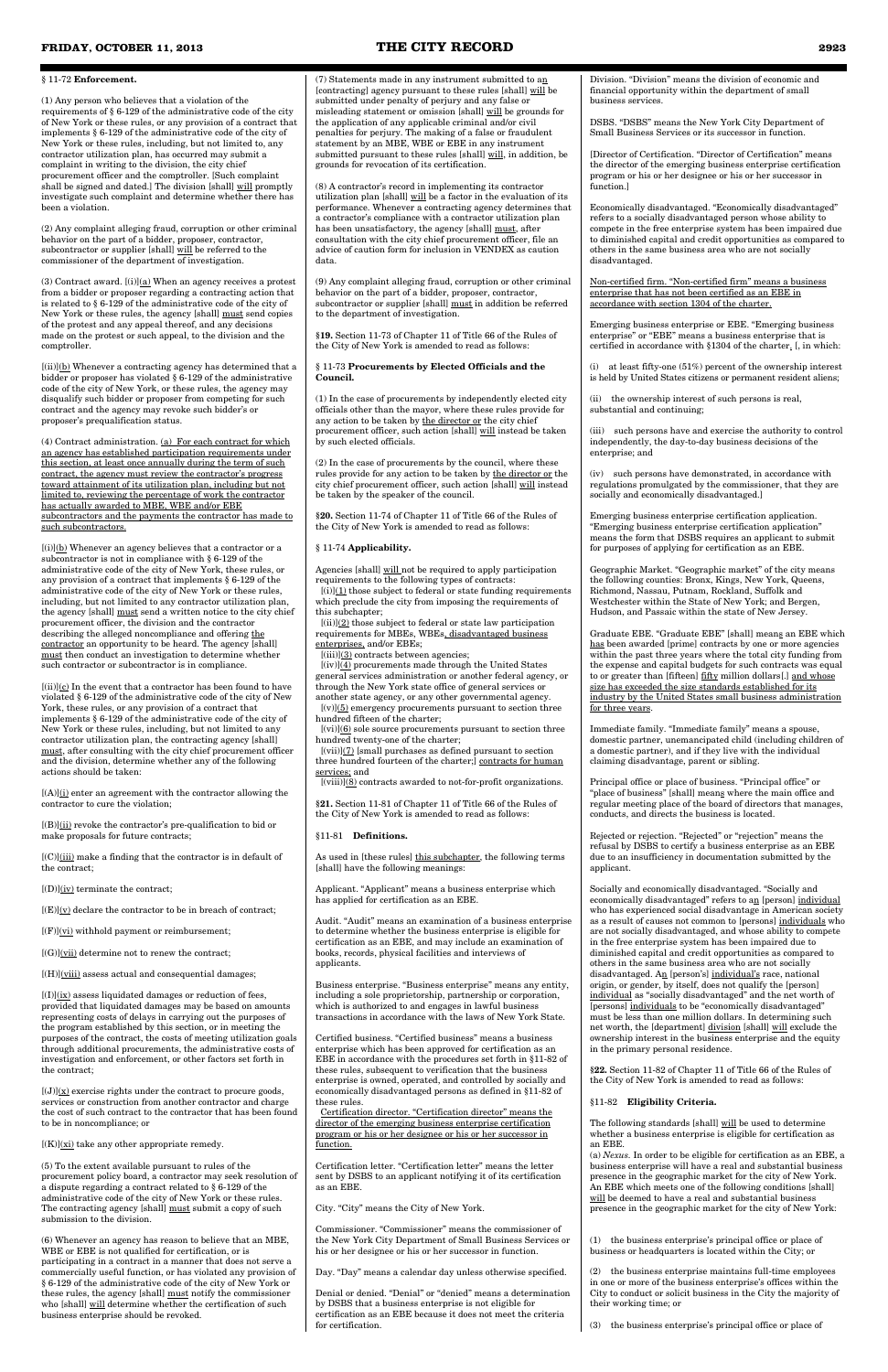#### § 11-72 **Enforcement.**

(1) Any person who believes that a violation of the requirements of § 6-129 of the administrative code of the city of New York or these rules, or any provision of a contract that implements § 6-129 of the administrative code of the city of New York or these rules, including, but not limited to, any contractor utilization plan, has occurred may submit a complaint in writing to the division, the city chief procurement officer and the comptroller. [Such complaint shall be signed and dated.] The division [shall] will promptly investigate such complaint and determine whether there has been a violation.

(3) Contract award.  $[(i)](a)$  When an agency receives a protest from a bidder or proposer regarding a contracting action that is related to § 6-129 of the administrative code of the city of New York or these rules, the agency [shall] must send copies of the protest and any appeal thereof, and any decisions made on the protest or such appeal, to the division and the comptroller.

(2) Any complaint alleging fraud, corruption or other criminal behavior on the part of a bidder, proposer, contractor, subcontractor or supplier [shall] will be referred to the commissioner of the department of investigation.

 $[(ii)]$ (b) Whenever a contracting agency has determined that a bidder or proposer has violated § 6-129 of the administrative code of the city of New York, or these rules, the agency may disqualify such bidder or proposer from competing for such contract and the agency may revoke such bidder's or proposer's prequalification status.

 $[(i)]$ (b) Whenever an agency believes that a contractor or a subcontractor is not in compliance with § 6-129 of the administrative code of the city of New York, these rules, or any provision of a contract that implements § 6-129 of the administrative code of the city of New York or these rules, including, but not limited to any contractor utilization plan, the agency [shall] must send a written notice to the city chief procurement officer, the division and the contractor describing the alleged noncompliance and offering the contractor an opportunity to be heard. The agency [shall] must then conduct an investigation to determine whether such contractor or subcontractor is in compliance.

 $[(ii)](c)$  In the event that a contractor has been found to have violated § 6-129 of the administrative code of the city of New York, these rules, or any provision of a contract that implements § 6-129 of the administrative code of the city of New York or these rules, including, but not limited to any contractor utilization plan, the contracting agency [shall] must, after consulting with the city chief procurement officer and the division, determine whether any of the following actions should be taken:

 $[(A)]$ (i) enter an agreement with the contractor allowing the contractor to cure the violation;

 $[(B)]$ (ii) revoke the contractor's pre-qualification to bid or make proposals for future contracts;

(4) Contract administration. (a) For each contract for which an agency has established participation requirements under this section, at least once annually during the term of such contract, the agency must review the contractor's progress toward attainment of its utilization plan, including but not limited to, reviewing the percentage of work the contractor has actually awarded to MBE, WBE and/or EBE subcontractors and the payments the contractor has made to such subcontractors.

 $[(I)]$  $(ix)$  assess liquidated damages or reduction of fees, ed that liquidated damages may be based on amounts representing costs of delays in carrying out the purposes of the program established by this section, or in meeting the purposes of the contract, the costs of meeting utilization goals through additional procurements, the administrative costs of investigation and enforcement, or other factors set forth in the contract;

 $[(J)](x)$  exercise rights under the contract to procure goods, services or construction from another contractor and charge the cost of such contract to the contractor that has been found to be in noncompliance; or

 $[(K)](\underline{x}i)$  take any other appropriate remedy.

(7) Statements made in any instrument submitted to  $a_{1}$ [contracting] agency pursuant to these rules [shall] will be submitted under penalty of perjury and any false or misleading statement or omission [shall] will be grounds for the application of any applicable criminal and/or civil penalties for perjury. The making of a false or fraudulent statement by an MBE, WBE or EBE in any instrument submitted pursuant to these rules [shall] will, in addition, be grounds for revocation of its certification.

[(C)](iii) make a finding that the contractor is in default of the contract;

 $[(D)](iv)$  terminate the contract;

 $[(E)]({\bf y})$  declare the contractor to be in breach of contract;

 $[(F)]$ (vi) withhold payment or reimbursement;

 $[(G)](\overline{vii})$  determine not to renew the contract;

 $[(H)]$ ( $viii)$ ) assess actual and consequential damages;

 $[(i)](\underline{1})$  those subject to federal or state funding requirements which preclude the city from imposing the requirements of this subchapter;

 $[(\mathrm{ii})]({\underline{2}})$  those subject to federal or state law participation requirements for MBEs, WBEs, disadvantaged business enterprises, and/or EBEs;

 $[(iii)]$ (3) contracts between agencies;

 $[(iv)]$ (4) procurements made through the United States general services administration or another federal agency, or through the New York state office of general services or another state agency, or any other governmental agency.

 $[(v)](5)$  emergency procurements pursuant to section three hundred fifteen of the charter;

 $[(vi)]$ (6) sole source procurements pursuant to section three hundred twenty-one of the charter;

 $[(vii)](7)$  [small purchases as defined pursuant to section three hundred fourteen of the charter;] contracts for human services; and

 $[({\rm viii})]({\bf 8})$  contracts awarded to not-for-profit organizations.

As used in [these rules] this subchapter, the following terms [shall] have the following meanings:

(5) To the extent available pursuant to rules of the procurement policy board, a contractor may seek resolution of a dispute regarding a contract related to § 6-129 of the administrative code of the city of New York or these rules. The contracting agency [shall] must submit a copy of such submission to the division.

(6) Whenever an agency has reason to believe that an MBE, WBE or EBE is not qualified for certification, or is participating in a contract in a manner that does not serve a commercially useful function, or has violated any provision of § 6-129 of the administrative code of the city of New York or these rules, the agency [shall] must notify the commissioner who [shall] will determine whether the certification of such business enterprise should be revoked.

(i) at least fifty-one  $(51\%)$  percent of the ownership interest is held by United States citizens or permanent resident aliens;

(8) A contractor's record in implementing its contractor utilization plan [shall] will be a factor in the evaluation of its performance. Whenever a contracting agency determines that a contractor's compliance with a contractor utilization plan has been unsatisfactory, the agency [shall] must, after consultation with the city chief procurement officer, file an advice of caution form for inclusion in VENDEX as caution data.

(9) Any complaint alleging fraud, corruption or other criminal behavior on the part of a bidder, proposer, contractor, subcontractor or supplier [shall] must in addition be referred to the department of investigation.

**§19.** Section 11-73 of Chapter 11 of Title 66 of the Rules of the City of New York is amended to read as follows:

#### § 11-73 **Procurements by Elected Officials and the Council.**

(1) In the case of procurements by independently elected city officials other than the mayor, where these rules provide for any action to be taken by the director or the city chief procurement officer, such action [shall] will instead be taken by such elected officials.

(2) In the case of procurements by the council, where these rules provide for any action to be taken by the director or the city chief procurement officer, such action [shall] will instead be taken by the speaker of the council.

**§20.** Section 11-74 of Chapter 11 of Title 66 of the Rules of the City of New York is amended to read as follows:

#### § 11-74 **Applicability.**

Agencies [shall] will not be required to apply participation requirements to the following types of contracts:

**§21.** Section 11-81 of Chapter 11 of Title 66 of the Rules of the City of New York is amended to read as follows:

#### §11-81 **Definitions.**

Applicant. "Applicant" means a business enterprise which has applied for certification as an EBE.

Audit. "Audit" means an examination of a business enterprise to determine whether the business enterprise is eligible for certification as an EBE, and may include an examination of books, records, physical facilities and interviews of applicants.

Business enterprise. "Business enterprise" means any entity, including a sole proprietorship, partnership or corporation, which is authorized to and engages in lawful business

transactions in accordance with the laws of New York State.

Certified business. "Certified business" means a business enterprise which has been approved for certification as an EBE in accordance with the procedures set forth in §11-82 of these rules, subsequent to verification that the business enterprise is owned, operated, and controlled by socially and economically disadvantaged persons as defined in §11-82 of these rules.

Certification director. "Certification director" means the director of the emerging business enterprise certification program or his or her designee or his or her successor in function.

Certification letter. "Certification letter" means the letter sent by DSBS to an applicant notifying it of its certification as an EBE.

City. "City" means the City of New York.

Commissioner. "Commissioner" means the commissioner of the New York City Department of Small Business Services or his or her designee or his or her successor in function.

Day. "Day" means a calendar day unless otherwise specified.

Denial or denied. "Denial" or "denied" means a determination by DSBS that a business enterprise is not eligible for certification as an EBE because it does not meet the criteria for certification.

Division. "Division" means the division of economic and financial opportunity within the department of small business services.

DSBS. "DSBS" means the New York City Department of Small Business Services or its successor in function.

[Director of Certification. "Director of Certification" means the director of the emerging business enterprise certification program or his or her designee or his or her successor in function.]

Economically disadvantaged. "Economically disadvantaged" refers to a socially disadvantaged person whose ability to compete in the free enterprise system has been impaired due to diminished capital and credit opportunities as compared to others in the same business area who are not socially disadvantaged.

Non-certified firm. "Non-certified firm" means a business enterprise that has not been certified as an EBE in accordance with section 1304 of the charter.

Emerging business enterprise or EBE. "Emerging business enterprise" or "EBE" means a business enterprise that is certified in accordance with §1304 of the charter. [, in which:

(ii) the ownership interest of such persons is real, substantial and continuing;

(iii) such persons have and exercise the authority to control independently, the day-to-day business decisions of the enterprise; and

(iv) such persons have demonstrated, in accordance with regulations promulgated by the commissioner, that they are socially and economically disadvantaged.]

Emerging business enterprise certification application. "Emerging business enterprise certification application" means the form that DSBS requires an applicant to submit for purposes of applying for certification as an EBE.

Geographic Market. "Geographic market" of the city means the following counties: Bronx, Kings, New York, Queens, Richmond, Nassau, Putnam, Rockland, Suffolk and Westchester within the State of New York; and Bergen, Hudson, and Passaic within the state of New Jersey.

Graduate EBE. "Graduate EBE" [shall] means an EBE which has been awarded [prime] contracts by one or more agencies within the past three years where the total city funding from the expense and capital budgets for such contracts was equal to or greater than [fifteen] fifty million dollars[.] and whose size has exceeded the size standards established for its industry by the United States small business administration for three years.

Immediate family. "Immediate family" means a spouse, domestic partner, unemancipated child (including children of a domestic partner), and if they live with the individual claiming disadvantage, parent or sibling.

Principal office or place of business. "Principal office" or "place of business" [shall] means where the main office and regular meeting place of the board of directors that manages, conducts, and directs the business is located.

Rejected or rejection. "Rejected" or "rejection" means the refusal by DSBS to certify a business enterprise as an EBE due to an insufficiency in documentation submitted by the applicant.

Socially and economically disadvantaged. "Socially and economically disadvantaged" refers to an [person] individual who has experienced social disadvantage in American society as a result of causes not common to [persons] individuals who are not socially disadvantaged, and whose ability to compete in the free enterprise system has been impaired due to diminished capital and credit opportunities as compared to others in the same business area who are not socially disadvantaged. An [person's] individual's race, national origin, or gender, by itself, does not qualify the [person] individual as "socially disadvantaged" and the net worth of [persons] individuals to be "economically disadvantaged" must be less than one million dollars. In determining such net worth, the [department] division [shall] will exclude the ownership interest in the business enterprise and the equity in the primary personal residence.

**§22.** Section 11-82 of Chapter 11 of Title 66 of the Rules of the City of New York is amended to read as follows:

§11-82 **Eligibility Criteria.**

The following standards [shall] will be used to determine whether a business enterprise is eligible for certification as an EBE.

(a) *Nexus.* In order to be eligible for certification as an EBE, a business enterprise will have a real and substantial business presence in the geographic market for the city of New York. An EBE which meets one of the following conditions [shall] will be deemed to have a real and substantial business presence in the geographic market for the city of New York:

(1) the business enterprise's principal office or place of business or headquarters is located within the City; or

(2) the business enterprise maintains full-time employees in one or more of the business enterprise's offices within the City to conduct or solicit business in the City the majority of their working time; or

(3) the business enterprise's principal office or place of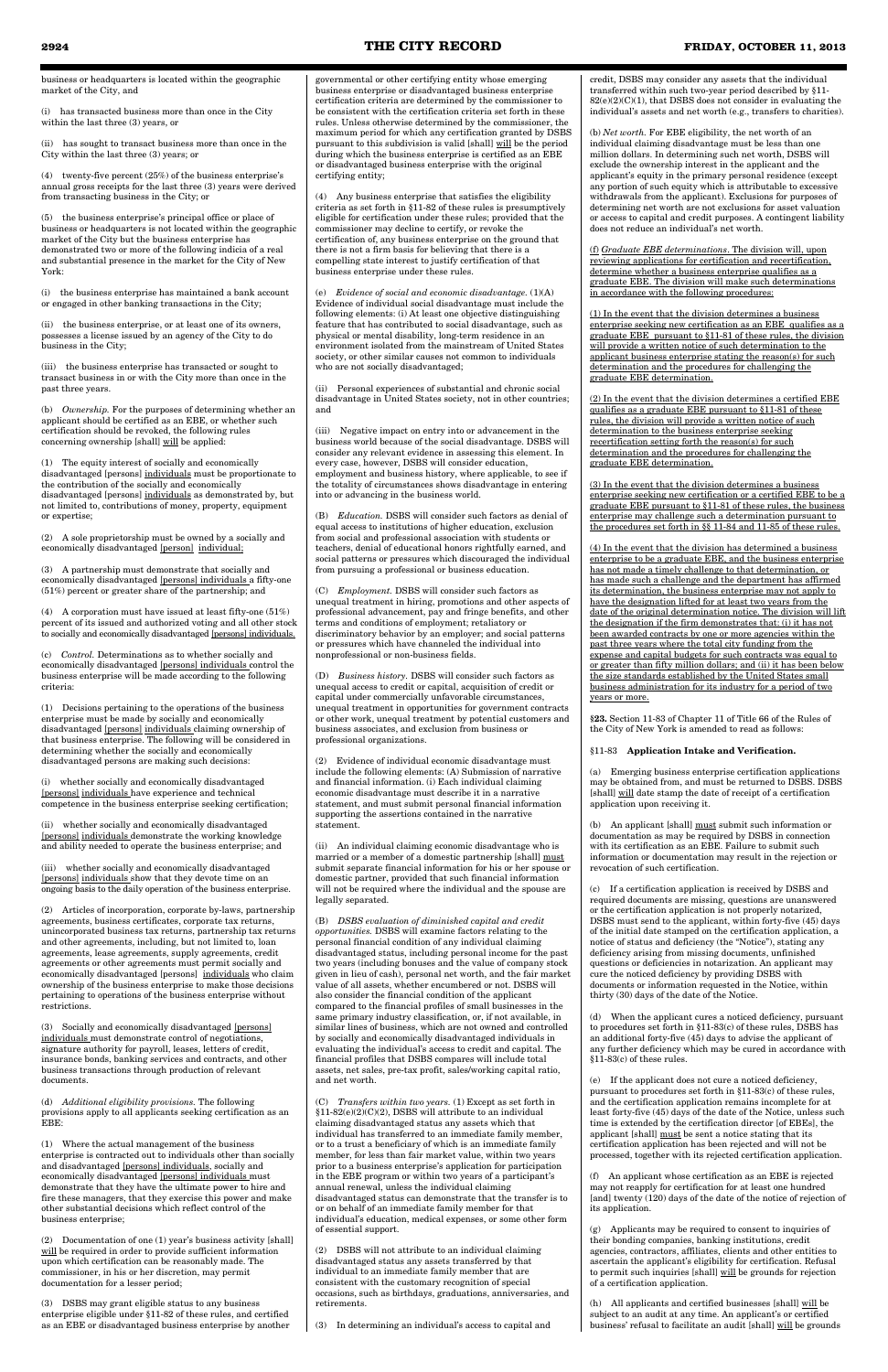(i) has transacted business more than once in the City within the last three (3) years, or

(ii) has sought to transact business more than once in the City within the last three (3) years; or

(4) twenty-five percent (25%) of the business enterprise's annual gross receipts for the last three (3) years were derived from transacting business in the City; or

(5) the business enterprise's principal office or place of business or headquarters is not located within the geographic market of the City but the business enterprise has demonstrated two or more of the following indicia of a real and substantial presence in the market for the City of New York:

(i) the business enterprise has maintained a bank account or engaged in other banking transactions in the City;

(ii) the business enterprise, or at least one of its owners, possesses a license issued by an agency of the City to do business in the City;

(iii) the business enterprise has transacted or sought to transact business in or with the City more than once in the past three years.

(b) *Ownership.* For the purposes of determining whether an applicant should be certified as an EBE, or whether such certification should be revoked, the following rules concerning ownership [shall] will be applied:

(1) The equity interest of socially and economically disadvantaged [persons] individuals must be proportionate to the contribution of the socially and economically disadvantaged [persons] individuals as demonstrated by, but not limited to, contributions of money, property, equipment or expertise;

(2) Articles of incorporation, corporate by-laws, partnership agreements, business certificates, corporate tax returns, unincorporated business tax returns, partnership tax returns and other agreements, including, but not limited to, loan agreements, lease agreements, supply agreements, credit agreements or other agreements must permit socially and economically disadvantaged [persons] individuals who claim ownership of the business enterprise to make those decisions pertaining to operations of the business enterprise without strictions

(2) A sole proprietorship must be owned by a socially and economically disadvantaged [person] individual;

(3) A partnership must demonstrate that socially and economically disadvantaged [persons] individuals a fifty-one (51%) percent or greater share of the partnership; and

(4) A corporation must have issued at least fifty-one (51%) percent of its issued and authorized voting and all other stock to socially and economically disadvantaged [persons] individuals.

(c) *Control.* Determinations as to whether socially and economically disadvantaged [persons] individuals control the business enterprise will be made according to the following criteria:

(1) Decisions pertaining to the operations of the business enterprise must be made by socially and economically disadvantaged [persons] individuals claiming ownership of that business enterprise. The following will be considered in determining whether the socially and economically disadvantaged persons are making such decisions:

(i) whether socially and economically disadvantaged [persons] individuals have experience and technical competence in the business enterprise seeking certification;

(ii) whether socially and economically disadvantaged [persons] individuals demonstrate the working knowledge and ability needed to operate the business enterprise; and

(iii) whether socially and economically disadvantaged [persons] individuals show that they devote time on an ongoing basis to the daily operation of the business enterprise.

(3) Socially and economically disadvantaged [persons] individuals must demonstrate control of negotiations, signature authority for payroll, leases, letters of credit, insurance bonds, banking services and contracts, and other business transactions through production of relevant documents.

(d) *Additional eligibility provisions.* The following provisions apply to all applicants seeking certification as an EBE:

(1) Where the actual management of the business enterprise is contracted out to individuals other than socially and disadvantaged [persons] individuals, socially and economically disadvantaged [persons] individuals must demonstrate that they have the ultimate power to hire and fire these managers, that they exercise this power and make other substantial decisions which reflect control of the business enterprise;

An individual claiming economic disadvantage who is married or a member of a domestic partnership [shall] must submit separate financial information for his or her spouse or domestic partner, provided that such financial information will not be required where the individual and the spouse are legally separated.

(2) Documentation of one (1) year's business activity [shall] will be required in order to provide sufficient information upon which certification can be reasonably made. The commissioner, in his or her discretion, may permit documentation for a lesser period;

(3) DSBS may grant eligible status to any business enterprise eligible under §11-82 of these rules, and certified as an EBE or disadvantaged business enterprise by another

governmental or other certifying entity whose emerging business enterprise or disadvantaged business enterprise certification criteria are determined by the commissioner to be consistent with the certification criteria set forth in these rules. Unless otherwise determined by the commissioner, the maximum period for which any certification granted by DSBS pursuant to this subdivision is valid [shall] will be the period during which the business enterprise is certified as an EBE or disadvantaged business enterprise with the original certifying entity;

(4) Any business enterprise that satisfies the eligibility criteria as set forth in §11-82 of these rules is presumptively eligible for certification under these rules; provided that the commissioner may decline to certify, or revoke the certification of, any business enterprise on the ground that there is not a firm basis for believing that there is a compelling state interest to justify certification of that business enterprise under these rules.

(e) *Evidence of social and economic disadvantage.* (1)(A) Evidence of individual social disadvantage must include the following elements: (i) At least one objective distinguishing feature that has contributed to social disadvantage, such as physical or mental disability, long-term residence in an environment isolated from the mainstream of United States society, or other similar causes not common to individuals who are not socially disadvantaged;

(ii) Personal experiences of substantial and chronic social disadvantage in United States society, not in other countries; and

(iii) Negative impact on entry into or advancement in the business world because of the social disadvantage. DSBS will consider any relevant evidence in assessing this element. In every case, however, DSBS will consider education, employment and business history, where applicable, to see if the totality of circumstances shows disadvantage in entering into or advancing in the business world.

(B) *Education.* DSBS will consider such factors as denial of equal access to institutions of higher education, exclusion from social and professional association with students or teachers, denial of educational honors rightfully earned, and social patterns or pressures which discouraged the individual from pursuing a professional or business education.

(C) *Employment.* DSBS will consider such factors as unequal treatment in hiring, promotions and other aspects of professional advancement, pay and fringe benefits, and other terms and conditions of employment; retaliatory or discriminatory behavior by an employer; and social patterns or pressures which have channeled the individual into nonprofessional or non-business fields.

(D) *Business history.* DSBS will consider such factors as unequal access to credit or capital, acquisition of credit or capital under commercially unfavorable circumstances, unequal treatment in opportunities for government contracts or other work, unequal treatment by potential customers and business associates, and exclusion from business or professional organizations.

> (h) All applicants and certified businesses [shall]  $will$  be</u> subject to an audit at any time. An applicant's or certified business' refusal to facilitate an audit [shall] will be grounds

(2) Evidence of individual economic disadvantage must include the following elements: (A) Submission of narrative and financial information. (i) Each individual claiming economic disadvantage must describe it in a narrative statement, and must submit personal financial information supporting the assertions contained in the narrative statement.

(B) *DSBS evaluation of diminished capital and credit opportunities.* DSBS will examine factors relating to the personal financial condition of any individual claiming disadvantaged status, including personal income for the past two years (including bonuses and the value of company stock given in lieu of cash), personal net worth, and the fair market value of all assets, whether encumbered or not. DSBS will also consider the financial condition of the applicant compared to the financial profiles of small businesses same primary industry classification, or, if not available, in similar lines of business, which are not owned and controlled by socially and economically disadvantaged individuals in evaluating the individual's access to credit and capital. The financial profiles that DSBS compares will include total assets, net sales, pre-tax profit, sales/working capital ratio, and net worth.

(C) *Transfers within two years.* (1) Except as set forth in §11-82(e)(2)(C)(2), DSBS will attribute to an individual claiming disadvantaged status any assets which that individual has transferred to an immediate family member, or to a trust a beneficiary of which is an immediate family member, for less than fair market value, within two years prior to a business enterprise's application for participation in the EBE program or within two years of a participant's annual renewal, unless the individual claiming disadvantaged status can demonstrate that the transfer is to or on behalf of an immediate family member for that individual's education, medical expenses, or some other form of essential support.

(2) DSBS will not attribute to an individual claiming disadvantaged status any assets transferred by that individual to an immediate family member that are consistent with the customary recognition of special occasions, such as birthdays, graduations, anniversaries, and retirements.

(3) In determining an individual's access to capital and

credit, DSBS may consider any assets that the individual transferred within such two-year period described by §11- 82(e)(2)(C)(1), that DSBS does not consider in evaluating the individual's assets and net worth (e.g., transfers to charities).

(b) *Net worth.* For EBE eligibility, the net worth of an individual claiming disadvantage must be less than one million dollars. In determining such net worth, DSBS will exclude the ownership interest in the applicant and the applicant's equity in the primary personal residence (except any portion of such equity which is attributable to excessive withdrawals from the applicant). Exclusions for purposes of determining net worth are not exclusions for asset valuation or access to capital and credit purposes. A contingent liability does not reduce an individual's net worth.

(f) *Graduate EBE determinations*. The division will, upon reviewing applications for certification and recertification, determine whether a business enterprise qualifies as a graduate EBE. The division will make such determinations in accordance with the following procedures:

(1) In the event that the division determines a business enterprise seeking new certification as an EBE qualifies as a graduate EBE pursuant to §11-81 of these rules, the division will provide a written notice of such determination to the applicant business enterprise stating the reason(s) for such determination and the procedures for challenging the graduate EBE determination.

(2) In the event that the division determines a certified EBE qualifies as a graduate EBE pursuant to §11-81 of these rules, the division will provide a written notice of such determination to the business enterprise seeking recertification setting forth the reason(s) for such determination and the procedures for challenging the graduate EBE determination.

(3) In the event that the division determines a business enterprise seeking new certification or a certified EBE to be a graduate EBE pursuant to §11-81 of these rules, the business enterprise may challenge such a determination pursuant to the procedures set forth in §§ 11-84 and 11-85 of these rules.

(4) In the event that the division has determined a business enterprise to be a graduate EBE, and the business enterprise has not made a timely challenge to that determination, or has made such a challenge and the department has affirmed its determination, the business enterprise may not apply to have the designation lifted for at least two years from the date of the original determination notice. The division will lift the designation if the firm demonstrates that: (i) it has not been awarded contracts by one or more agencies within the past three years where the total city funding from the expense and capital budgets for such contracts was equal to or greater than fifty million dollars; and (ii) it has been below the size standards established by the United States small business administration for its industry for a period of two years or more.

**§23.** Section 11-83 of Chapter 11 of Title 66 of the Rules of the City of New York is amended to read as follows:

#### §11-83 **Application Intake and Verification.**

(a) Emerging business enterprise certification applications may be obtained from, and must be returned to DSBS. DSBS [shall] will date stamp the date of receipt of a certification application upon receiving it.

(b) An applicant [shall] must submit such information or documentation as may be required by DSBS in connection with its certification as an EBE. Failure to submit such information or documentation may result in the rejection or revocation of such certification.

(c) If a certification application is received by DSBS and required documents are missing, questions are unanswered or the certification application is not properly notarized, DSBS must send to the applicant, within forty-five (45) days of the initial date stamped on the certification application, a notice of status and deficiency (the "Notice"), stating any deficiency arising from missing documents, unfinished questions or deficiencies in notarization. An applicant may cure the noticed deficiency by providing DSBS with documents or information requested in the Notice, within thirty (30) days of the date of the Notice.

(d) When the applicant cures a noticed deficiency, pursuant to procedures set forth in  $\$11\text{-}83(c)$  of these rules,  $\hat{\text{DSBS}}$  has an additional forty-five (45) days to advise the applicant of any further deficiency which may be cured in accordance with §11-83(c) of these rules.

(e) If the applicant does not cure a noticed deficiency, pursuant to procedures set forth in §11-83(c) of these rules, and the certification application remains incomplete for at least forty-five (45) days of the date of the Notice, unless such time is extended by the certification director [of EBEs], the applicant [shall] must be sent a notice stating that its certification application has been rejected and will not be processed, together with its rejected certification application.

(f) An applicant whose certification as an EBE is rejected may not reapply for certification for at least one hundred [and] twenty (120) days of the date of the notice of rejection of its application.

(g) Applicants may be required to consent to inquiries of their bonding companies, banking institutions, credit agencies, contractors, affiliates, clients and other entities to ascertain the applicant's eligibility for certification. Refusal to permit such inquiries [shall] will be grounds for rejection of a certification application.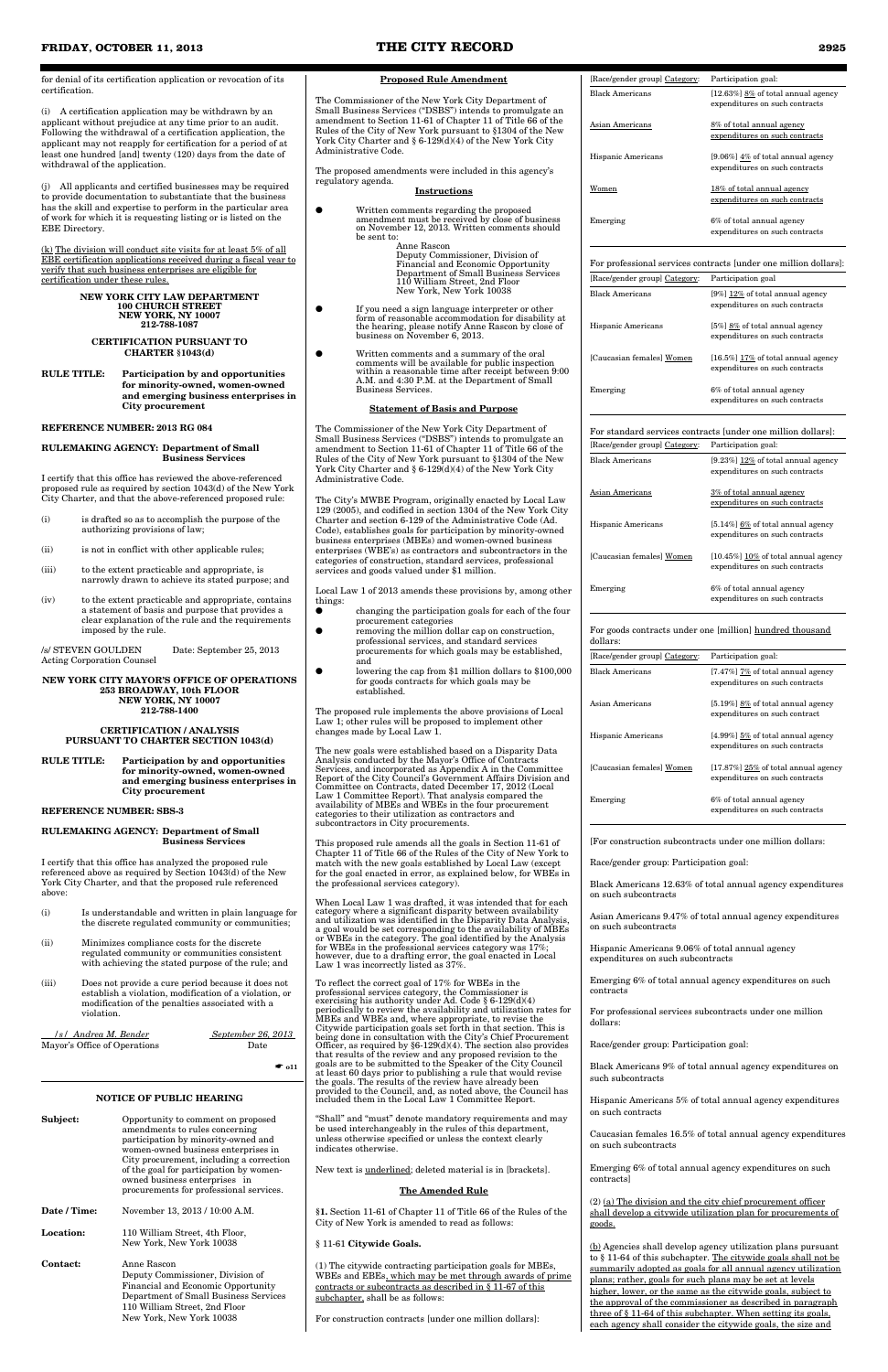for denial of its certification application or revocation of its certification.

(i) A certification application may be withdrawn by an applicant without prejudice at any time prior to an audit. Following the withdrawal of a certification application, the applicant may not reapply for certification for a period of at least one hundred [and] twenty (120) days from the date of withdrawal of the application.

(j) All applicants and certified businesses may be required to provide documentation to substantiate that the business has the skill and expertise to perform in the particular area of work for which it is requesting listing or is listed on the EBE Directory.

(k) The division will conduct site visits for at least 5% of all EBE certification applications received during a fiscal year to verify that such business enterprises are eligible for certification under these rules.

#### **NEW YORK CITY LAW DEPARTMENT 100 CHURCH STREET NEW YORK, NY 10007 212-788-1087**

#### **CERTIFICATION PURSUANT TO CHARTER §1043(d)**

**RULE TITLE: Participation by and opportunities for minority-owned, women-owned and emerging business enterprises in City procurement**

#### **REFERENCE NUMBER: 2013 RG 084**

#### **RULEMAKING AGENCY: Department of Small Business Services**

I certify that this office has reviewed the above-referenced proposed rule as required by section 1043(d) of the New York City Charter, and that the above-referenced proposed rule:

| violation.<br>/s/ Andrea M. Bender<br>Mayor's Office of Operations | September 26, 2013<br>Date<br>$\bullet$ o11<br><b>NOTICE OF PUBLIC HEARING</b>                                                                                                                                                                                                                                        | periodically to review the availability and utilization rates for<br>MBEs and WBEs and, where appropriate, to revise the<br>Citywide participation goals set forth in that section. This is<br>being done in consultation with the City's Chief Procurement<br>Officer, as required by $\S6-129(d)(4)$ . The section also provides<br>that results of the review and any proposed revision to the<br>goals are to be submitted to the Speaker of the City Council<br>at least 60 days prior to publishing a rule that would revise<br>the goals. The results of the review have already been<br>provided to the Council, and, as noted above, the Council has<br>included them in the Local Law 1 Committee Report. |
|--------------------------------------------------------------------|-----------------------------------------------------------------------------------------------------------------------------------------------------------------------------------------------------------------------------------------------------------------------------------------------------------------------|---------------------------------------------------------------------------------------------------------------------------------------------------------------------------------------------------------------------------------------------------------------------------------------------------------------------------------------------------------------------------------------------------------------------------------------------------------------------------------------------------------------------------------------------------------------------------------------------------------------------------------------------------------------------------------------------------------------------|
| Subject:                                                           | Opportunity to comment on proposed<br>amendments to rules concerning<br>participation by minority-owned and<br>women-owned business enterprises in<br>City procurement, including a correction<br>of the goal for participation by women-<br>owned business enterprises in<br>procurements for professional services. | "Shall" and "must" denote mandatory requirements and may<br>be used interchangeably in the rules of this department,<br>unless otherwise specified or unless the context clearly<br>indicates otherwise.<br>New text is underlined; deleted material is in [brackets].<br><b>The Amended Rule</b>                                                                                                                                                                                                                                                                                                                                                                                                                   |
| Date / Time:                                                       | November 13, 2013 / 10:00 A.M.                                                                                                                                                                                                                                                                                        | §1. Section 11-61 of Chapter 11 of Title 66 of the Rules of the<br>City of New York is amended to read as follows:                                                                                                                                                                                                                                                                                                                                                                                                                                                                                                                                                                                                  |
| Location:                                                          | 110 William Street, 4th Floor,<br>New York, New York 10038                                                                                                                                                                                                                                                            | § 11-61 Citywide Goals.                                                                                                                                                                                                                                                                                                                                                                                                                                                                                                                                                                                                                                                                                             |
| Contact:                                                           | Anne Rascon<br>Deputy Commissioner, Division of<br>Financial and Economic Opportunity<br>Department of Small Business Services<br>110 William Street, 2nd Floor<br>New York, New York 10038                                                                                                                           | (1) The citywide contracting participation goals for MBEs,<br>WBEs and EBEs, which may be met through awards of prime<br>contracts or subcontracts as described in $\S$ 11-67 of this<br>subchapter, shall be as follows:<br>For construction contracts funder one million dollars.                                                                                                                                                                                                                                                                                                                                                                                                                                 |
|                                                                    |                                                                                                                                                                                                                                                                                                                       |                                                                                                                                                                                                                                                                                                                                                                                                                                                                                                                                                                                                                                                                                                                     |

- (i) is drafted so as to accomplish the purpose of the authorizing provisions of law;
- (ii) is not in conflict with other applicable rules:
- (iii) to the extent practicable and appropriate, is narrowly drawn to achieve its stated purpose; and
- $\left( \mathrm{iv}\right)$  to the extent practicable and appropriate, contains a statement of basis and purpose that provides a clear explanation of the rule and the requirements imposed by the rule.

/s/ STEVEN GOULDEN Date: September 25, 2013 Acting Corporation Counsel

#### **NEW YORK CITY MAYOR'S OFFICE OF OPERATIONS 253 BROADWAY, 10th FLOOR NEW YORK, NY 10007 212-788-1400**

#### **CERTIFICATION / ANALYSIS PURSUANT TO CHARTER SECTION 1043(d)**

Written comments regarding the proposed amendment must be received by close of business on November 12, 2013*.* Written comments should be sent to:

**RULE TITLE: Participation by and opportunities for minority-owned, women-owned and emerging business enterprises in City procurement**

#### **REFERENCE NUMBER: SBS-3**

#### **RULEMAKING AGENCY: Department of Small Business Services**

I certify that this office has analyzed the proposed rule referenced above as required by Section 1043(d) of the New York City Charter, and that the proposed rule referenced above:

- (i) Is understandable and written in plain language for the discrete regulated community or communities;
- (ii) Minimizes compliance costs for the discrete regulated community or communities consistent with achieving the stated purpose of the rule; and
- (iii) Does not provide a cure period because it does not establish a violation, modification of a violation, or modification of the penalties associated with a

#### **Proposed Rule Amendment**

To reflect the correct goal of 17% for WBEs in the professional services category, the Commissioner is exercising his authority under Ad. Code § 6-129(d)(4) ilization rates for

The Commissioner of the New York City Department of Small Business Services ("DSBS") intends to promulgate an amendment to Section 11-61 of Chapter 11 of Title 66 of the Rules of the City of New York pursuant to §1304 of the New York City Charter and § 6-129(d)(4) of the New York City Administrative Code.

The proposed amendments were included in this agency's regulatory agenda.

#### **Instructions**

Anne Rascon Deputy Commissioner, Division of Financial and Economic Opportunity Department of Small Business Services 110 William Street, 2nd Floor New York, New York 10038

- If you need a sign language interpreter or other form of reasonable accommodation for disability at the hearing, please notify Anne Rascon by close of business on November 6, 2013.
- Written comments and a summary of the oral comments will be available for public inspection within a reasonable time after receipt between 9:00 A.M. and 4:30 P.M. at the Department of Small Business Services.

#### **Statement of Basis and Purpose**

The Commissioner of the New York City Department of Small Business Services ("DSBS") intends to promulgate an amendment to Section 11-61 of Chapter 11 of Title 66 of the Rules of the City of New York pursuant to §1304 of the New York City Charter and § 6-129(d)(4) of the New York City Administrative Code.

The City's MWBE Program, originally enacted by Local Law 129 (2005), and codified in section 1304 of the New York City Charter and section 6-129 of the Administrative Code (Ad. Code), establishes goals for participation by minority-owned business enterprises (MBEs) and women-owned business enterprises (WBE's) as contractors and subcontractors in the categories of construction, standard services, professional services and goods valued under \$1 million.

Local Law 1 of 2013 amends these provisions by, among other things:

- changing the participation goals for each of the four procurement categories
- removing the million dollar cap on construction, professional services, and standard services procurements for which goals may be established, and
- lowering the cap from \$1 million dollars to  $$100,000$ for goods contracts for which goals may be established.

The proposed rule implements the above provisions of Local Law 1; other rules will be proposed to implement other changes made by Local Law 1.

The new goals were established based on a Disparity Data Analysis conducted by the Mayor's Office of Contracts Services, and incorporated as Appendix A in the Committee Report of the City Council's Government Affairs Division and Committee on Contracts, dated December 17, 2012 (Local Law 1 Committee Report). That analysis compared the availability of MBEs and WBEs in the four procurement categories to their utilization as contractors and subcontractors in City procurements.

This proposed rule amends all the goals in Section 11-61 of Chapter 11 of Title 66 of the Rules of the City of New York to match with the new goals established by Local Law (except for the goal enacted in error, as explained below, for WBEs in the professional services category).

When Local Law 1 was drafted, it was intended that for each category where a significant disparity between availability and utilization was identified in the Disparity Data Analy a goal would be set corresponding to the availability of MBEs or WBEs in the category. The goal identified by the Analysis for WBEs in the professional services category was 17%; however, due to a drafting error, the goal enacted in Local Law 1 was incorrectly listed as 37%.

| [Race/gender group] Category: | Participation goal:                                                                    |
|-------------------------------|----------------------------------------------------------------------------------------|
| Black Americans               | $[12.63\%]$ $\underline{8\%}$ of total annual agency<br>expenditures on such contracts |
| Asian Americans               | 8% of total annual agency<br>expenditures on such contracts                            |
| Hispanic Americans            | [9.06%] $4\%$ of total annual agency<br>expenditures on such contracts                 |
| Women                         | 18% of total annual agency<br>expenditures on such contracts                           |
| Emerging                      | 6% of total annual agency<br>expenditures on such contracts                            |

#### For professional services contracts [under one million dollars]:

| [Race/gender group] Category: | Participation goal                                                      |
|-------------------------------|-------------------------------------------------------------------------|
| Black Americans               | $[9\%]$ 12% of total annual agency<br>expenditures on such contracts    |
| Hispanic Americans            | [5%] 8% of total annual agency<br>expenditures on such contracts        |
| [Caucasian females] Women     | $[16.5\%]$ 17% of total annual agency<br>expenditures on such contracts |
| Emerging                      | 6% of total annual agency<br>expenditures on such contracts             |

| For standard services contracts [under one million dollars]: |                                                                                         |  |  |  |  |  |  |
|--------------------------------------------------------------|-----------------------------------------------------------------------------------------|--|--|--|--|--|--|
| [Race/gender group] Category:                                | Participation goal:                                                                     |  |  |  |  |  |  |
| Black Americans                                              | [9.23%] $12\%$ of total annual agency<br>expenditures on such contracts                 |  |  |  |  |  |  |
| Asian Americans                                              | 3% of total annual agency<br>expenditures on such contracts                             |  |  |  |  |  |  |
| Hispanic Americans                                           | $[5.14\%]$ 6% of total annual agency<br>expenditures on such contracts                  |  |  |  |  |  |  |
| [Caucasian females] Women                                    | $[10.45\%]$ $\underline{10\%}$ of total annual agency<br>expenditures on such contracts |  |  |  |  |  |  |
| Emerging                                                     | 6% of total annual agency<br>expenditures on such contracts                             |  |  |  |  |  |  |

For goods contracts under one [million] hundred thousand dollars:

| [Race/gender group] Category: | Participation goal:                                                              |
|-------------------------------|----------------------------------------------------------------------------------|
| <b>Black Americans</b>        | [7.47%] $\frac{7\%}{2}$ of total annual agency<br>expenditures on such contracts |
| Asian Americans               | [5.19%] $8\%$ of total annual agency<br>expenditures on such contract            |
| Hispanic Americans            | $[4.99\%]$ 5% of total annual agency<br>expenditures on such contracts           |
| [Caucasian females] Women     | $[17.87\%]$ 25% of total annual agency<br>expenditures on such contracts         |
| Emerging                      | 6% of total annual agency<br>expenditures on such contracts                      |

[For construction subcontracts under one million dollars:

Race/gender group: Participation goal:

Black Americans 12.63% of total annual agency expenditures on such subcontracts

Asian Americans 9.47% of total annual agency expenditures on such subcontracts

Hispanic Americans 9.06% of total annual agency expenditures on such subcontracts

Emerging 6% of total annual agency expenditures on such contracts

For professional services subcontracts under one million dollars:

Race/gender group: Participation goal:

Black Americans 9% of total annual agency expenditures on such subcontracts

Hispanic Americans 5% of total annual agency expenditures on such contracts

Caucasian females 16.5% of total annual agency expenditures on such subcontracts

Emerging 6% of total annual agency expenditures on such contracts]

(2) (a) The division and the city chief procurement officer shall develop a citywide utilization plan for procurements of goods.

(b) Agencies shall develop agency utilization plans pursuant to § 11-64 of this subchapter. The citywide goals shall not be summarily adopted as goals for all annual agency utilization plans; rather, goals for such plans may be set at levels higher, lower, or the same as the citywide goals, subject to the approval of the commissioner as described in paragraph three of § 11-64 of this subchapter. When setting its goals, each agency shall consider the citywide goals, the size and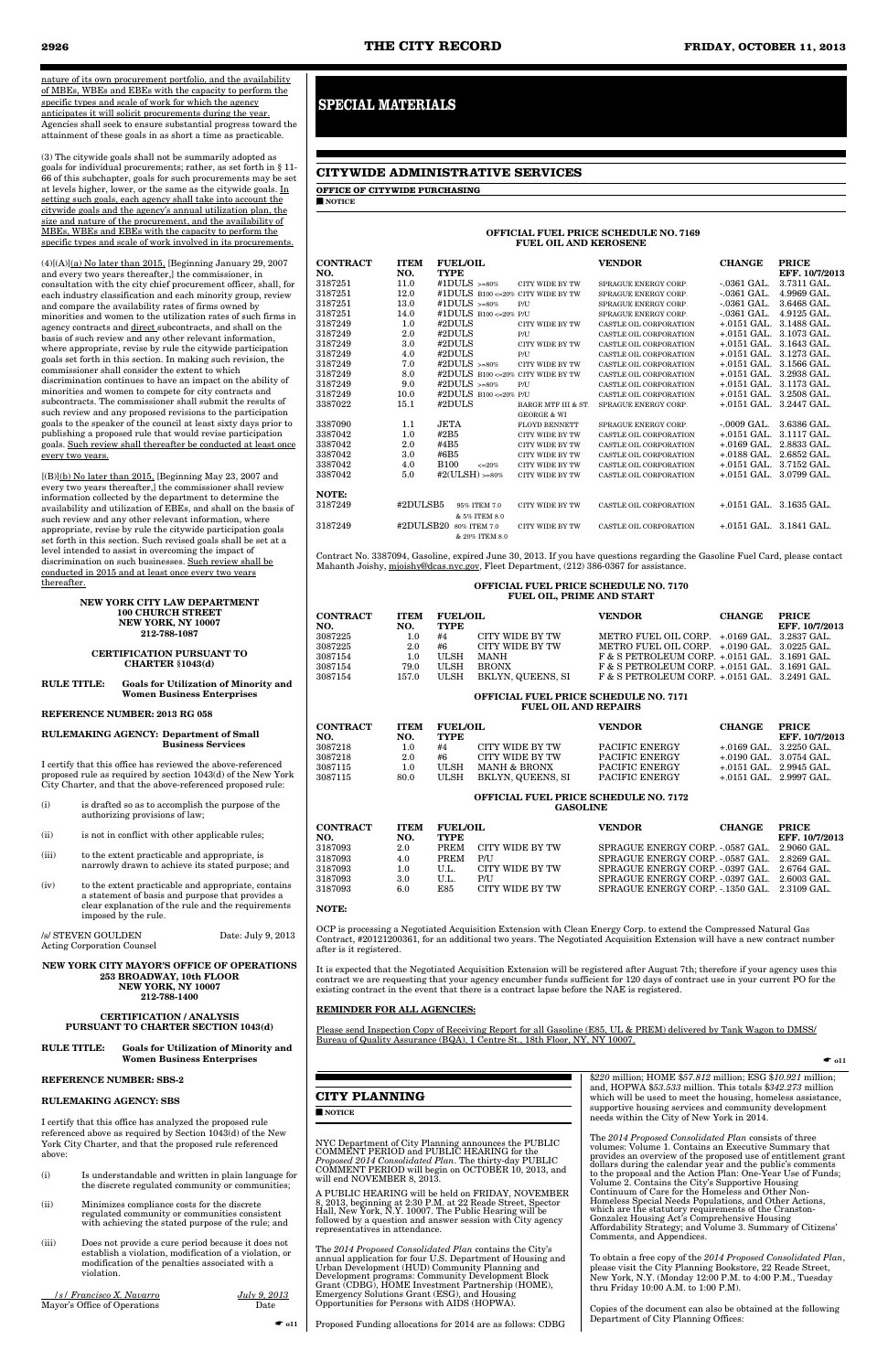nature of its own procurement portfolio, and the availability of MBEs, WBEs and EBEs with the capacity to perform the specific types and scale of work for which the agency anticipates it will solicit procurements during the year. Agencies shall seek to ensure substantial progress toward the attainment of these goals in as short a time as practicable.

(3) The citywide goals shall not be summarily adopted as goals for individual procurements; rather, as set forth in § 11- 66 of this subchapter, goals for such procurements may be set at levels higher, lower, or the same as the citywide goals. In setting such goals, each agency shall take into account the citywide goals and the agency's annual utilization plan, the size and nature of the procurement, and the availability of MBEs, WBEs and EBEs with the capacity to perform the specific types and scale of work involved in its procurements.

 $(4)[(A)](a)$  No later than 2015, [Beginning January 29, 2007 and every two years thereafter,] the commissioner, in consultation with the city chief procurement officer, shall, for each industry classification and each minority group, review and compare the availability rates of firms owned by minorities and women to the utilization rates of such firms in agency contracts and direct subcontracts, and shall on the basis of such review and any other relevant information, where appropriate, revise by rule the citywide participation goals set forth in this section. In making such revision, the commissioner shall consider the extent to which discrimination continues to have an impact on the ability of minorities and women to compete for city contracts and subcontracts. The commissioner shall submit the results of such review and any proposed revisions to the participation goals to the speaker of the council at least sixty days prior to publishing a proposed rule that would revise participation goals. Such review shall thereafter be conducted at least once every two years.

 $[(B)](b)$  No later than 2015, [Beginning May 23, 2007 and every two years thereafter,] the commissioner shall review information collected by the department to determine the availability and utilization of EBEs, and shall on the basis of such review and any other relevant information, where appropriate, revise by rule the citywide participation goals set forth in this section. Such revised goals shall be set at a level intended to assist in overcoming the impact of discrimination on such businesses. Such review shall be conducted in 2015 and at least once every two years thereafter.

**NEW YORK 253 BROADWAY, 10th FLOOR NEW YORK, NY 10007 212-788-1400**

|                                                      |                    | NEW YORK CITY LAW DEPARTMENT<br><b>100 CHURCH STREET</b><br>NEW YORK, NY 10007<br>212-788-1087                                                                                             |                    |  |  |  |  |  |
|------------------------------------------------------|--------------------|--------------------------------------------------------------------------------------------------------------------------------------------------------------------------------------------|--------------------|--|--|--|--|--|
| <b>CERTIFICATION PURSUANT TO</b><br>CHARTER §1043(d) |                    |                                                                                                                                                                                            |                    |  |  |  |  |  |
| <b>RULE TITLE:</b>                                   |                    | <b>Goals for Utilization of Minority and</b><br><b>Women Business Enterprises</b>                                                                                                          |                    |  |  |  |  |  |
|                                                      |                    | <b>REFERENCE NUMBER: 2013 RG 058</b>                                                                                                                                                       |                    |  |  |  |  |  |
|                                                      |                    | <b>RULEMAKING AGENCY: Department of Small</b><br><b>Business Services</b>                                                                                                                  |                    |  |  |  |  |  |
|                                                      |                    | I certify that this office has reviewed the above-referenced<br>proposed rule as required by section 1043(d) of the New York<br>City Charter, and that the above-referenced proposed rule: |                    |  |  |  |  |  |
| (i)                                                  |                    | is drafted so as to accomplish the purpose of the<br>authorizing provisions of law;                                                                                                        |                    |  |  |  |  |  |
| (ii)                                                 |                    | is not in conflict with other applicable rules;                                                                                                                                            |                    |  |  |  |  |  |
| (iii)                                                |                    | to the extent practicable and appropriate, is<br>narrowly drawn to achieve its stated purpose; and                                                                                         |                    |  |  |  |  |  |
| (iv)                                                 |                    | to the extent practicable and appropriate, contains<br>a statement of basis and purpose that provides a<br>clear explanation of the rule and the requirements<br>imposed by the rule.      |                    |  |  |  |  |  |
|                                                      | /s/ STEVEN GOULDEN | <b>Acting Corporation Counsel</b>                                                                                                                                                          | Date: July 9, 2013 |  |  |  |  |  |
|                                                      |                    | MEW YODIZ CIOV MAYODIG OBBICE OF ODED ABIOMS                                                                                                                                               |                    |  |  |  |  |  |

#### **CERTIFICATION / ANALYSIS PURSUANT TO CHARTER SECTION 1043(d)**

#### **RULE TITLE: Goals for Utilization of Minority and Women Business Enterprises**

#### **REFERENCE NUMBER: SBS-2**

#### **RULEMAKING AGENCY: SBS**

I certify that this office has analyzed the proposed rule referenced above as required by Section  $1043(d)$  of the New York City Charter, and that the proposed rule referenced above:

- (i) Is understandable and written in plain language for the discrete regulated community or communities;
- (ii) Minimizes compliance costs for the discrete regulated community or communities consistent with achieving the stated purpose of the rule; and
- (iii) Does not provide a cure period because it does not establish a violation, modification of a violation, or modification of the penalties associated with a violation.

 */s/ Francisco X. Navarro July 9, 2013* Mayor's Office of Operations Date

#### **CITY PLANNING**

■ **NOTICE**

NYC Department of City Planning announces the PUBLIC COMMENT PERIOD and PUBLIC HEARING for the *Proposed 2014 Consolidated Plan*. The thirty-day PUBLIC COMMENT PERIOD will begin on OCTOBER 10, 2013, and will end NOVEMBER 8, 2013.

A PUBLIC HEARING will be held on FRIDAY, NOVEMBER 8, 2013, beginning at 2:30 P.M. at 22 Reade Street, Spector Hall, New York, N.Y. 10007. The Public Hearing will be followed by a question and answer session with City agency representatives in attendance.

☛ **o11** Proposed Funding allocations for 2014 are as follows: CDBG

The *2014 Proposed Consolidated Plan* contains the City's annual application for four U.S. Department of Housing and Urban Development (HUD) Community Planning and Development programs: Community Development Block Grant (CDBG), HOME Investment Partnership (HOME), Emergency Solutions Grant (ESG), and Housing Opportunities for Persons with AIDS (HOPWA).

\$*220* million; HOME \$*57.812* million; ESG \$*10.921* million; and, HOPWA \$*53.533* million. This totals \$*342.273* million which will be used to meet the housing, homeless assistance, supportive housing services and community development needs within the City of New York in 2014.

The *2014 Proposed Consolidated Plan* consists of three volumes: Volume 1. Contains an Executive Summary that provides an overview of the proposed use of entitlement grant dollars during the calendar year and the public's comments to the proposal and the Action Plan: One-Year Use of Funds; Volume 2. Contains the City's Supportive Housing Continuum of Care for the Homeless and Other Non-Homeless Special Needs Populations, and Other Actions, which are the statutory requirements of the Cranston-Gonzalez Housing Act's Comprehensive Housing Affordability Strategy; and Volume 3. Summary of Citizens' Comments, and Appendices.

To obtain a free copy of the *2014 Proposed Consolidated Plan*, please visit the City Planning Bookstore, 22 Reade Street, New York, N.Y. (Monday 12:00 P.M. to 4:00 P.M., Tuesday thru Friday 10:00 A.M. to 1:00 P.M).

Copies of the document can also be obtained at the following Department of City Planning Offices:

### **CITYWIDE ADMINISTRATIVE SERVICES**

**OFFICE OF CITYWIDE PURCHASING** ■ **NOTICE**

#### **OFFICIAL FUEL PRICE SCHEDULE NO. 7169 FUEL OIL AND KEROSENE**

| <b>CONTRACT</b><br>NO. | <b>ITEM</b><br>NO. | <b>FUEL/OIL</b><br><b>TYPE</b>     |                        | <b>VENDOR</b>          | <b>CHANGE</b>                              | <b>PRICE</b><br>EFF. 10/7/2013 |
|------------------------|--------------------|------------------------------------|------------------------|------------------------|--------------------------------------------|--------------------------------|
| 3187251                | 11.0               | #1DULS $> = 80\%$                  | CITY WIDE BY TW        | SPRAGUE ENERGY CORP.   | $-.0361$ GAL.                              | 3.7311 GAL.                    |
| 3187251                | 12.0               | #1DULS B100 <= 20% CITY WIDE BY TW |                        | SPRAGUE ENERGY CORP.   | $-.0361$ GAL.                              | 4.9969 GAL.                    |
| 3187251                | 13.0               | #1DULS $> = 80\%$                  | P/II                   | SPRAGUE ENERGY CORP.   | $-0361$ GAL.                               | 3.6468 GAL.                    |
| 3187251                | 14.0               | #1DULS B100 <= 20% P/U             |                        | SPRAGUE ENERGY CORP.   | $-.0361$ GAL.                              | $4.9125 \text{ GAL}$           |
| 3187249                | 1.0                | #2DULS                             | CITY WIDE BY TW        | CASTLE OIL CORPORATION | $+.0151$ GAL.                              | 3.1488 GAL.                    |
| 3187249                | 2.0                | #2DULS                             | P/U                    | CASTLE OIL CORPORATION | $+.0151$ GAL.                              | 3.1073 GAL.                    |
| 3187249                | 3.0                | #2DULS                             | CITY WIDE BY TW        | CASTLE OIL CORPORATION | $+.0151$ GAL.                              | 3.1643 GAL.                    |
| 3187249                | 4.0                | #2DULS                             | P/U                    | CASTLE OIL CORPORATION | $+.0151$ GAL.                              | 3.1273 GAL.                    |
| 3187249                | 7.0                | #2DULS $> = 80\%$                  | <b>CITY WIDE BY TW</b> | CASTLE OIL CORPORATION | $+.0151$ GAL.                              | 3.1566 GAL.                    |
| 3187249                | 8.0                | #2DULS B100 <= 20% CITY WIDE BY TW |                        | CASTLE OIL CORPORATION | $+.0151 \text{ GAL}.$                      | 3.2938 GAL.                    |
| 3187249                | 9.0                | #2DULS $> = 80\%$                  | P/I                    | CASTLE OIL CORPORATION | $+.0151$ GAL.                              | 3.1173 GAL.                    |
| 3187249                | 10.0               | #2DULS B100 <= 20% P/U             |                        | CASTLE OIL CORPORATION | $+.0151$ GAL.                              | 3.2508 GAL.                    |
| 3387022                | 15.1               | #2DULS                             | BARGE MTF III & ST.    | SPRAGUE ENERGY CORP.   | $+.0151$ GAL.                              | 3.2447 GAL.                    |
|                        |                    |                                    | <b>GEORGE &amp; WI</b> |                        |                                            |                                |
| 3387090                | 1.1                | JETA                               | FLOYD BENNETT          | SPRAGUE ENERGY CORP.   | $-.0009$ GAL.                              | 3.6386 GAL.                    |
| 3387042                | 1.0                | #2B5                               | <b>CITY WIDE BY TW</b> | CASTLE OIL CORPORATION | $+.0151 \text{ GAL}.$                      | 3.1117 GAL.                    |
| 3387042                | 2.0                | #4B5                               | <b>CITY WIDE BY TW</b> | CASTLE OIL CORPORATION | $+.0169$ GAL.                              | 2.8833 GAL.                    |
| 3387042                | 3.0                | #6B5                               | <b>CITY WIDE BY TW</b> | CASTLE OIL CORPORATION | $+.0188$ GAL.                              | 2.6852 GAL.                    |
| 3387042                | 4.0                | <b>B100</b><br>$\epsilon = 20\%$   | CITY WIDE BY TW        | CASTLE OIL CORPORATION | $+.0151$ GAL.                              | 3.7152 GAL.                    |
| 3387042                | 5.0                | #2(ULSH) $> = 80\%$                | CITY WIDE BY TW        | CASTLE OIL CORPORATION | $+.0151$ GAL.                              | 3.0799 GAL.                    |
| NOTE:                  |                    |                                    |                        |                        |                                            |                                |
| 3187249                | #2DULSB5           | 95% ITEM 7.0<br>& 5% ITEM 8.0      | CITY WIDE BY TW        | CASTLE OIL CORPORATION | $+.0151 \text{ GAL}$ 3.1635 GAL            |                                |
| 3187249                | #2DULSB20          | 80% ITEM 7.0<br>& 20% ITEM 8.0     | CITY WIDE BY TW        | CASTLE OIL CORPORATION | $+.0151 \text{ GAL}$ $.3.1841 \text{ GAL}$ |                                |

Contract No. 3387094, Gasoline, expired June 30, 2013. If you have questions regarding the Gasoline Fuel Card, please contact Mahanth Joishy, mjoishy@dcas.nyc.gov, Fleet Department, (212) 386-0367 for assistance.

#### **OFFICIAL FUEL PRICE SCHEDULE NO. 7170 FUEL OIL, PRIME AND START**

| CONTRACT<br>NO. | <b>ITEM</b><br>NO. | <b>FUEL/OIL</b><br><b>TYPE</b> |                   | <b>VENDOR</b>                                     | <b>CHANGE</b> | <b>PRICE</b><br>EFF. 10/7/2013 |
|-----------------|--------------------|--------------------------------|-------------------|---------------------------------------------------|---------------|--------------------------------|
| 3087225         | 1.0                | #4                             | CITY WIDE BY TW   | METRO FUEL OIL CORP. +.0169 GAL. 3.2837 GAL.      |               |                                |
| 3087225         | 2.0                | #6                             | CITY WIDE BY TW   | METRO FUEL OIL CORP. +.0190 GAL. 3.0225 GAL.      |               |                                |
| 3087154         | 1.0                | ULSH                           | <b>MANH</b>       | $F & S$ PETROLEUM CORP. $+.0151$ GAL. 3.1691 GAL. |               |                                |
| 3087154         | 79.0               | <b>ULSH</b>                    | <b>BRONX</b>      | $F & S$ PETROLEUM CORP. $+.0151$ GAL. 3.1691 GAL. |               |                                |
| 3087154         | 157.0              | ULSH                           | BKLYN, QUEENS, SI | $F & S$ PETROLEUM CORP. $+.0151$ GAL. 3.2491 GAL. |               |                                |
|                 |                    |                                |                   |                                                   |               |                                |

#### **OFFICIAL FUEL PRICE SCHEDULE NO. 7171 FUEL OIL AND REPAIRS**

| CONTRACT<br>NO. | <b>ITEM</b><br>NO. | <b>FUEL/OIL</b><br><b>TYPE</b> |                         | <b>VENDOR</b>  | <b>CHANGE</b>                   | <b>PRICE</b><br>EFF. 10/7/2013            |
|-----------------|--------------------|--------------------------------|-------------------------|----------------|---------------------------------|-------------------------------------------|
| 3087218         | 1.0                | #4                             | CITY WIDE BY TW         | PACIFIC ENERGY |                                 | $+0.0169$ GAL $-3.2250$ GAL               |
| 3087218         | 2.0                | #6                             | CITY WIDE BY TW         | PACIFIC ENERGY |                                 | $+.0190 \text{ GAL}$ $3.0754 \text{ GAL}$ |
| 3087115         | 1.0                | <b>ULSH</b>                    | <b>MANH &amp; BRONX</b> | PACIFIC ENERGY | $+.0151 \text{ GAL}$ 2.9945 GAL |                                           |
| 3087115         | 80.0               | <b>ULSH</b>                    | BKLYN, QUEENS, SI       | PACIFIC ENERGY | $+.0151 \text{ GAL}$ 2.9997 GAL |                                           |

#### **OFFICIAL FUEL PRICE SCHEDULE NO. 7172 GASOLINE**

| CONTRACT<br>NO. | <b>ITEM</b><br>NO. | <b>FUEL/OIL</b><br>TYPE |                 | <b>VENDOR</b>                                | <b>CHANGE</b> | <b>PRICE</b><br>EFF. 10/7/2013 |
|-----------------|--------------------|-------------------------|-----------------|----------------------------------------------|---------------|--------------------------------|
| 3187093         | 2.0                | <b>PREM</b>             | CITY WIDE BY TW | SPRAGUE ENERGY CORP. -.0587 GAL.             |               | 2.9060 GAL                     |
| 3187093         | 4.0                | <b>PREM</b>             | <b>P/U</b>      | SPRAGUE ENERGY CORP. - 0587 GAL.             |               | 2.8269 GAL                     |
| 3187093         | 1.0                | U.L.                    | CITY WIDE BY TW | SPRAGUE ENERGY CORP. -.0397 GAL.             |               | - 2.6764 GAL.                  |
| 3187093         | 3.0                | U.L.                    | P/I J           | SPRAGUE ENERGY CORP. - 0397 GAL.             |               | - 2.6003 GAL.                  |
| 3187093         | 6.0                | E85                     | CITY WIDE BY TW | SPRAGUE ENERGY CORP. - 1350 GAL. 2.3109 GAL. |               |                                |

#### **NOTE:**

OCP is processing a Negotiated Acquisition Extension with Clean Energy Corp. to extend the Compressed Natural Gas Contract, #20121200361, for an additional two years. The Negotiated Acquisition Extension will have a new contract number after is it registered.

It is expected that the Negotiated Acquisition Extension will be registered after August 7th; therefore if your agency uses this contract we are requesting that your agency encumber funds sufficient for 120 days of contract use in your current PO for the existing contract in the event that there is a contract lapse before the NAE is registered.

# <u>REMINDER FOR ALL AGENC</u>

Please send Inspection Copy of Receiving Report for all Gasoline (E85, UL & PREM) delivered by Tank Wagon to DMSS/ Bureau of Quality Assurance (BQA), 1 Centre St., 18th Floor, NY, NY 10007.

☛ **o11**

# **SPECIAL MATERIALS**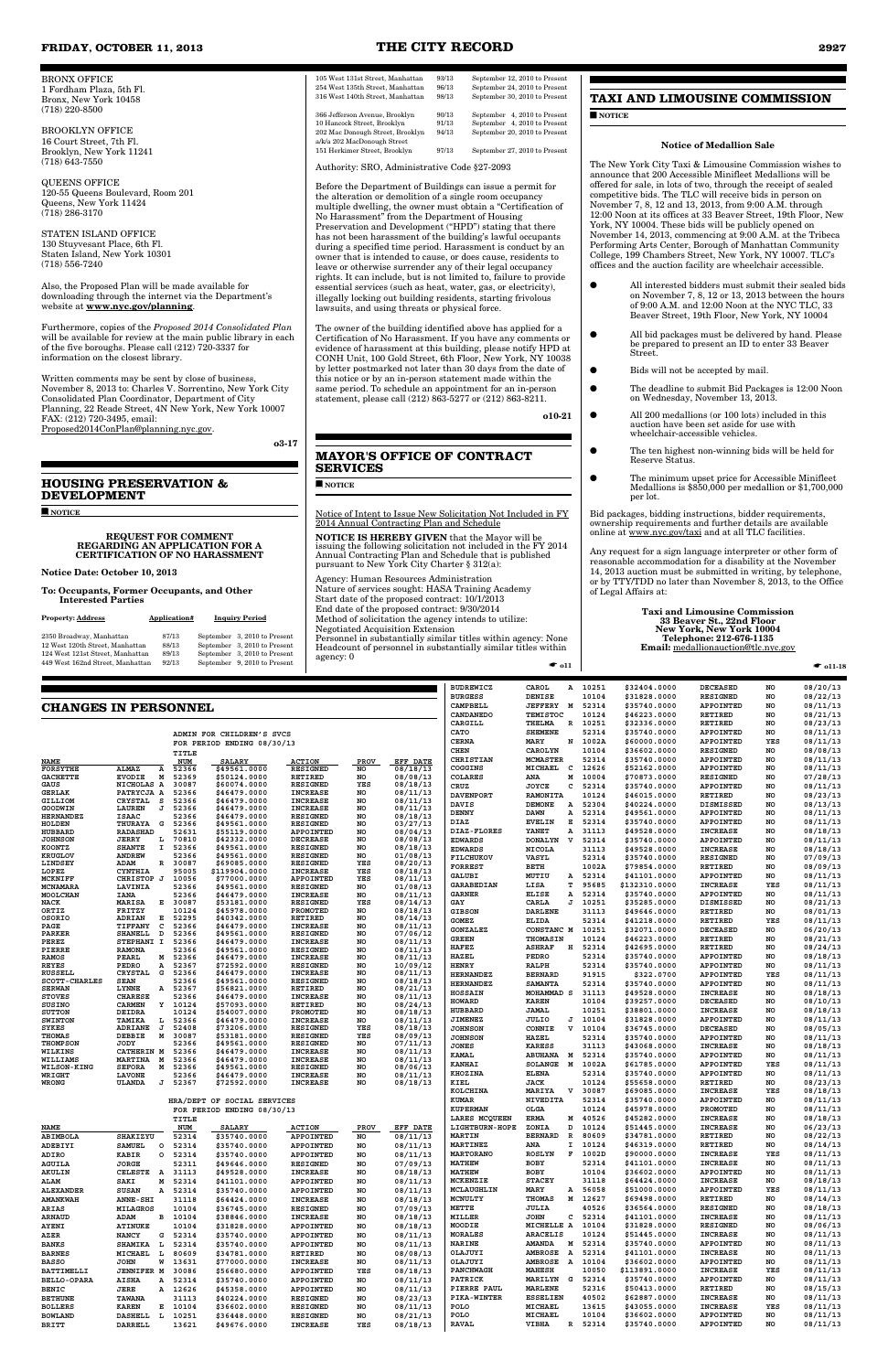BRONX OFFICE 1 Fordham Plaza, 5th Fl. Bronx, New York 10458 (718) 220-8500

BROOKLYN OFFICE 16 Court Street, 7th Fl. Brooklyn, New York 11241 (718) 643-7550

QUEENS OFFICE 120-55 Queens Boulevard, Room 201 Queens, New York 11424 (718) 286-3170

STATEN ISLAND OFFICE 130 Stuyvesant Place, 6th Fl. Staten Island, New York 10301 (718) 556-7240

Also, the Proposed Plan will be made available for downloading through the internet via the Department's website at **www.nyc.gov/planning**.

Furthermore, copies of the *Proposed 2014 Consolidated Plan* will be available for review at the main public library in each of the five boroughs. Please call  $(212)$  720-3337 for information on the closest library.

Written comments may be sent by close of business, November 8, 2013 to: Charles V. Sorrentino, New York City Consolidated Plan Coordinator, Department of City Planning, 22 Reade Street, 4N New York, New York 10007 FAX: (212) 720-3495, email: Proposed2014ConPlan@planning.nyc.gov.

**o3-17** 

# **HOUSING PRESERVATION & DEVELOPMENT**

■ **NOTICE**

#### **REQUEST FOR COMMENT REGARDING AN APPLICATION FOR A CERTIFICATION OF NO HARASSMENT**

**Notice Date: October 10, 2013**

**To: Occupants, Former Occupants, and Other Interested Parties**

| <b>Property: Address</b>         | Application# | <b>Inquiry Period</b>        |
|----------------------------------|--------------|------------------------------|
| 2350 Broadway, Manhattan         | 87/13        | September 3, 2010 to Present |
| 12 West 120th Street, Manhattan  | 88/13        | September 3, 2010 to Present |
| 124 West 121st Street. Manhattan | 89/13        | September 3, 2010 to Present |
| 449 West 162nd Street, Manhattan | 92/13        | September 9, 2010 to Present |

| 105 West 131st Street, Manhattan                                | 93/13 | September 12, 2010 to Present |
|-----------------------------------------------------------------|-------|-------------------------------|
| 254 West 135th Street. Manhattan                                | 96/13 | September 24, 2010 to Present |
| 316 West 140th Street, Manhattan                                | 98/13 | September 30, 2010 to Present |
| 366 Jefferson Avenue, Brooklyn                                  | 90/13 | September 4, 2010 to Present  |
| 10 Hancock Street, Brooklyn                                     | 91/13 | September 4, 2010 to Present  |
| 202 Mac Donough Street, Brooklyn<br>a/k/a 202 MacDonough Street | 94/13 | September 20, 2010 to Present |
| 151 Herkimer Street, Brooklyn                                   | 97/13 | September 27, 2010 to Present |

Authority: SRO, Administrative Code §27-2093

Before the Department of Buildings can issue a permit for the alteration or demolition of a single room occupancy multiple dwelling, the owner must obtain a "Certification of No Harassment" from the Department of Housing Preservation and Development ("HPD") stating that there has not been harassment of the building's lawful occupants during a specified time period. Harassment is conduct by an owner that is intended to cause, or does cause, residents to leave or otherwise surrender any of their legal occupancy rights. It can include, but is not limited to, failure to provide essential services (such as heat, water, gas, or electricity), illegally locking out building residents, starting frivolous lawsuits, and using threats or physical force.

The owner of the building identified above has applied for a Certification of No Harassment. If you have any comments or evidence of harassment at this building, please notify HPD at CONH Unit, 100 Gold Street, 6th Floor, New York, NY 10038 by letter postmarked not later than 30 days from the date of this notice or by an in-person statement made within the same period. To schedule an appointment for an in-person statement, please call (212) 863-5277 or (212) 863-8211.

**o10-21** 

#### **MAYOR'S OFFICE OF CONTRACT SERVICES**

■ **NOTICE**

Notice of Intent to Issue New Solicitation Not Included in FY 2014 Annual Contracting Plan and Schedule

**NOTICE IS HEREBY GIVEN** that the Mayor will be issuing the following solicitation not included in the FY 2014 Annual Contracting Plan and Schedule that is published pursuant to New York City Charter § 312(a):

Agency: Human Resources Administration Nature of services sought: HASA Training Academy Start date of the proposed contract: 10/1/2013 End date of the proposed contract: 9/30/2014 Method of solicitation the agency intends to utilize: Negotiated Acquisition Extension

Personnel in substantially similar titles within agency: None Headcount of personnel in substantially similar titles within agency: 0 ☛ **o11**

# **TAXI AND LIMOUSINE COMMISSION**

■ **NOTICE**

#### **Notice of Medallion Sale**

The New York City Taxi & Limousine Commission wishes to announce that 200 Accessible Minifleet Medallions will be offered for sale, in lots of two, through the receipt of sealed competitive bids. The TLC will receive bids in person on November 7, 8, 12 and 13, 2013, from 9:00 A.M. through 12:00 Noon at its offices at 33 Beaver Street, 19th Floor, New York, NY 10004. These bids will be publicly opened on November 14, 2013, commencing at 9:00 A.M. at the Tribeca Performing Arts Center, Borough of Manhattan Community College, 199 Chambers Street, New York, NY 10007. TLC's offices and the auction facility are wheelchair accessible.

- All interested bidders must submit their sealed bids on November 7, 8, 12 or 13, 2013 between the hours of 9:00 A.M. and 12:00 Noon at the NYC TLC, 33 Beaver Street, 19th Floor, New York, NY 10004
- All bid packages must be delivered by hand. Please be prepared to present an ID to enter 33 Beaver Street.
	- Bids will not be accepted by mail.
- The deadline to submit Bid Packages is 12:00 Noon on Wednesday, November 13, 2013.
- All 200 medallions (or 100 lots) included in this auction have been set aside for use with wheelchair-accessible vehicles.
- The ten highest non-winning bids will be held for Reserve Status.
- The minimum upset price for Accessible Minifleet Medallions is \$850,000 per medallion or \$1,700,000 per lot.

Bid packages, bidding instructions, bidder requirements, ownership requirements and further details are available online at www.nyc.gov/taxi and at all TLC facilities.

Any request for a sign language interpreter or other form of reasonable accommodation for a disability at the November 14, 2013 auction must be submitted in writing, by telephone, or by TTY/TDD no later than November 8, 2013, to the Office of Legal Affairs at:

#### **Taxi and Limousine Commission 33 Beaver St., 22nd Floor New York, New York 10004 Telephone: 212-676-1135 Email:** medallionauction@tlc.nyc.gov

☛ **o11-18**

#### **FRIDAY, OCTOBER 11, 2013 THE CITY RECORD 2927**

|                      |                 |              |            | ADMIN FOR CHILDREN'S SVCS  |                  |                |
|----------------------|-----------------|--------------|------------|----------------------------|------------------|----------------|
|                      |                 |              |            | FOR PERIOD ENDING 08/30/13 |                  |                |
|                      |                 |              | TITLE      |                            |                  |                |
| <b>NAME</b>          |                 |              | <b>NUM</b> | <b>SALARY</b>              | <b>ACTION</b>    | <b>PROV</b>    |
| <b>FORSYTHE</b>      | <b>ALMAZ</b>    | Α            | 52366      | \$49561.0000               | <b>RESIGNED</b>  | N <sub>O</sub> |
| GACHETTE             | <b>EVODIE</b>   | М            | 52369      | \$50124.0000               | <b>RETIRED</b>   | NO.            |
| GAUS                 | <b>NICHOLAS</b> | A            | 30087      | \$60074.0000               | <b>RESIGNED</b>  | <b>YES</b>     |
| <b>GERLAK</b>        | PATRYCJA A      |              | 52366      | \$46479.0000               | <b>TNCREASE</b>  | NO.            |
| <b>GILLIOM</b>       | <b>CRYSTAL</b>  | s            | 52366      | \$46479.0000               | <b>INCREASE</b>  | N <sub>O</sub> |
| GOODWIN              | <b>LAUREN</b>   | J            | 52366      | \$46479.0000               | <b>INCREASE</b>  | NO.            |
| <b>HERNANDEZ</b>     | <b>ISAAC</b>    |              | 52366      | \$46479,0000               | <b>RESIGNED</b>  | N <sub>O</sub> |
| <b>HOLDEN</b>        | <b>THURAYA</b>  | G            | 52366      | \$49561.0000               | <b>RESIGNED</b>  | NO.            |
| <b>HUBBARD</b>       | <b>RADASHAD</b> |              | 52631      | \$55119.0000               | <b>APPOINTED</b> | NO.            |
| <b>JOHNSON</b>       | <b>JERRY</b>    | L            | 70810      | \$42332.0000               | <b>DECREASE</b>  | NO.            |
| <b>KOONTZ</b>        | <b>SHANTE</b>   | T            | 52366      | \$49561,0000               | <b>RESIGNED</b>  | NO.            |
| <b>KRUGLOV</b>       | <b>ANDREW</b>   |              | 52366      | \$49561.0000               | <b>RESIGNED</b>  | NO.            |
| LINDSEY              | ADAM            | R            | 30087      | \$69085.0000               | <b>RESIGNED</b>  | YES            |
| LOPEZ                | <b>CYNTHIA</b>  |              | 95005      | \$119904.0000              | <b>INCREASE</b>  | YES            |
| <b>MCKNIFF</b>       | <b>CHRISTOP</b> | $\mathbf{r}$ | 10056      | \$77000.0000               | <b>APPOINTED</b> | YES            |
| <b>MCNAMARA</b>      | LAVINIA         |              | 52366      | \$49561.0000               | <b>RESIGNED</b>  | NO.            |
| <b>MOOLCHAN</b>      | <b>TANA</b>     |              | 52366      | \$46479.0000               | <b>INCREASE</b>  | NO.            |
| <b>NACK</b>          | MARISA          | R.           | 30087      | \$53181.0000               | <b>RESIGNED</b>  | YES            |
| ORTIZ                | FRITZY          |              | 10124      | \$45978.0000               | <b>PROMOTED</b>  | NO.            |
| OSORIO               | <b>ADRIAN</b>   | Е            | 52295      | \$40342,0000               | <b>RETIRED</b>   | NO.            |
| PAGE                 | <b>TIFFANY</b>  | C            | 52366      | \$46479.0000               | <b>INCREASE</b>  | NO.            |
| <b>PARKER</b>        | <b>SHANELL</b>  | D            | 52366      | \$49561.0000               | <b>RESIGNED</b>  | NO.            |
| <b>PEREZ</b>         | <b>STEPHANI</b> | $\mathbf{r}$ | 52366      | \$46479.0000               | <b>INCREASE</b>  | NO.            |
| <b>PIERRE</b>        | <b>RAMONA</b>   |              | 52366      | \$49561.0000               | <b>RESIGNED</b>  | N <sub>O</sub> |
| <b>RAMOS</b>         | <b>PEARL</b>    | М            | 52366      | \$46479.0000               | <b>INCREASE</b>  | N <sub>O</sub> |
| <b>REYES</b>         | PEDRO           | A            | 52367      | \$72592.0000               | <b>RESIGNED</b>  | NO.            |
| <b>RUSSELL</b>       | <b>CRYSTAL</b>  | G            | 52366      | \$46479.0000               | <b>INCREASE</b>  | NO.            |
| <b>SCOTT-CHARLES</b> | <b>SEAN</b>     |              | 52366      | \$49561.0000               | <b>RESIGNED</b>  | NO.            |
| <b>SERWAN</b>        | <b>LYNNE</b>    | Α            | 52367      | \$56821,0000               | <b>RETIRED</b>   | NO.            |

|                                       |                                  |                     |                               |                                    |           |                      | <b>BUDREWICZ</b>                  | CAROL<br>А                             | 10251            | \$32404.0000                  | <b>DECEASED</b>                    | NO        | 08/20/13             |
|---------------------------------------|----------------------------------|---------------------|-------------------------------|------------------------------------|-----------|----------------------|-----------------------------------|----------------------------------------|------------------|-------------------------------|------------------------------------|-----------|----------------------|
|                                       |                                  |                     |                               |                                    |           |                      | <b>BURGESS</b>                    | <b>DENISE</b>                          | 10104            | \$31828.0000                  | <b>RESIGNED</b>                    | NO        | 08/22/13             |
| <b>CHANGES IN PERSONNEL</b>           |                                  |                     |                               |                                    |           |                      | CAMPBELL<br>CANDANEDO             | JEFFERY M<br><b>TEMISTOC</b>           | 52314<br>10124   | \$35740.0000<br>\$46223.0000  | APPOINTED<br>RETIRED               | NO<br>NO  | 08/11/13<br>08/21/13 |
|                                       |                                  |                     |                               |                                    |           |                      | CARGILL                           | THELMA<br>R                            | 10251            | \$32336.0000                  | RETIRED                            | NO        | 08/23/13             |
|                                       |                                  |                     | ADMIN FOR CHILDREN'S SVCS     |                                    |           |                      | <b>CATO</b>                       | <b>SHEMENE</b>                         | 52314            | \$35740.0000                  | APPOINTED                          | NO        | 08/11/13             |
|                                       |                                  |                     | FOR PERIOD ENDING 08/30/13    |                                    |           |                      | <b>CERNA</b>                      | N<br>MARY                              | 1002A            | \$60000.0000                  | APPOINTED                          | YES       | 08/11/13             |
|                                       |                                  | TITLE               |                               |                                    |           |                      | <b>CHEN</b>                       | CAROLYN                                | 10104            | \$36602.0000                  | <b>RESIGNED</b>                    | NO        | 08/08/13             |
| <b>NAME</b>                           |                                  | <b>NUM</b>          | <b>SALARY</b>                 | <b>ACTION</b>                      | PROV      | EFF DATE             | CHRISTIAN<br>COGGINS              | <b>MCMASTER</b><br><b>MICHAEL</b><br>C | 52314<br>12626   | \$35740.0000<br>\$52162.0000  | APPOINTED<br>APPOINTED             | NO<br>NO  | 08/11/13<br>08/11/13 |
| <b>FORSYTHE</b><br><b>GACHETTE</b>    | ALMAZ<br>Α<br><b>EVODIE</b><br>м | 52366<br>52369      | \$49561.0000<br>\$50124.0000  | <b>RESIGNED</b><br>RETIRED         | NO<br>NO. | 08/18/13<br>08/08/13 | COLARES                           | ANA<br>м                               | 10004            | \$70873.0000                  | <b>RESIGNED</b>                    | NO        | 07/28/13             |
| GAUS                                  | NICHOLAS A                       | 30087               | \$60074.0000                  | RESIGNED                           | YES       | 08/18/13             | CRUZ                              | JOYCE<br>C                             | 52314            | \$35740.0000                  | APPOINTED                          | NO        | 08/11/13             |
| GERLAK                                | PATRYCJA A                       | 52366               | \$46479.0000                  | <b>INCREASE</b>                    | NO        | 08/11/13             | <b>DAVENPORT</b>                  | RAMONITA                               | 10124            | \$46015.0000                  | RETIRED                            | NO        | 08/23/13             |
| <b>GILLIOM</b><br>GOODWIN             | CRYSTAL<br>s<br>LAUREN<br>J      | 52366<br>52366      | \$46479.0000<br>\$46479.0000  | <b>INCREASE</b><br><b>INCREASE</b> | NO<br>NO  | 08/11/13<br>08/11/13 | <b>DAVIS</b>                      | <b>DEMONE</b><br>Α                     | 52304            | \$40224.0000                  | DISMISSED                          | NO        | 08/13/13             |
| <b>HERNANDEZ</b>                      | <b>ISAAC</b>                     | 52366               | \$46479.0000                  | RESIGNED                           | NO        | 08/18/13             | DENNY                             | <b>DAWN</b><br>Α                       | 52314            | \$49561.0000                  | APPOINTED                          | NO        | 08/11/13             |
| HOLDEN                                | THURAYA<br>G<br><b>RADASHAD</b>  | 52366<br>52631      | \$49561.0000<br>\$55119.0000  | <b>RESIGNED</b><br>APPOINTED       | NO<br>NO  | 03/27/13<br>08/04/13 | DIAZ<br>DIAZ-FLORES               | <b>EVELIN</b><br>Е<br>YANET<br>А       | 52314<br>31113   | \$35740.0000<br>\$49528.0000  | APPOINTED<br><b>INCREASE</b>       | NO<br>NO  | 08/11/13<br>08/18/13 |
| HUBBARD<br><b>JOHNSON</b>             | <b>JERRY</b><br>L                | 70810               | \$42332.0000                  | <b>DECREASE</b>                    | NO        | 08/08/13             | <b>EDWARDS</b>                    | <b>DONALYN</b><br>$\mathbf v$          | 52314            | \$35740.0000                  | APPOINTED                          | NO        | 08/11/13             |
| KOONTZ                                | <b>SHANTE</b><br>I.              | 52366               | \$49561.0000                  | RESIGNED                           | NO        | 08/18/13             | <b>EDWARDS</b>                    | <b>NICOLA</b>                          | 31113            | \$49528.0000                  | <b>INCREASE</b>                    | NO        | 08/18/13             |
| <b>KRUGLOV</b>                        | <b>ANDREW</b>                    | 52366<br>30087      | \$49561.0000                  | RESIGNED                           | NO<br>YES | 01/08/13             | FILCHUKOV                         | VASYL                                  | 52314            | \$35740.0000                  | <b>RESIGNED</b>                    | NO        | 07/09/13             |
| LINDSEY<br>LOPEZ                      | ADAM<br>R<br>CYNTHIA             | 95005               | \$69085.0000<br>\$119904.0000 | RESIGNED<br><b>INCREASE</b>        | YES       | 08/20/13<br>08/18/13 | <b>FORREST</b>                    | <b>BETH</b>                            | 1002A            | \$79854.0000                  | RETIRED                            | NO        | 08/09/13             |
| MCKNIFF                               | CHRISTOP J                       | 10056               | \$77000.0000                  | APPOINTED                          | YES       | 08/11/13             | GALUBI                            | MUTIU<br>Α<br>т                        | 52314<br>95685   | \$41101.0000                  | APPOINTED                          | NO<br>YES | 08/11/13             |
| MCNAMARA<br>MOOLCHAN                  | LAVINIA<br>IANA                  | 52366<br>52366      | \$49561.0000                  | RESIGNED                           | NO<br>NO  | 01/08/13<br>08/11/13 | GARABEDIAN<br>GARNER              | LISA<br><b>ELISE</b><br>А              | 52314            | \$132310.0000<br>\$35740.0000 | <b>INCREASE</b><br>APPOINTED       | NO        | 08/11/13<br>08/11/13 |
| NACK                                  | MARISA<br>в                      | 30087               | \$46479.0000<br>\$53181.0000  | <b>INCREASE</b><br>RESIGNED        | YES       | 08/14/13             | GAY                               | CARLA<br>J                             | 10251            | \$35285.0000                  | <b>DISMISSED</b>                   | NO        | 08/21/13             |
| ORTIZ                                 | FRITZY                           | 10124               | \$45978.0000                  | PROMOTED                           | NO        | 08/18/13             | <b>GIBSON</b>                     | <b>DARLENE</b>                         | 31113            | \$49646.0000                  | RETIRED                            | NO        | 08/01/13             |
| OSORIO<br>PAGE                        | ADRIAN<br>в<br>c<br>TIFFANY      | 52295<br>52366      | \$40342.0000<br>\$46479.0000  | RETIRED<br><b>INCREASE</b>         | NO.<br>NO | 08/14/13<br>08/11/13 | <b>GOMEZ</b>                      | <b>ELIDA</b>                           | 52314            | \$41218.0000                  | RETIRED                            | YES       | 08/11/13             |
| PARKER                                | SHANELL<br>D                     | 52366               | \$49561.0000                  | RESIGNED                           | NO        | 07/06/12             | GONZALEZ                          | CONSTANC M                             | 10251            | \$32071.0000                  | <b>DECEASED</b>                    | NO        | 06/20/13             |
| PEREZ                                 | STEPHANI I                       | 52366               | \$46479.0000                  | <b>INCREASE</b>                    | NO        | 08/11/13             | <b>GREEN</b><br><b>HAFEZ</b>      | <b>THOMASIN</b>                        | 10124<br>H 52314 | \$46223.0000                  | RETIRED<br>RETIRED                 | NO<br>NO  | 08/21/13<br>08/24/13 |
| PIERRE<br><b>RAMOS</b>                | <b>RAMONA</b><br>PEARL<br>М      | 52366<br>52366      | \$49561.0000<br>\$46479.0000  | RESIGNED<br><b>INCREASE</b>        | NO<br>NO  | 08/11/13<br>08/11/13 | HAZEL                             | <b>ASHRAF</b><br>PEDRO                 | 52314            | \$42695.0000<br>\$35740.0000  | APPOINTED                          | NO        | 08/18/13             |
| <b>REYES</b>                          | PEDRO<br>Α                       | 52367               | \$72592.0000                  | <b>RESIGNED</b>                    | NO.       | 10/09/12             | <b>HENRY</b>                      | <b>RALPH</b>                           | 52314            | \$35740.0000                  | APPOINTED                          | NO        | 08/11/13             |
| <b>RUSSELL</b>                        | CRYSTAL<br>G                     | 52366               | \$46479.0000                  | <b>INCREASE</b>                    | NO        | 08/11/13             | <b>HERNANDEZ</b>                  | <b>BERNARD</b>                         | 91915            | \$322.0700                    | APPOINTED                          | YES       | 08/11/13             |
| <b>SCOTT-CHARLES</b><br><b>SERWAN</b> | <b>SEAN</b><br>LYNNE<br>A        | 52366<br>52367      | \$49561.0000<br>\$56821.0000  | RESIGNED<br>RETIRED                | NO<br>NO  | 08/18/13<br>08/21/13 | <b>HERNANDEZ</b>                  | <b>SAMANTA</b>                         | 52314            | \$35740.0000                  | APPOINTED                          | NO        | 08/11/13             |
| <b>STOVES</b>                         | <b>CHARESE</b>                   | 52366               | \$46479.0000                  | <b>INCREASE</b>                    | NO        | 08/11/13             | HOSSAIN                           | MOHAMMAD S                             | 31113            | \$49528.0000                  | <b>INCREASE</b>                    | NO        | 08/18/13             |
| SUSINO                                | CARMEN<br>Y                      | 10124               | \$57093.0000                  | RETIRED                            | NO        | 08/24/13             | HOWARD<br>HUBBARD                 | <b>KAREN</b><br><b>JAMAL</b>           | 10104<br>10251   | \$39257.0000<br>\$38801.0000  | <b>DECEASED</b><br><b>INCREASE</b> | NO<br>NO  | 08/10/13<br>08/18/13 |
| SUTTON<br><b>SWINTON</b>              | DEIDRA<br><b>TAMIKA</b><br>L     | 10124<br>52366      | \$54007.0000<br>\$46479.0000  | PROMOTED<br><b>INCREASE</b>        | NO.<br>NO | 08/18/13<br>08/11/13 | JIMENEZ                           | JULIO<br>J                             | 10104            | \$31828.0000                  | APPOINTED                          | NO        | 08/11/13             |
| <b>SYKES</b>                          | ADRIANE<br>J                     | 52408               | \$73206.0000                  | RESIGNED                           | YES       | 08/18/13             | <b>JOHNSON</b>                    | $\mathbf v$<br>CONNIE                  | 10104            | \$36745.0000                  | <b>DECEASED</b>                    | NO        | 08/05/13             |
| THOMAS                                | DEBBIE<br>м                      | 30087<br>52366      | \$53181.0000                  | <b>RESIGNED</b>                    | YES       | 08/09/13             | <b>JOHNSON</b>                    | <b>HAZEL</b>                           | 52314            | \$35740.0000                  | APPOINTED                          | NO        | 08/11/13             |
| <b>THOMPSON</b><br>WILKINS            | JODY<br>CATHERIN M               | 52366               | \$49561.0000<br>\$46479.0000  | RESIGNED<br><b>INCREASE</b>        | NO<br>NO  | 07/11/13<br>08/11/13 | <b>JONES</b>                      | <b>KARESS</b>                          | 31113            | \$43068.0000                  | <b>INCREASE</b>                    | NO        | 08/18/13             |
| WILLIAMS                              | MARTINA<br>М                     | 52366               | \$46479.0000                  | <b>INCREASE</b>                    | NO        | 08/11/13             | <b>KAMAL</b><br>KANHAI            | M<br><b>ABUHANA</b><br>M<br>SOLANGE    | 52314<br>1002A   | \$35740.0000<br>\$61785.0000  | APPOINTED<br>APPOINTED             | NO<br>YES | 08/11/13<br>08/11/13 |
| <b>WILSON-KING</b><br>WRIGHT          | М<br><b>SEFORA</b><br>LAVONE     | 52366<br>52366      | \$49561.0000<br>\$46479.0000  | RESIGNED<br><b>INCREASE</b>        | NO<br>NO  | 08/06/13<br>08/11/13 | KHOZINA                           | <b>ELENA</b>                           | 52314            | \$35740.0000                  | APPOINTED                          | NO        | 08/11/13             |
| WRONG                                 | <b>ULANDA</b><br>J               | 52367               | \$72592.0000                  | <b>INCREASE</b>                    | NO        | 08/18/13             | KIEL                              | <b>JACK</b>                            | 10124            | \$55658.0000                  | RETIRED                            | NO        | 08/23/13             |
|                                       |                                  |                     |                               |                                    |           |                      | KOLCHINA                          | v<br>MARIYA                            | 30087            | \$69085.0000                  | <b>INCREASE</b>                    | YES       | 08/18/13             |
|                                       |                                  |                     | HRA/DEPT OF SOCIAL SERVICES   |                                    |           |                      | <b>KUMAR</b>                      | NIVEDITA                               | 52314            | \$35740.0000                  | APPOINTED                          | NO        | 08/11/13             |
|                                       |                                  |                     | FOR PERIOD ENDING 08/30/13    |                                    |           |                      | <b>KUPERMAN</b><br>LARES MCQUEEN  | OLGA<br>ERMA<br>М                      | 10124<br>40526   | \$45978.0000<br>\$45282.0000  | PROMOTED<br><b>INCREASE</b>        | NO<br>NO  | 08/11/13<br>08/18/13 |
| <b>NAME</b>                           |                                  | TITLE<br><b>NUM</b> | SALARY                        | ACTION                             | PROV      | EFF DATE             | LIGHTBURN-HOPE                    | ZONIA<br>D                             | 10124            | \$51445.0000                  | <b>INCREASE</b>                    | NO        | 06/23/13             |
| ABIMBOLA                              | <b>SHAKIZYU</b>                  | 52314               | \$35740.0000                  | APPOINTED                          | NO        | 08/11/13             | <b>MARTIN</b>                     | <b>BERNARD</b><br>$\mathbf R$          | 80609            | \$34781.0000                  | RETIRED                            | NO        | 08/22/13             |
| ADEBIYI                               | SAMUEL<br>$\circ$                | 52314               | \$35740.0000                  | APPOINTED                          | NO        | 08/11/13             | MARTINEZ                          | ANA<br>I.                              | 10124            | \$46319.0000                  | RETIRED                            | NO        | 08/14/13             |
| ADIRO                                 | <b>KABIR</b><br>$\circ$          | 52314               | \$35740.0000                  | APPOINTED                          | NO        | 08/11/13             | MARTORANO                         | F<br>ROSLYN                            | 1002D            | \$90000.0000                  | <b>INCREASE</b>                    | YES       | 08/11/13             |
| AGUILA                                | <b>JORGE</b>                     | 52311               | \$49646.0000                  | RESIGNED                           | <b>NO</b> | 07/09/13             | <b>MATHEW</b><br><b>MATHEW</b>    | <b>BOBY</b><br>BOBY                    | 52314<br>10104   | \$41101.0000<br>\$36602.0000  | <b>INCREASE</b><br>APPOINTED       | NO<br>NO  | 08/11/13<br>08/11/13 |
| AKULIN<br>ALAM                        | CELESTE<br>A<br>SAKI<br>м        | 31113<br>52314      | \$49528.0000<br>\$41101.0000  | <b>INCREASE</b><br>APPOINTED       | NO<br>NO. | 08/18/13<br>08/11/13 | MCKENZIE                          | <b>STACEY</b>                          | 31118            | \$64424.0000                  | <b>INCREASE</b>                    | <b>NO</b> | 08/18/13             |
| ALEXANDER                             | SUSAN                            | A 52314             | \$35740.0000                  | APPOINTED                          | NO        | 08/11/13             | MCLAUGHLIN                        | <b>MARY</b>                            | A 56058          | \$51000.0000                  | APPOINTED                          | YES       | 08/11/13             |
| <b>AMANKWAH</b>                       | <b>ANNE-SHI</b>                  | 31118               | \$64424.0000                  | <b>INCREASE</b>                    | NO        | 08/18/13             | MCNULTY                           | THOMAS<br>M                            | 12627            | \$69498.0000                  | RETIRED                            | NO        | 08/14/13             |
| ARIAS                                 | MILAGROS                         | 10104               | \$36745.0000                  | <b>RESIGNED</b>                    | NO        | 07/09/13             | METTE                             | <b>JULIA</b>                           | 40526            | \$36564.0000                  | <b>RESIGNED</b>                    | NO        | 08/18/13             |
| <b>ARNAUD</b>                         | ADAM                             | B 10104             | \$38846.0000                  | <b>INCREASE</b>                    | NO        | 08/18/13             | MILLER                            | <b>JOHN</b>                            | $C$ 52314        | \$41101.0000                  | <b>INCREASE</b>                    | NO        | 08/11/13             |
| <b>AYENI</b><br>AZER                  | <b>ATINUKE</b><br>NANCY          | 10104<br>G 52314    | \$31828.0000                  | APPOINTED<br>APPOINTED             | NO<br>NO  | 08/18/13<br>08/11/13 | MOODIE<br>MORALES                 | MICHELLE A 10104<br>ARACELIS           | 10124            | \$31828.0000<br>\$51445.0000  | <b>RESIGNED</b><br><b>INCREASE</b> | NO<br>NO  | 08/06/13<br>08/11/13 |
| <b>BANKS</b>                          | SHAMIKA L 52314                  |                     | \$35740.0000<br>\$35740.0000  | APPOINTED                          | NO        | 08/11/13             | <b>NARINE</b>                     | <b>AMANDA</b>                          | M 52314          | \$35740.0000                  | <b>APPOINTED</b>                   | NO        | 08/11/13             |
| <b>BARNES</b>                         | MICHAEL L                        | 80609               | \$34781.0000                  | RETIRED                            | NO        | 08/08/13             | OLAJUYI                           | AMBROSE A 52314                        |                  | \$41101.0000                  | <b>INCREASE</b>                    | NO        | 08/11/13             |
| <b>BASSO</b>                          | <b>JOHN</b>                      | W 13631             | \$77000.0000                  | <b>INCREASE</b>                    | NO        | 08/11/13             | OLAJUYI                           | <b>AMBROSE</b>                         | A 10104          | \$36602.0000                  | APPOINTED                          | NO        | 08/11/13             |
| BATTIMELLI                            | JENNIFER M 30086                 |                     | \$56680.0000                  | APPOINTED                          | YES       | 08/18/13             | PANCHWAGH                         | <b>MAHESH</b>                          | 10050            | \$113891.0000                 | <b>INCREASE</b>                    | YES       | 08/11/13             |
| BELLO-OPARA                           | <b>AISHA</b><br>A                | 52314               | \$35740.0000                  | APPOINTED                          | NO        | 08/11/13             | PATRICK                           | MARILYN<br>G                           | 52314            | \$35740.0000                  | APPOINTED                          | NO        | 08/11/13             |
| BENIC                                 | JERE                             | A 12626             | \$45358.0000                  | APPOINTED                          | NO        | 08/11/13             | PIERRE PAUL<br><b>PIKA-WINTER</b> | <b>MARLENE</b><br><b>ESSELIEN</b>      | 52316<br>40502   | \$50413.0000<br>\$62887.0000  | RETIRED<br><b>INCREASE</b>         | NO<br>NO  | 08/15/13<br>08/11/13 |
| <b>BETHUNE</b><br><b>BOLLERS</b>      | <b>TAWANA</b><br><b>KAREN</b>    | 31113<br>E 10104    | \$40224.0000<br>\$36602.0000  | <b>RESIGNED</b><br>RESIGNED        | NO<br>NO  | 08/23/13<br>08/11/13 | POLO                              | MICHAEL                                | 13615            | \$43055.0000                  | <b>INCREASE</b>                    | YES       | 08/11/13             |
| <b>BOWLAND</b>                        | DASHELL L 10251                  |                     | \$36448.0000                  | <b>RESIGNED</b>                    | NO        | 08/21/13             | POLO                              | MICHAEL                                | 10104            | \$36602.0000                  | APPOINTED                          | NO        | 08/11/13             |
| BRITT                                 | DARRELL                          | 13621               | \$49676.0000                  | <b>INCREASE</b>                    | YES       | 08/18/13             | <b>RAVAL</b>                      | VIBHA                                  | R 52314          | \$35740.0000                  | APPOINTED                          | NO        | 08/11/13             |